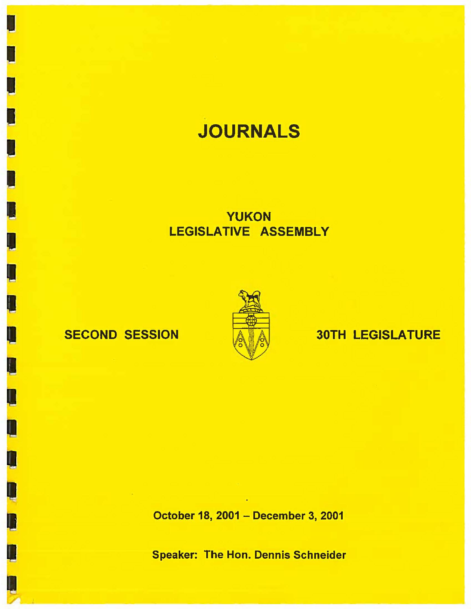# **JOURNALS**

## YUKON LEGISLATIVE ASSEMBLY

I

I

I

I

I

~

i<br>' I I I<br>'

I

 $\bm{\Pi}$ 

I

I

I

D<br>D<br>D

D



## SECOND SESSION A A 30TH LEGISLATURE

October 18, 2001 - December 3, 2001

Speaker: The Hon. Dennis Schneider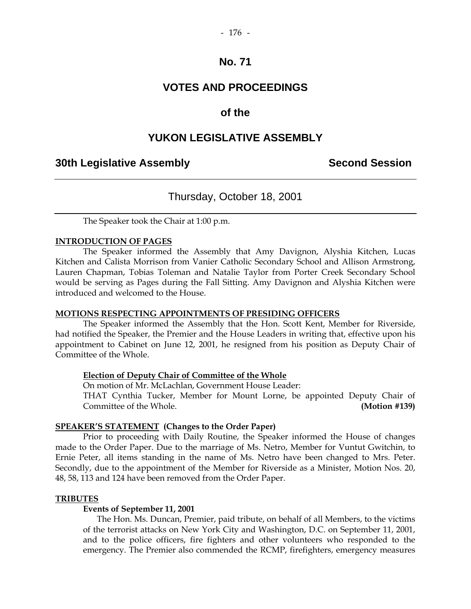## **VOTES AND PROCEEDINGS**

## **of the**

## **YUKON LEGISLATIVE ASSEMBLY**

## **30th Legislative Assembly Second Session**

## Thursday, October 18, 2001

The Speaker took the Chair at 1:00 p.m.

#### **INTRODUCTION OF PAGES**

 The Speaker informed the Assembly that Amy Davignon, Alyshia Kitchen, Lucas Kitchen and Calista Morrison from Vanier Catholic Secondary School and Allison Armstrong, Lauren Chapman, Tobias Toleman and Natalie Taylor from Porter Creek Secondary School would be serving as Pages during the Fall Sitting. Amy Davignon and Alyshia Kitchen were introduced and welcomed to the House.

#### **MOTIONS RESPECTING APPOINTMENTS OF PRESIDING OFFICERS**

 The Speaker informed the Assembly that the Hon. Scott Kent, Member for Riverside, had notified the Speaker, the Premier and the House Leaders in writing that, effective upon his appointment to Cabinet on June 12, 2001, he resigned from his position as Deputy Chair of Committee of the Whole.

#### **Election of Deputy Chair of Committee of the Whole**

On motion of Mr. McLachlan, Government House Leader:

THAT Cynthia Tucker, Member for Mount Lorne, be appointed Deputy Chair of Committee of the Whole. **(Motion #139)** 

#### **SPEAKER'S STATEMENT (Changes to the Order Paper)**

 Prior to proceeding with Daily Routine, the Speaker informed the House of changes made to the Order Paper. Due to the marriage of Ms. Netro, Member for Vuntut Gwitchin, to Ernie Peter, all items standing in the name of Ms. Netro have been changed to Mrs. Peter. Secondly, due to the appointment of the Member for Riverside as a Minister, Motion Nos. 20, 48, 58, 113 and 124 have been removed from the Order Paper.

#### **TRIBUTES**

### **Events of September 11, 2001**

The Hon. Ms. Duncan, Premier, paid tribute, on behalf of all Members, to the victims of the terrorist attacks on New York City and Washington, D.C. on September 11, 2001, and to the police officers, fire fighters and other volunteers who responded to the emergency. The Premier also commended the RCMP, firefighters, emergency measures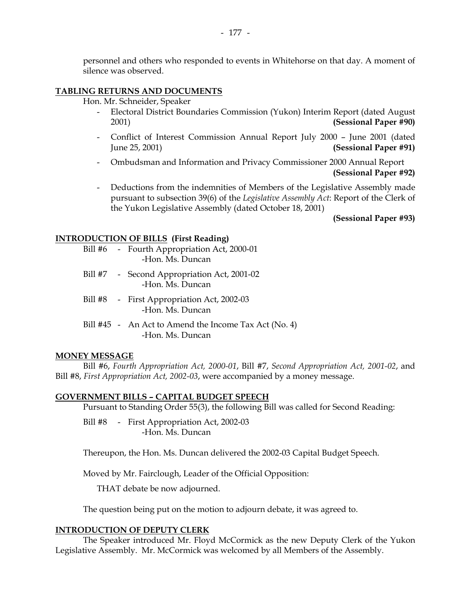personnel and others who responded to events in Whitehorse on that day. A moment of silence was observed.

#### **TABLING RETURNS AND DOCUMENTS**

Hon. Mr. Schneider, Speaker

- Electoral District Boundaries Commission (Yukon) Interim Report (dated August 2001) **(Sessional Paper #90)**
- Conflict of Interest Commission Annual Report July 2000 June 2001 (dated June 25, 2001) **(Sessional Paper #91)**
- Ombudsman and Information and Privacy Commissioner 2000 Annual Report **(Sessional Paper #92)**
- Deductions from the indemnities of Members of the Legislative Assembly made pursuant to subsection 39(6) of the *Legislative Assembly Act*: Report of the Clerk of the Yukon Legislative Assembly (dated October 18, 2001)

 **(Sessional Paper #93)** 

#### **INTRODUCTION OF BILLS (First Reading)**

|  | Bill #6 - Fourth Appropriation Act, 2000-01<br>-Hon. Ms. Duncan             |
|--|-----------------------------------------------------------------------------|
|  | Bill #7 - Second Appropriation Act, 2001-02<br>-Hon. Ms. Duncan             |
|  | Bill #8 - First Appropriation Act, 2002-03<br>-Hon. Ms. Duncan              |
|  | Bill $#45$ - An Act to Amend the Income Tax Act (No. 4)<br>-Hon. Ms. Duncan |

#### **MONEY MESSAGE**

 Bill #6, *Fourth Appropriation Act, 2000-01*, Bill #7, *Second Appropriation Act, 2001-02*, and Bill #8, *First Appropriation Act, 2002-03*, were accompanied by a money message.

#### **GOVERNMENT BILLS – CAPITAL BUDGET SPEECH**

Pursuant to Standing Order 55(3), the following Bill was called for Second Reading:

 Bill #8 - First Appropriation Act, 2002-03 -Hon. Ms. Duncan

Thereupon, the Hon. Ms. Duncan delivered the 2002-03 Capital Budget Speech.

Moved by Mr. Fairclough, Leader of the Official Opposition:

THAT debate be now adjourned.

The question being put on the motion to adjourn debate, it was agreed to.

#### **INTRODUCTION OF DEPUTY CLERK**

 The Speaker introduced Mr. Floyd McCormick as the new Deputy Clerk of the Yukon Legislative Assembly. Mr. McCormick was welcomed by all Members of the Assembly.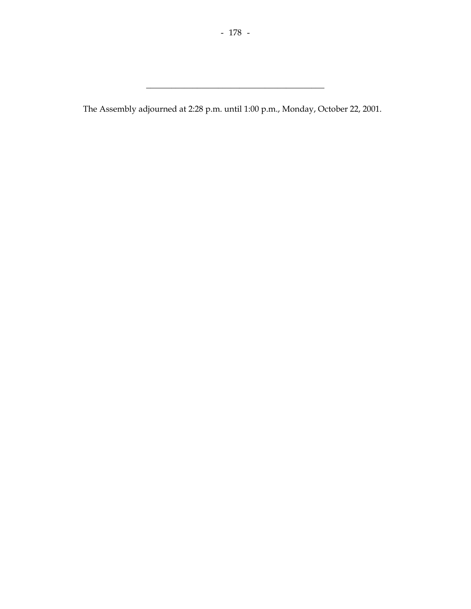The Assembly adjourned at 2:28 p.m. until 1:00 p.m., Monday, October 22, 2001.

\_\_\_\_\_\_\_\_\_\_\_\_\_\_\_\_\_\_\_\_\_\_\_\_\_\_\_\_\_\_\_\_\_\_\_\_\_\_\_\_\_\_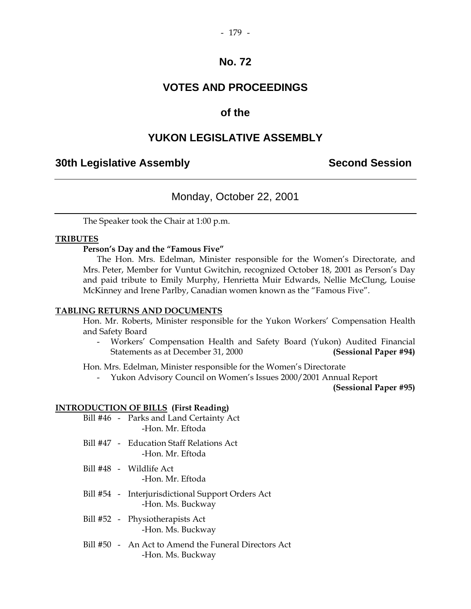## **VOTES AND PROCEEDINGS**

## **of the**

## **YUKON LEGISLATIVE ASSEMBLY**

## **30th Legislative Assembly Second Session**

## Monday, October 22, 2001

The Speaker took the Chair at 1:00 p.m.

#### **TRIBUTES**

#### **Person's Day and the "Famous Five"**

 The Hon. Mrs. Edelman, Minister responsible for the Women's Directorate, and Mrs. Peter, Member for Vuntut Gwitchin, recognized October 18, 2001 as Person's Day and paid tribute to Emily Murphy, Henrietta Muir Edwards, Nellie McClung, Louise McKinney and Irene Parlby, Canadian women known as the "Famous Five".

#### **TABLING RETURNS AND DOCUMENTS**

Hon. Mr. Roberts, Minister responsible for the Yukon Workers' Compensation Health and Safety Board

 - Workers' Compensation Health and Safety Board (Yukon) Audited Financial Statements as at December 31, 2000 **(Sessional Paper #94)** 

Hon. Mrs. Edelman, Minister responsible for the Women's Directorate

- Yukon Advisory Council on Women's Issues 2000/2001 Annual Report

**(Sessional Paper #95)** 

### **INTRODUCTION OF BILLS (First Reading)**

|  | Bill #46 - Parks and Land Certainty Act  |
|--|------------------------------------------|
|  | -Hon. Mr. Eftoda                         |
|  | Bill #47 - Education Staff Relations Act |

- -Hon. Mr. Eftoda
- Bill #48 Wildlife Act -Hon. Mr. Eftoda
- Bill #54 Interjurisdictional Support Orders Act -Hon. Ms. Buckway
- Bill #52 Physiotherapists Act -Hon. Ms. Buckway
- Bill #50 An Act to Amend the Funeral Directors Act -Hon. Ms. Buckway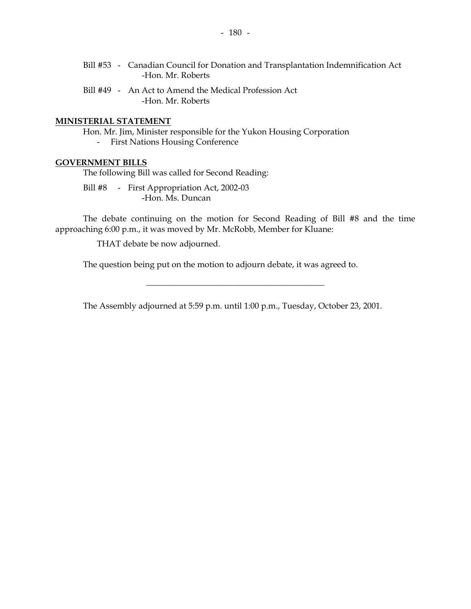- Bill #53 Canadian Council for Donation and Transplantation Indemnification Act -Hon. Mr. Roberts
- Bill #49 An Act to Amend the Medical Profession Act -Hon. Mr. Roberts

#### **MINISTERIAL STATEMENT**

Hon. Mr. Jim, Minister responsible for the Yukon Housing Corporation

- First Nations Housing Conference

#### **GOVERNMENT BILLS**

The following Bill was called for Second Reading:

Bill #8 - First Appropriation Act, 2002-03 -Hon. Ms. Duncan

 The debate continuing on the motion for Second Reading of Bill #8 and the time approaching 6:00 p.m., it was moved by Mr. McRobb, Member for Kluane:

THAT debate be now adjourned.

The question being put on the motion to adjourn debate, it was agreed to.

The Assembly adjourned at 5:59 p.m. until 1:00 p.m., Tuesday, October 23, 2001.

\_\_\_\_\_\_\_\_\_\_\_\_\_\_\_\_\_\_\_\_\_\_\_\_\_\_\_\_\_\_\_\_\_\_\_\_\_\_\_\_\_\_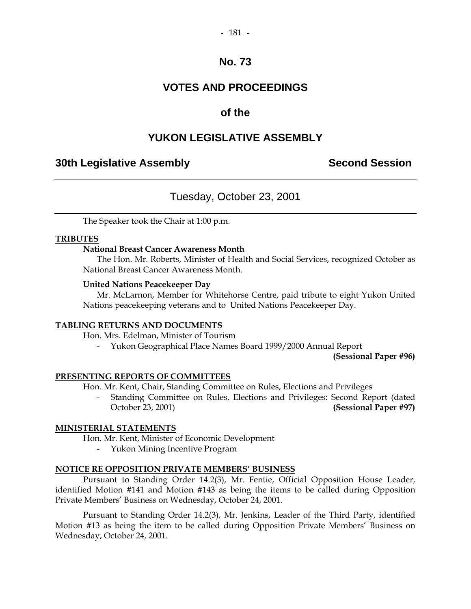#### $-181 -$

## **No. 73**

## **VOTES AND PROCEEDINGS**

## **of the**

## **YUKON LEGISLATIVE ASSEMBLY**

## **30th Legislative Assembly Second Session**

## Tuesday, October 23, 2001

The Speaker took the Chair at 1:00 p.m.

#### **TRIBUTES**

#### **National Breast Cancer Awareness Month**

 The Hon. Mr. Roberts, Minister of Health and Social Services, recognized October as National Breast Cancer Awareness Month.

#### **United Nations Peacekeeper Day**

 Mr. McLarnon, Member for Whitehorse Centre, paid tribute to eight Yukon United Nations peacekeeping veterans and to United Nations Peacekeeper Day.

#### **TABLING RETURNS AND DOCUMENTS**

Hon. Mrs. Edelman, Minister of Tourism

- Yukon Geographical Place Names Board 1999/2000 Annual Report

**(Sessional Paper #96)** 

#### **PRESENTING REPORTS OF COMMITTEES**

Hon. Mr. Kent, Chair, Standing Committee on Rules, Elections and Privileges

 - Standing Committee on Rules, Elections and Privileges: Second Report (dated October 23, 2001) **(Sessional Paper #97)** 

#### **MINISTERIAL STATEMENTS**

Hon. Mr. Kent, Minister of Economic Development

- Yukon Mining Incentive Program

#### **NOTICE RE OPPOSITION PRIVATE MEMBERS' BUSINESS**

 Pursuant to Standing Order 14.2(3), Mr. Fentie, Official Opposition House Leader, identified Motion #141 and Motion #143 as being the items to be called during Opposition Private Members' Business on Wednesday, October 24, 2001.

 Pursuant to Standing Order 14.2(3), Mr. Jenkins, Leader of the Third Party, identified Motion #13 as being the item to be called during Opposition Private Members' Business on Wednesday, October 24, 2001.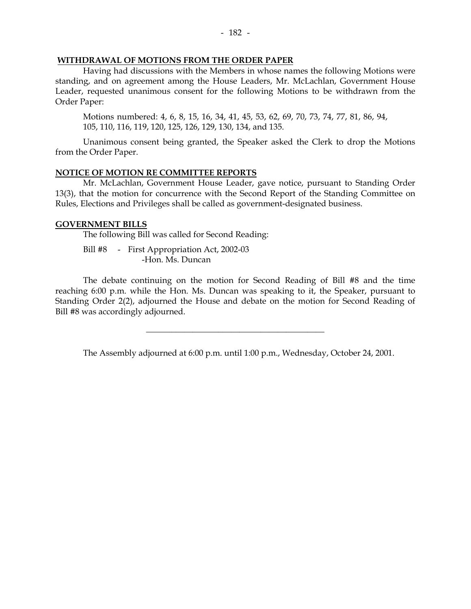### **WITHDRAWAL OF MOTIONS FROM THE ORDER PAPER**

 Having had discussions with the Members in whose names the following Motions were standing, and on agreement among the House Leaders, Mr. McLachlan, Government House Leader, requested unanimous consent for the following Motions to be withdrawn from the Order Paper:

 Motions numbered: 4, 6, 8, 15, 16, 34, 41, 45, 53, 62, 69, 70, 73, 74, 77, 81, 86, 94, 105, 110, 116, 119, 120, 125, 126, 129, 130, 134, and 135.

 Unanimous consent being granted, the Speaker asked the Clerk to drop the Motions from the Order Paper.

#### **NOTICE OF MOTION RE COMMITTEE REPORTS**

 Mr. McLachlan, Government House Leader, gave notice, pursuant to Standing Order 13(3), that the motion for concurrence with the Second Report of the Standing Committee on Rules, Elections and Privileges shall be called as government-designated business.

#### **GOVERNMENT BILLS**

The following Bill was called for Second Reading:

Bill #8 - First Appropriation Act, 2002-03 -Hon. Ms. Duncan

 The debate continuing on the motion for Second Reading of Bill #8 and the time reaching 6:00 p.m. while the Hon. Ms. Duncan was speaking to it, the Speaker, pursuant to Standing Order 2(2), adjourned the House and debate on the motion for Second Reading of Bill #8 was accordingly adjourned.

The Assembly adjourned at 6:00 p.m. until 1:00 p.m., Wednesday, October 24, 2001.

\_\_\_\_\_\_\_\_\_\_\_\_\_\_\_\_\_\_\_\_\_\_\_\_\_\_\_\_\_\_\_\_\_\_\_\_\_\_\_\_\_\_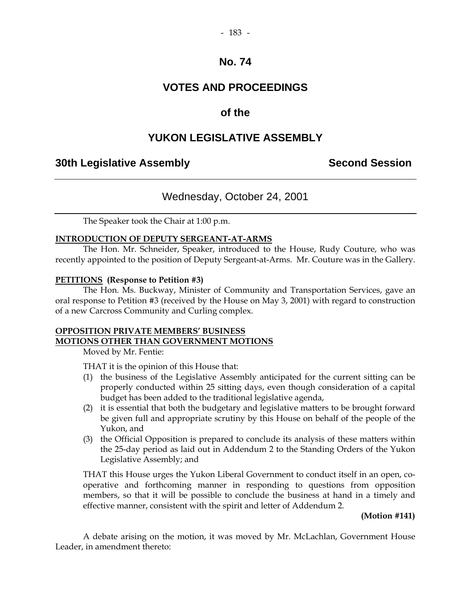## **VOTES AND PROCEEDINGS**

## **of the**

## **YUKON LEGISLATIVE ASSEMBLY**

## **30th Legislative Assembly Second Session**

## Wednesday, October 24, 2001

The Speaker took the Chair at 1:00 p.m.

#### **INTRODUCTION OF DEPUTY SERGEANT-AT-ARMS**

The Hon. Mr. Schneider, Speaker, introduced to the House, Rudy Couture, who was recently appointed to the position of Deputy Sergeant-at-Arms. Mr. Couture was in the Gallery.

#### **PETITIONS (Response to Petition #3)**

 The Hon. Ms. Buckway, Minister of Community and Transportation Services, gave an oral response to Petition #3 (received by the House on May 3, 2001) with regard to construction of a new Carcross Community and Curling complex.

#### **OPPOSITION PRIVATE MEMBERS' BUSINESS MOTIONS OTHER THAN GOVERNMENT MOTIONS**

Moved by Mr. Fentie:

THAT it is the opinion of this House that:

- (1) the business of the Legislative Assembly anticipated for the current sitting can be properly conducted within 25 sitting days, even though consideration of a capital budget has been added to the traditional legislative agenda,
- (2) it is essential that both the budgetary and legislative matters to be brought forward be given full and appropriate scrutiny by this House on behalf of the people of the Yukon, and
- (3) the Official Opposition is prepared to conclude its analysis of these matters within the 25-day period as laid out in Addendum 2 to the Standing Orders of the Yukon Legislative Assembly; and

 THAT this House urges the Yukon Liberal Government to conduct itself in an open, cooperative and forthcoming manner in responding to questions from opposition members, so that it will be possible to conclude the business at hand in a timely and effective manner, consistent with the spirit and letter of Addendum 2.

**(Motion #141)** 

 A debate arising on the motion, it was moved by Mr. McLachlan, Government House Leader, in amendment thereto: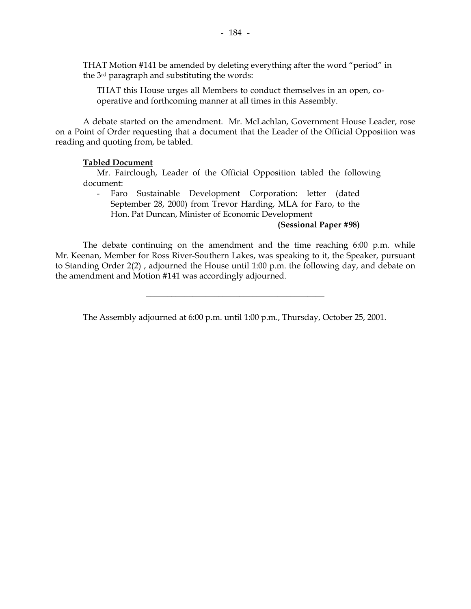THAT this House urges all Members to conduct themselves in an open, cooperative and forthcoming manner at all times in this Assembly.

 A debate started on the amendment. Mr. McLachlan, Government House Leader, rose on a Point of Order requesting that a document that the Leader of the Official Opposition was reading and quoting from, be tabled.

### **Tabled Document**

 Mr. Fairclough, Leader of the Official Opposition tabled the following document:

 - Faro Sustainable Development Corporation: letter (dated September 28, 2000) from Trevor Harding, MLA for Faro, to the Hon. Pat Duncan, Minister of Economic Development

## **(Sessional Paper #98)**

 The debate continuing on the amendment and the time reaching 6:00 p.m. while Mr. Keenan, Member for Ross River-Southern Lakes, was speaking to it, the Speaker, pursuant to Standing Order 2(2) , adjourned the House until 1:00 p.m. the following day, and debate on the amendment and Motion #141 was accordingly adjourned.

The Assembly adjourned at 6:00 p.m. until 1:00 p.m., Thursday, October 25, 2001.

\_\_\_\_\_\_\_\_\_\_\_\_\_\_\_\_\_\_\_\_\_\_\_\_\_\_\_\_\_\_\_\_\_\_\_\_\_\_\_\_\_\_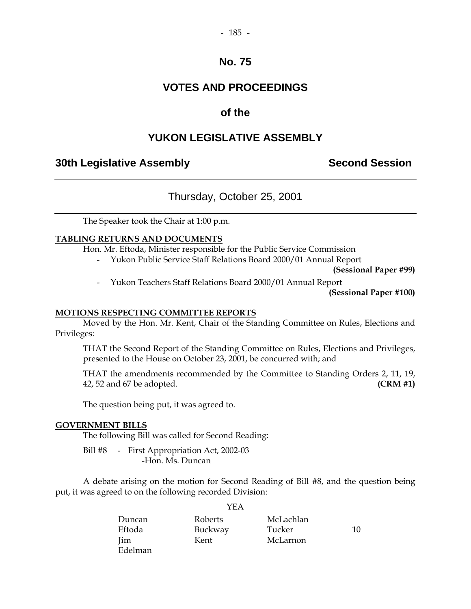#### $-185 -$

## **No. 75**

## **VOTES AND PROCEEDINGS**

## **of the**

## **YUKON LEGISLATIVE ASSEMBLY**

## **30th Legislative Assembly Second Session**

## Thursday, October 25, 2001

The Speaker took the Chair at 1:00 p.m.

#### **TABLING RETURNS AND DOCUMENTS**

Hon. Mr. Eftoda, Minister responsible for the Public Service Commission

- Yukon Public Service Staff Relations Board 2000/01 Annual Report

**(Sessional Paper #99)** 

- Yukon Teachers Staff Relations Board 2000/01 Annual Report

**(Sessional Paper #100)** 

#### **MOTIONS RESPECTING COMMITTEE REPORTS**

 Moved by the Hon. Mr. Kent, Chair of the Standing Committee on Rules, Elections and Privileges:

 THAT the Second Report of the Standing Committee on Rules, Elections and Privileges, presented to the House on October 23, 2001, be concurred with; and

 THAT the amendments recommended by the Committee to Standing Orders 2, 11, 19, 42, 52 and 67 be adopted. **(CRM #1)** 

The question being put, it was agreed to.

#### **GOVERNMENT BILLS**

The following Bill was called for Second Reading:

Bill #8 - First Appropriation Act, 2002-03 -Hon. Ms. Duncan

 A debate arising on the motion for Second Reading of Bill #8, and the question being put, it was agreed to on the following recorded Division:

 $V<sub>II</sub>$ 

|            | I EA    |           |    |
|------------|---------|-----------|----|
| Duncan     | Roberts | McLachlan |    |
| Eftoda     | Buckway | Tucker    | 10 |
| <b>Jim</b> | Kent    | McLarnon  |    |
| Edelman    |         |           |    |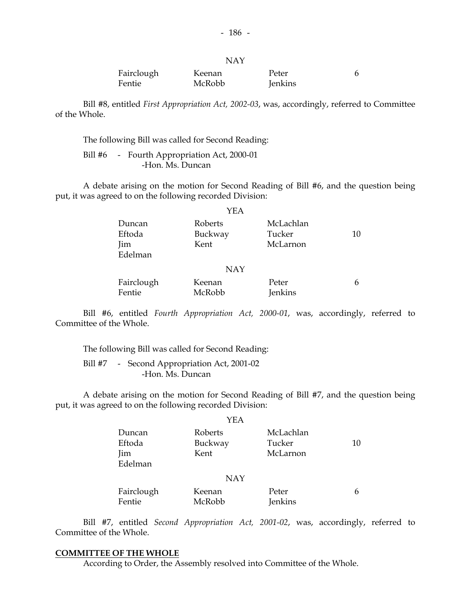|            | <b>NAY</b> |         |  |
|------------|------------|---------|--|
| Fairclough | Keenan     | Peter   |  |
| Fentie     | McRobb     | Jenkins |  |

 Bill #8, entitled *First Appropriation Act, 2002-03*, was, accordingly, referred to Committee of the Whole.

The following Bill was called for Second Reading:

Bill #6 - Fourth Appropriation Act, 2000-01 -Hon. Ms. Duncan

 A debate arising on the motion for Second Reading of Bill #6, and the question being put, it was agreed to on the following recorded Division:

|            | YEA        |           |    |
|------------|------------|-----------|----|
| Duncan     | Roberts    | McLachlan |    |
| Eftoda     | Buckway    | Tucker    | 10 |
| Jim        | Kent       | McLarnon  |    |
| Edelman    |            |           |    |
|            | <b>NAY</b> |           |    |
| Fairclough | Keenan     | Peter     |    |
| Fentie     | McRobb     | Jenkins   |    |

 Bill #6, entitled *Fourth Appropriation Act, 2000-01*, was, accordingly, referred to Committee of the Whole.

The following Bill was called for Second Reading:

Bill #7 - Second Appropriation Act, 2001-02 -Hon. Ms. Duncan

 A debate arising on the motion for Second Reading of Bill #7, and the question being put, it was agreed to on the following recorded Division:

|            | YEA        |                |    |
|------------|------------|----------------|----|
| Duncan     | Roberts    | McLachlan      |    |
| Eftoda     | Buckway    | Tucker         | 10 |
| Jim        | Kent       | McLarnon       |    |
| Edelman    |            |                |    |
|            | <b>NAY</b> |                |    |
| Fairclough | Keenan     | Peter          | 6  |
| Fentie     | McRobb     | <b>Jenkins</b> |    |

 Bill #7, entitled *Second Appropriation Act, 2001-02*, was, accordingly, referred to Committee of the Whole.

#### **COMMITTEE OF THE WHOLE**

According to Order, the Assembly resolved into Committee of the Whole.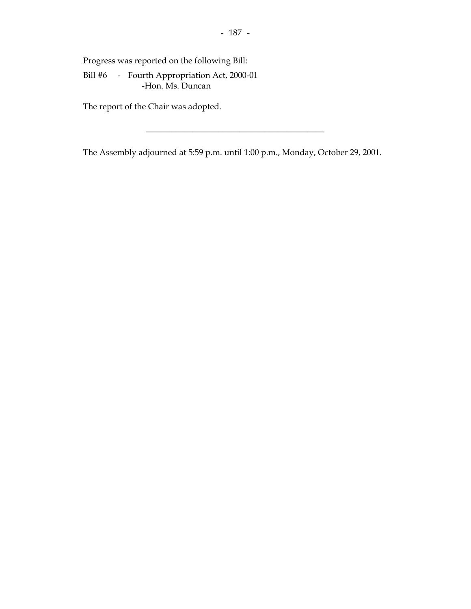Progress was reported on the following Bill:

 Bill #6 - Fourth Appropriation Act, 2000-01 -Hon. Ms. Duncan

The report of the Chair was adopted.

The Assembly adjourned at 5:59 p.m. until 1:00 p.m., Monday, October 29, 2001.

\_\_\_\_\_\_\_\_\_\_\_\_\_\_\_\_\_\_\_\_\_\_\_\_\_\_\_\_\_\_\_\_\_\_\_\_\_\_\_\_\_\_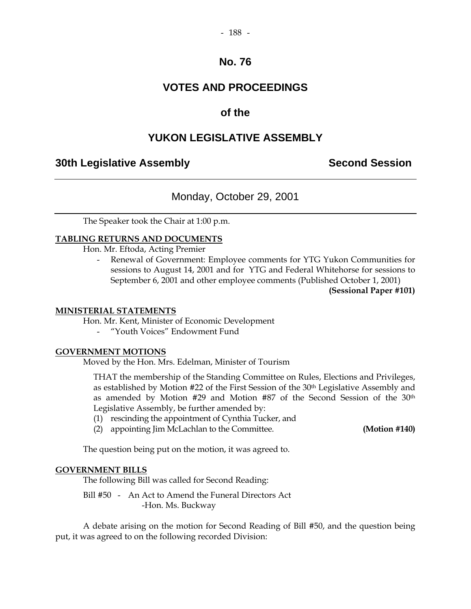#### $-188 -$

## **No. 76**

## **VOTES AND PROCEEDINGS**

## **of the**

## **YUKON LEGISLATIVE ASSEMBLY**

## **30th Legislative Assembly Second Session**

## Monday, October 29, 2001

The Speaker took the Chair at 1:00 p.m.

#### **TABLING RETURNS AND DOCUMENTS**

Hon. Mr. Eftoda, Acting Premier

Renewal of Government: Employee comments for YTG Yukon Communities for sessions to August 14, 2001 and for YTG and Federal Whitehorse for sessions to September 6, 2001 and other employee comments (Published October 1, 2001)

**(Sessional Paper #101)** 

#### **MINISTERIAL STATEMENTS**

Hon. Mr. Kent, Minister of Economic Development

- "Youth Voices" Endowment Fund

#### **GOVERNMENT MOTIONS**

Moved by the Hon. Mrs. Edelman, Minister of Tourism

 THAT the membership of the Standing Committee on Rules, Elections and Privileges, as established by Motion #22 of the First Session of the 30<sup>th</sup> Legislative Assembly and as amended by Motion #29 and Motion #87 of the Second Session of the 30th Legislative Assembly, be further amended by:

- (1) rescinding the appointment of Cynthia Tucker, and
- (2) appointing Jim McLachlan to the Committee. **(Motion #140)**

The question being put on the motion, it was agreed to.

#### **GOVERNMENT BILLS**

The following Bill was called for Second Reading:

 Bill #50 - An Act to Amend the Funeral Directors Act -Hon. Ms. Buckway

 A debate arising on the motion for Second Reading of Bill #50, and the question being put, it was agreed to on the following recorded Division: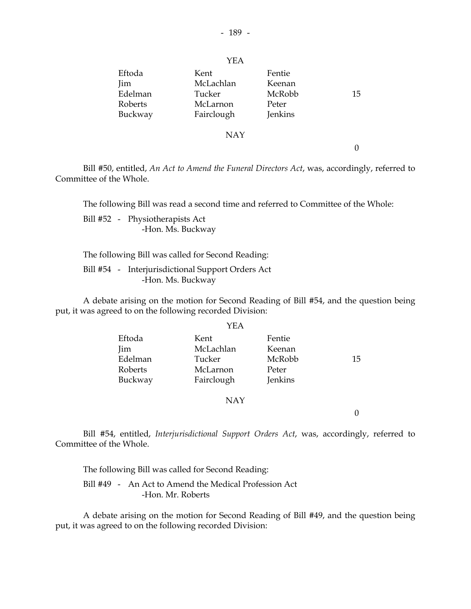|                                                       | YEA                                                   |                                                |    |
|-------------------------------------------------------|-------------------------------------------------------|------------------------------------------------|----|
| Eftoda<br><b>Jim</b><br>Edelman<br>Roberts<br>Buckway | Kent<br>McLachlan<br>Tucker<br>McLarnon<br>Fairclough | Fentie<br>Keenan<br>McRobb<br>Peter<br>Jenkins | 15 |
|                                                       | <b>NAY</b>                                            |                                                |    |

0

 Bill #50, entitled, *An Act to Amend the Funeral Directors Act*, was, accordingly, referred to Committee of the Whole.

The following Bill was read a second time and referred to Committee of the Whole:

 Bill #52 - Physiotherapists Act -Hon. Ms. Buckway

The following Bill was called for Second Reading:

 Bill #54 - Interjurisdictional Support Orders Act -Hon. Ms. Buckway

 A debate arising on the motion for Second Reading of Bill #54, and the question being put, it was agreed to on the following recorded Division:

|         | YEA        |         |    |
|---------|------------|---------|----|
| Eftoda  | Kent       | Fentie  |    |
| Jim     | McLachlan  | Keenan  |    |
| Edelman | Tucker     | McRobb  | 15 |
| Roberts | McLarnon   | Peter   |    |
| Buckway | Fairclough | Jenkins |    |
|         |            |         |    |

NAY

 $\theta$ 

 Bill #54, entitled, *Interjurisdictional Support Orders Act*, was, accordingly, referred to Committee of the Whole.

The following Bill was called for Second Reading:

 Bill #49 - An Act to Amend the Medical Profession Act -Hon. Mr. Roberts

 A debate arising on the motion for Second Reading of Bill #49, and the question being put, it was agreed to on the following recorded Division: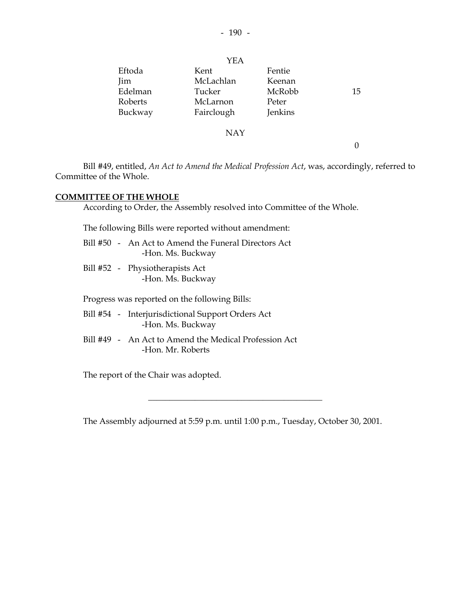|         | YEA        |         |    |
|---------|------------|---------|----|
| Eftoda  | Kent       | Fentie  |    |
| Jim     | McLachlan  | Keenan  |    |
| Edelman | Tucker     | McRobb  | 15 |
| Roberts | McLarnon   | Peter   |    |
| Buckway | Fairclough | Jenkins |    |
|         | <b>NAY</b> |         |    |
|         |            |         |    |

 Bill #49, entitled, *An Act to Amend the Medical Profession Act*, was, accordingly, referred to Committee of the Whole.

#### **COMMITTEE OF THE WHOLE**

According to Order, the Assembly resolved into Committee of the Whole.

The following Bills were reported without amendment:

|  | Bill #50 - An Act to Amend the Funeral Directors Act |
|--|------------------------------------------------------|
|  | -Hon. Ms. Buckway                                    |

 Bill #52 - Physiotherapists Act -Hon. Ms. Buckway

Progress was reported on the following Bills:

- Bill #54 Interjurisdictional Support Orders Act -Hon. Ms. Buckway
- Bill #49 An Act to Amend the Medical Profession Act -Hon. Mr. Roberts

The report of the Chair was adopted.

The Assembly adjourned at 5:59 p.m. until 1:00 p.m., Tuesday, October 30, 2001.

 $\frac{1}{2}$  ,  $\frac{1}{2}$  ,  $\frac{1}{2}$  ,  $\frac{1}{2}$  ,  $\frac{1}{2}$  ,  $\frac{1}{2}$  ,  $\frac{1}{2}$  ,  $\frac{1}{2}$  ,  $\frac{1}{2}$  ,  $\frac{1}{2}$  ,  $\frac{1}{2}$  ,  $\frac{1}{2}$  ,  $\frac{1}{2}$  ,  $\frac{1}{2}$  ,  $\frac{1}{2}$  ,  $\frac{1}{2}$  ,  $\frac{1}{2}$  ,  $\frac{1}{2}$  ,  $\frac{1$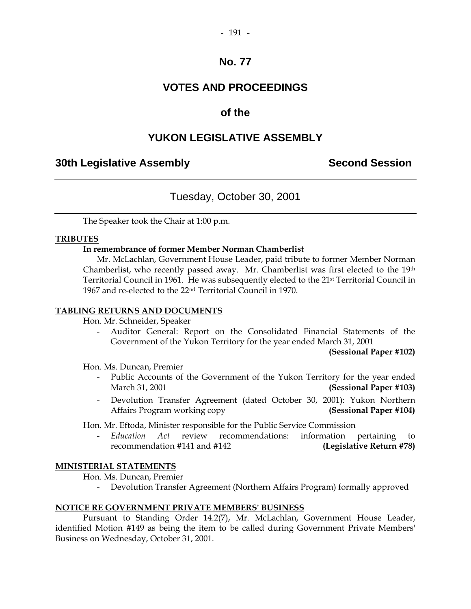## **VOTES AND PROCEEDINGS**

## **of the**

## **YUKON LEGISLATIVE ASSEMBLY**

## **30th Legislative Assembly Second Session**

## Tuesday, October 30, 2001

The Speaker took the Chair at 1:00 p.m.

#### **TRIBUTES**

#### **In remembrance of former Member Norman Chamberlist**

 Mr. McLachlan, Government House Leader, paid tribute to former Member Norman Chamberlist, who recently passed away. Mr. Chamberlist was first elected to the 19th Territorial Council in 1961. He was subsequently elected to the 21st Territorial Council in 1967 and re-elected to the 22nd Territorial Council in 1970.

### **TABLING RETURNS AND DOCUMENTS**

Hon. Mr. Schneider, Speaker

 - Auditor General: Report on the Consolidated Financial Statements of the Government of the Yukon Territory for the year ended March 31, 2001

**(Sessional Paper #102)** 

Hon. Ms. Duncan, Premier

- Public Accounts of the Government of the Yukon Territory for the year ended March 31, 2001 **(Sessional Paper #103)**
- Devolution Transfer Agreement (dated October 30, 2001): Yukon Northern Affairs Program working copy **(Sessional Paper #104)**

Hon. Mr. Eftoda, Minister responsible for the Public Service Commission

 - *Education Act* review recommendations: information pertaining to recommendation #141 and #142 **(Legislative Return #78)** 

#### **MINISTERIAL STATEMENTS**

Hon. Ms. Duncan, Premier

- Devolution Transfer Agreement (Northern Affairs Program) formally approved

#### **NOTICE RE GOVERNMENT PRIVATE MEMBERS' BUSINESS**

 Pursuant to Standing Order 14.2(7), Mr. McLachlan, Government House Leader, identified Motion #149 as being the item to be called during Government Private Members' Business on Wednesday, October 31, 2001.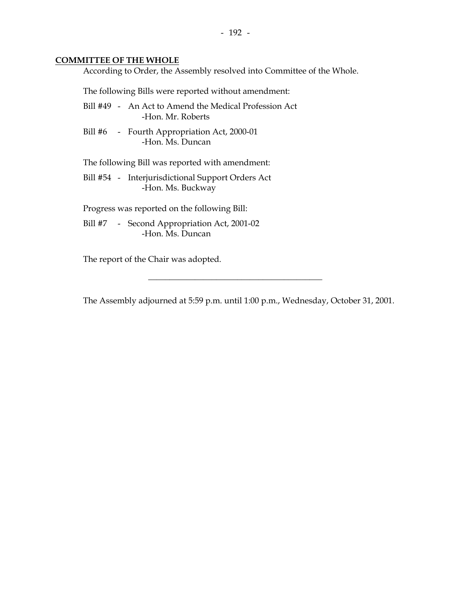#### **COMMITTEE OF THE WHOLE**

According to Order, the Assembly resolved into Committee of the Whole.

The following Bills were reported without amendment:

- Bill #49 An Act to Amend the Medical Profession Act -Hon. Mr. Roberts
- Bill #6 Fourth Appropriation Act, 2000-01 -Hon. Ms. Duncan

The following Bill was reported with amendment:

 Bill #54 - Interjurisdictional Support Orders Act -Hon. Ms. Buckway

Progress was reported on the following Bill:

Bill #7 - Second Appropriation Act, 2001-02 -Hon. Ms. Duncan

The report of the Chair was adopted.

The Assembly adjourned at 5:59 p.m. until 1:00 p.m., Wednesday, October 31, 2001.

\_\_\_\_\_\_\_\_\_\_\_\_\_\_\_\_\_\_\_\_\_\_\_\_\_\_\_\_\_\_\_\_\_\_\_\_\_\_\_\_\_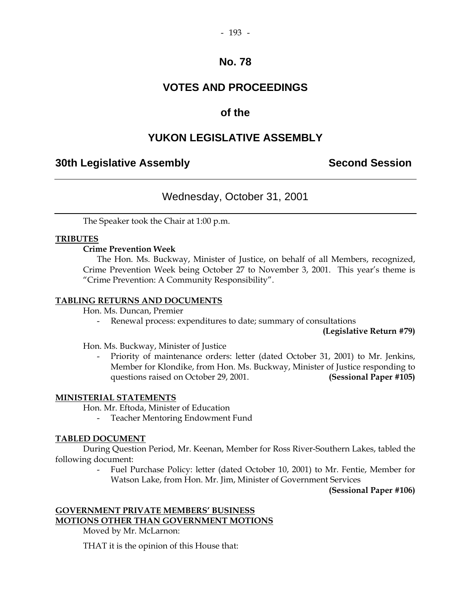## **VOTES AND PROCEEDINGS**

## **of the**

## **YUKON LEGISLATIVE ASSEMBLY**

## **30th Legislative Assembly Second Session**

## Wednesday, October 31, 2001

The Speaker took the Chair at 1:00 p.m.

#### **TRIBUTES**

#### **Crime Prevention Week**

 The Hon. Ms. Buckway, Minister of Justice, on behalf of all Members, recognized, Crime Prevention Week being October 27 to November 3, 2001. This year's theme is "Crime Prevention: A Community Responsibility".

#### **TABLING RETURNS AND DOCUMENTS**

Hon. Ms. Duncan, Premier

- Renewal process: expenditures to date; summary of consultations

**(Legislative Return #79)**

Hon. Ms. Buckway, Minister of Justice

Priority of maintenance orders: letter (dated October 31, 2001) to Mr. Jenkins, Member for Klondike, from Hon. Ms. Buckway, Minister of Justice responding to questions raised on October 29, 2001. **(Sessional Paper #105)** 

#### **MINISTERIAL STATEMENTS**

Hon. Mr. Eftoda, Minister of Education

- Teacher Mentoring Endowment Fund

#### **TABLED DOCUMENT**

 During Question Period, Mr. Keenan, Member for Ross River-Southern Lakes, tabled the following document:

> Fuel Purchase Policy: letter (dated October 10, 2001) to Mr. Fentie, Member for Watson Lake, from Hon. Mr. Jim, Minister of Government Services

> > **(Sessional Paper #106)**

## **GOVERNMENT PRIVATE MEMBERS' BUSINESS MOTIONS OTHER THAN GOVERNMENT MOTIONS**

Moved by Mr. McLarnon:

THAT it is the opinion of this House that: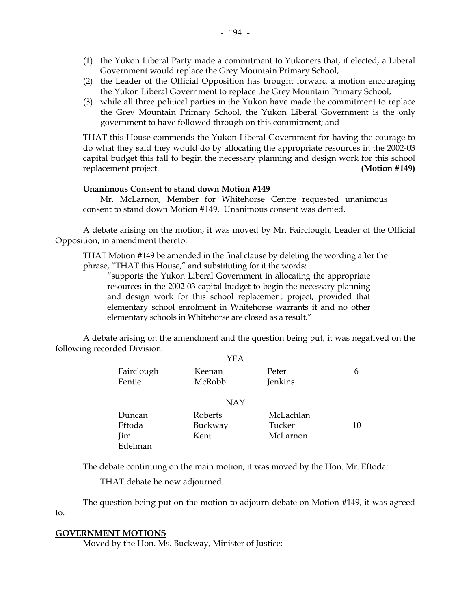- (2) the Leader of the Official Opposition has brought forward a motion encouraging the Yukon Liberal Government to replace the Grey Mountain Primary School,
- (3) while all three political parties in the Yukon have made the commitment to replace the Grey Mountain Primary School, the Yukon Liberal Government is the only government to have followed through on this commitment; and

 THAT this House commends the Yukon Liberal Government for having the courage to do what they said they would do by allocating the appropriate resources in the 2002-03 capital budget this fall to begin the necessary planning and design work for this school replacement project. **(Motion #149)** 

### **Unanimous Consent to stand down Motion #149**

 Mr. McLarnon, Member for Whitehorse Centre requested unanimous consent to stand down Motion #149. Unanimous consent was denied.

 A debate arising on the motion, it was moved by Mr. Fairclough, Leader of the Official Opposition, in amendment thereto:

 THAT Motion #149 be amended in the final clause by deleting the wording after the phrase, "THAT this House," and substituting for it the words:

 "supports the Yukon Liberal Government in allocating the appropriate resources in the 2002-03 capital budget to begin the necessary planning and design work for this school replacement project, provided that elementary school enrolment in Whitehorse warrants it and no other elementary schools in Whitehorse are closed as a result."

 A debate arising on the amendment and the question being put, it was negatived on the following recorded Division:

|                      | YEA              |                  |    |
|----------------------|------------------|------------------|----|
| Fairclough<br>Fentie | Keenan<br>McRobb | Peter<br>Jenkins | 6  |
|                      | <b>NAY</b>       |                  |    |
| Duncan               | Roberts          | McLachlan        |    |
| Eftoda               | Buckway          | Tucker           | 10 |
| Jim                  | Kent             | McLarnon         |    |
| Edelman              |                  |                  |    |

The debate continuing on the main motion, it was moved by the Hon. Mr. Eftoda:

THAT debate be now adjourned.

 The question being put on the motion to adjourn debate on Motion #149, it was agreed to.

#### **GOVERNMENT MOTIONS**

Moved by the Hon. Ms. Buckway, Minister of Justice: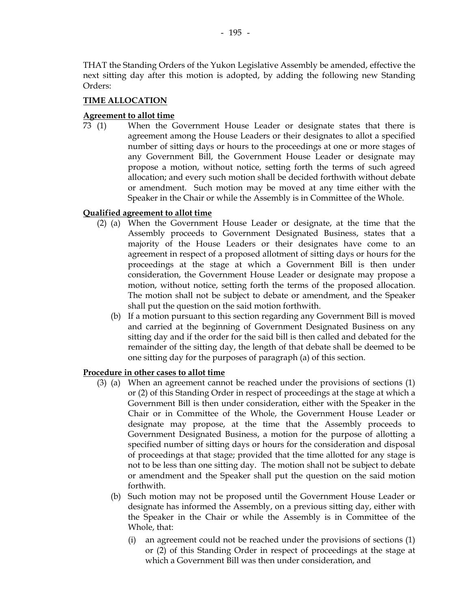THAT the Standing Orders of the Yukon Legislative Assembly be amended, effective the next sitting day after this motion is adopted, by adding the following new Standing Orders:

#### **TIME ALLOCATION**

#### **Agreement to allot time**

 73 (1) When the Government House Leader or designate states that there is agreement among the House Leaders or their designates to allot a specified number of sitting days or hours to the proceedings at one or more stages of any Government Bill, the Government House Leader or designate may propose a motion, without notice, setting forth the terms of such agreed allocation; and every such motion shall be decided forthwith without debate or amendment. Such motion may be moved at any time either with the Speaker in the Chair or while the Assembly is in Committee of the Whole.

#### **Qualified agreement to allot time**

- (2) (a) When the Government House Leader or designate, at the time that the Assembly proceeds to Government Designated Business, states that a majority of the House Leaders or their designates have come to an agreement in respect of a proposed allotment of sitting days or hours for the proceedings at the stage at which a Government Bill is then under consideration, the Government House Leader or designate may propose a motion, without notice, setting forth the terms of the proposed allocation. The motion shall not be subject to debate or amendment, and the Speaker shall put the question on the said motion forthwith.
	- (b) If a motion pursuant to this section regarding any Government Bill is moved and carried at the beginning of Government Designated Business on any sitting day and if the order for the said bill is then called and debated for the remainder of the sitting day, the length of that debate shall be deemed to be one sitting day for the purposes of paragraph (a) of this section.

#### **Procedure in other cases to allot time**

- (3) (a) When an agreement cannot be reached under the provisions of sections (1) or (2) of this Standing Order in respect of proceedings at the stage at which a Government Bill is then under consideration, either with the Speaker in the Chair or in Committee of the Whole, the Government House Leader or designate may propose, at the time that the Assembly proceeds to Government Designated Business, a motion for the purpose of allotting a specified number of sitting days or hours for the consideration and disposal of proceedings at that stage; provided that the time allotted for any stage is not to be less than one sitting day. The motion shall not be subject to debate or amendment and the Speaker shall put the question on the said motion forthwith.
	- (b) Such motion may not be proposed until the Government House Leader or designate has informed the Assembly, on a previous sitting day, either with the Speaker in the Chair or while the Assembly is in Committee of the Whole, that:
		- (i) an agreement could not be reached under the provisions of sections (1) or (2) of this Standing Order in respect of proceedings at the stage at which a Government Bill was then under consideration, and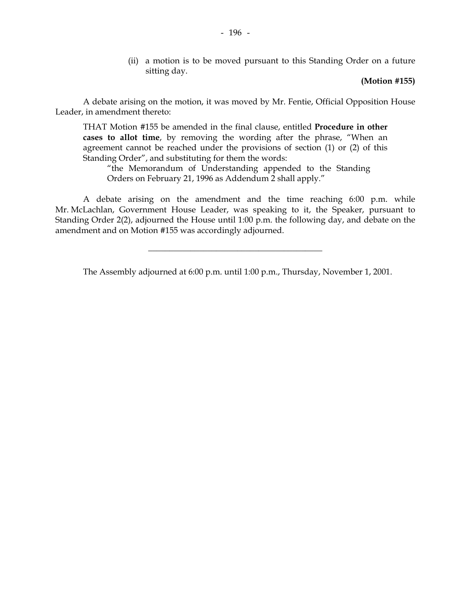(ii) a motion is to be moved pursuant to this Standing Order on a future sitting day.

#### **(Motion #155)**

 A debate arising on the motion, it was moved by Mr. Fentie, Official Opposition House Leader, in amendment thereto:

 THAT Motion #155 be amended in the final clause, entitled **Procedure in other cases to allot time**, by removing the wording after the phrase, "When an agreement cannot be reached under the provisions of section (1) or (2) of this Standing Order", and substituting for them the words:

 "the Memorandum of Understanding appended to the Standing Orders on February 21, 1996 as Addendum 2 shall apply."

 A debate arising on the amendment and the time reaching 6:00 p.m. while Mr. McLachlan, Government House Leader, was speaking to it, the Speaker, pursuant to Standing Order 2(2), adjourned the House until 1:00 p.m. the following day, and debate on the amendment and on Motion #155 was accordingly adjourned.

The Assembly adjourned at 6:00 p.m. until 1:00 p.m., Thursday, November 1, 2001.

 $\frac{1}{2}$  ,  $\frac{1}{2}$  ,  $\frac{1}{2}$  ,  $\frac{1}{2}$  ,  $\frac{1}{2}$  ,  $\frac{1}{2}$  ,  $\frac{1}{2}$  ,  $\frac{1}{2}$  ,  $\frac{1}{2}$  ,  $\frac{1}{2}$  ,  $\frac{1}{2}$  ,  $\frac{1}{2}$  ,  $\frac{1}{2}$  ,  $\frac{1}{2}$  ,  $\frac{1}{2}$  ,  $\frac{1}{2}$  ,  $\frac{1}{2}$  ,  $\frac{1}{2}$  ,  $\frac{1$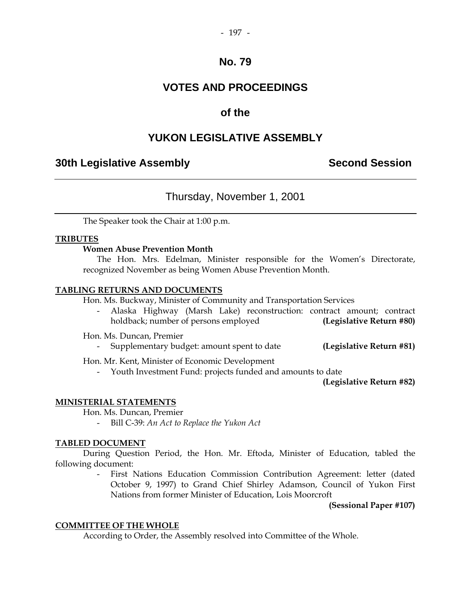## **VOTES AND PROCEEDINGS**

## **of the**

## **YUKON LEGISLATIVE ASSEMBLY**

## **30th Legislative Assembly Second Session**

## Thursday, November 1, 2001

The Speaker took the Chair at 1:00 p.m.

#### **TRIBUTES**

#### **Women Abuse Prevention Month**

 The Hon. Mrs. Edelman, Minister responsible for the Women's Directorate, recognized November as being Women Abuse Prevention Month.

#### **TABLING RETURNS AND DOCUMENTS**

Hon. Ms. Buckway, Minister of Community and Transportation Services

 - Alaska Highway (Marsh Lake) reconstruction: contract amount; contract holdback; number of persons employed **(Legislative Return #80)** 

Hon. Ms. Duncan, Premier

- Supplementary budget: amount spent to date **(Legislative Return #81)** 

Hon. Mr. Kent, Minister of Economic Development

- Youth Investment Fund: projects funded and amounts to date

**(Legislative Return #82)** 

### **MINISTERIAL STATEMENTS**

Hon. Ms. Duncan, Premier

- Bill C-39: *An Act to Replace the Yukon Act*

#### **TABLED DOCUMENT**

 During Question Period, the Hon. Mr. Eftoda, Minister of Education, tabled the following document:

> - First Nations Education Commission Contribution Agreement: letter (dated October 9, 1997) to Grand Chief Shirley Adamson, Council of Yukon First Nations from former Minister of Education, Lois Moorcroft

> > **(Sessional Paper #107)**

#### **COMMITTEE OF THE WHOLE**

According to Order, the Assembly resolved into Committee of the Whole.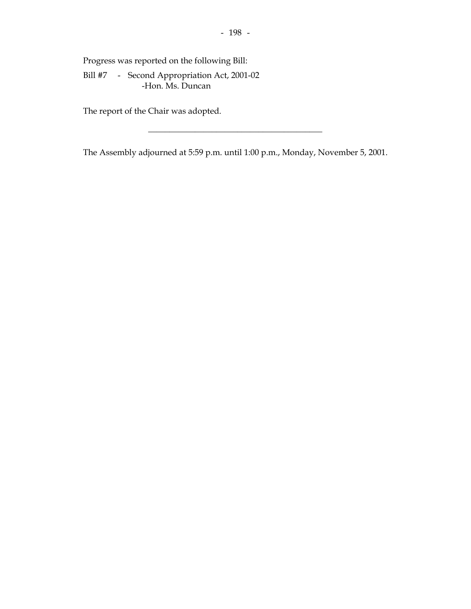Progress was reported on the following Bill:

 Bill #7 - Second Appropriation Act, 2001-02 -Hon. Ms. Duncan

The report of the Chair was adopted.

The Assembly adjourned at 5:59 p.m. until 1:00 p.m., Monday, November 5, 2001.

\_\_\_\_\_\_\_\_\_\_\_\_\_\_\_\_\_\_\_\_\_\_\_\_\_\_\_\_\_\_\_\_\_\_\_\_\_\_\_\_\_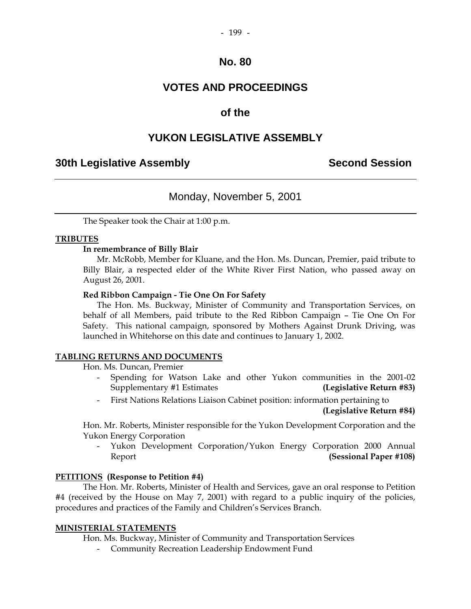#### $-199-$

## **No. 80**

## **VOTES AND PROCEEDINGS**

## **of the**

## **YUKON LEGISLATIVE ASSEMBLY**

## **30th Legislative Assembly Second Session**

## Monday, November 5, 2001

The Speaker took the Chair at 1:00 p.m.

### **TRIBUTES**

#### **In remembrance of Billy Blair**

 Mr. McRobb, Member for Kluane, and the Hon. Ms. Duncan, Premier, paid tribute to Billy Blair, a respected elder of the White River First Nation, who passed away on August 26, 2001.

#### **Red Ribbon Campaign - Tie One On For Safety**

 The Hon. Ms. Buckway, Minister of Community and Transportation Services, on behalf of all Members, paid tribute to the Red Ribbon Campaign – Tie One On For Safety. This national campaign, sponsored by Mothers Against Drunk Driving, was launched in Whitehorse on this date and continues to January 1, 2002.

#### **TABLING RETURNS AND DOCUMENTS**

Hon. Ms. Duncan, Premier

- Spending for Watson Lake and other Yukon communities in the 2001-02 Supplementary #1 Estimates **(Legislative Return #83)**
- First Nations Relations Liaison Cabinet position: information pertaining to

**(Legislative Return #84)**

 Hon. Mr. Roberts, Minister responsible for the Yukon Development Corporation and the Yukon Energy Corporation

Yukon Development Corporation/Yukon Energy Corporation 2000 Annual Report **(Sessional Paper #108)** 

#### **PETITIONS (Response to Petition #4)**

 The Hon. Mr. Roberts, Minister of Health and Services, gave an oral response to Petition #4 (received by the House on May 7, 2001) with regard to a public inquiry of the policies, procedures and practices of the Family and Children's Services Branch.

### **MINISTERIAL STATEMENTS**

Hon. Ms. Buckway, Minister of Community and Transportation Services

- Community Recreation Leadership Endowment Fund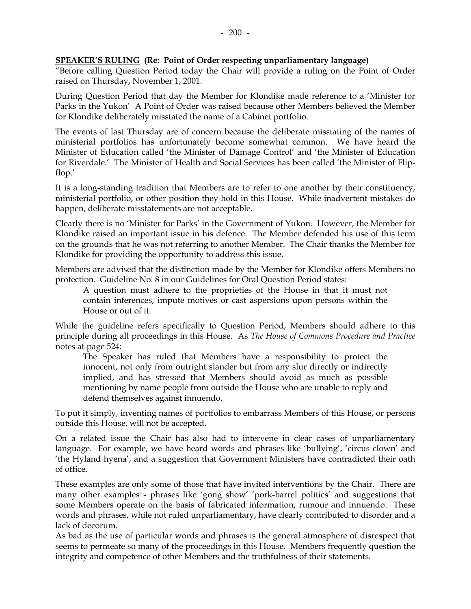### **SPEAKER'S RULING (Re: Point of Order respecting unparliamentary language)**

"Before calling Question Period today the Chair will provide a ruling on the Point of Order raised on Thursday, November 1, 2001.

During Question Period that day the Member for Klondike made reference to a 'Minister for Parks in the Yukon' A Point of Order was raised because other Members believed the Member for Klondike deliberately misstated the name of a Cabinet portfolio.

The events of last Thursday are of concern because the deliberate misstating of the names of ministerial portfolios has unfortunately become somewhat common. We have heard the Minister of Education called 'the Minister of Damage Control' and 'the Minister of Education for Riverdale.' The Minister of Health and Social Services has been called 'the Minister of Flipflop.'

It is a long-standing tradition that Members are to refer to one another by their constituency, ministerial portfolio, or other position they hold in this House. While inadvertent mistakes do happen, deliberate misstatements are not acceptable.

Clearly there is no 'Minister for Parks' in the Government of Yukon. However, the Member for Klondike raised an important issue in his defence. The Member defended his use of this term on the grounds that he was not referring to another Member. The Chair thanks the Member for Klondike for providing the opportunity to address this issue.

Members are advised that the distinction made by the Member for Klondike offers Members no protection. Guideline No. 8 in our Guidelines for Oral Question Period states:

 A question must adhere to the proprieties of the House in that it must not contain inferences, impute motives or cast aspersions upon persons within the House or out of it.

While the guideline refers specifically to Question Period, Members should adhere to this principle during all proceedings in this House. As *The House of Commons Procedure and Practice* notes at page 524:

 The Speaker has ruled that Members have a responsibility to protect the innocent, not only from outright slander but from any slur directly or indirectly implied, and has stressed that Members should avoid as much as possible mentioning by name people from outside the House who are unable to reply and defend themselves against innuendo.

To put it simply, inventing names of portfolios to embarrass Members of this House, or persons outside this House, will not be accepted.

On a related issue the Chair has also had to intervene in clear cases of unparliamentary language. For example, we have heard words and phrases like 'bullying', 'circus clown' and 'the Hyland hyena', and a suggestion that Government Ministers have contradicted their oath of office.

These examples are only some of those that have invited interventions by the Chair. There are many other examples - phrases like 'gong show' 'pork-barrel politics' and suggestions that some Members operate on the basis of fabricated information, rumour and innuendo. These words and phrases, while not ruled unparliamentary, have clearly contributed to disorder and a lack of decorum.

As bad as the use of particular words and phrases is the general atmosphere of disrespect that seems to permeate so many of the proceedings in this House. Members frequently question the integrity and competence of other Members and the truthfulness of their statements.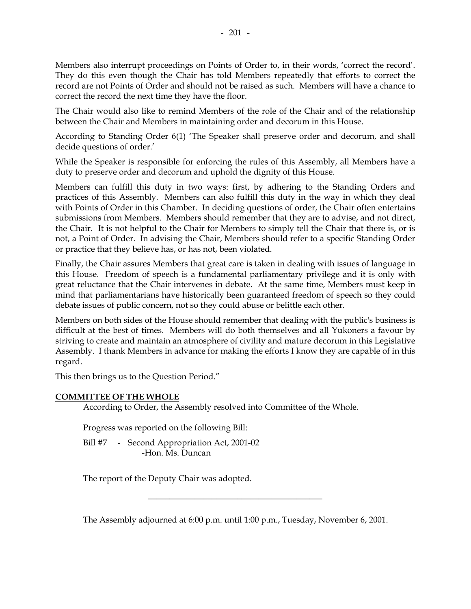Members also interrupt proceedings on Points of Order to, in their words, 'correct the record'. They do this even though the Chair has told Members repeatedly that efforts to correct the record are not Points of Order and should not be raised as such. Members will have a chance to correct the record the next time they have the floor.

The Chair would also like to remind Members of the role of the Chair and of the relationship between the Chair and Members in maintaining order and decorum in this House.

According to Standing Order 6(1) 'The Speaker shall preserve order and decorum, and shall decide questions of order.'

While the Speaker is responsible for enforcing the rules of this Assembly, all Members have a duty to preserve order and decorum and uphold the dignity of this House.

Members can fulfill this duty in two ways: first, by adhering to the Standing Orders and practices of this Assembly. Members can also fulfill this duty in the way in which they deal with Points of Order in this Chamber. In deciding questions of order, the Chair often entertains submissions from Members. Members should remember that they are to advise, and not direct, the Chair. It is not helpful to the Chair for Members to simply tell the Chair that there is, or is not, a Point of Order. In advising the Chair, Members should refer to a specific Standing Order or practice that they believe has, or has not, been violated.

Finally, the Chair assures Members that great care is taken in dealing with issues of language in this House. Freedom of speech is a fundamental parliamentary privilege and it is only with great reluctance that the Chair intervenes in debate. At the same time, Members must keep in mind that parliamentarians have historically been guaranteed freedom of speech so they could debate issues of public concern, not so they could abuse or belittle each other.

Members on both sides of the House should remember that dealing with the public's business is difficult at the best of times. Members will do both themselves and all Yukoners a favour by striving to create and maintain an atmosphere of civility and mature decorum in this Legislative Assembly. I thank Members in advance for making the efforts I know they are capable of in this regard.

This then brings us to the Question Period."

#### **COMMITTEE OF THE WHOLE**

According to Order, the Assembly resolved into Committee of the Whole.

Progress was reported on the following Bill:

Bill #7 - Second Appropriation Act, 2001-02 -Hon. Ms. Duncan

The report of the Deputy Chair was adopted.

The Assembly adjourned at 6:00 p.m. until 1:00 p.m., Tuesday, November 6, 2001.

\_\_\_\_\_\_\_\_\_\_\_\_\_\_\_\_\_\_\_\_\_\_\_\_\_\_\_\_\_\_\_\_\_\_\_\_\_\_\_\_\_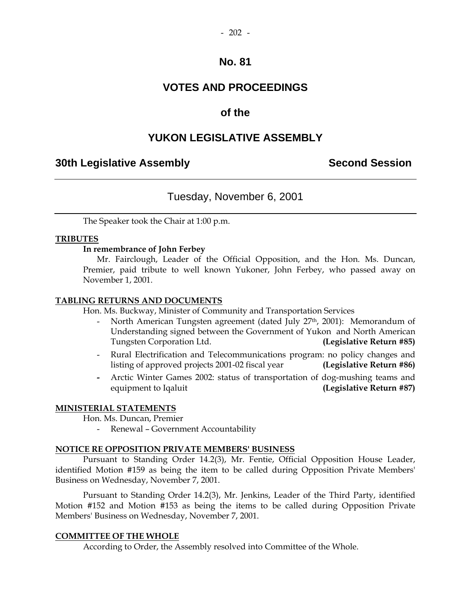## **VOTES AND PROCEEDINGS**

## **of the**

## **YUKON LEGISLATIVE ASSEMBLY**

## **30th Legislative Assembly Second Session**

## Tuesday, November 6, 2001

The Speaker took the Chair at 1:00 p.m.

#### **TRIBUTES**

#### **In remembrance of John Ferbey**

 Mr. Fairclough, Leader of the Official Opposition, and the Hon. Ms. Duncan, Premier, paid tribute to well known Yukoner, John Ferbey, who passed away on November 1, 2001.

#### **TABLING RETURNS AND DOCUMENTS**

Hon. Ms. Buckway, Minister of Community and Transportation Services

- North American Tungsten agreement (dated July 27<sup>th</sup>, 2001): Memorandum of Understanding signed between the Government of Yukon and North American Tungsten Corporation Ltd. **(Legislative Return #85)**
- Rural Electrification and Telecommunications program: no policy changes and listing of approved projects 2001-02 fiscal year **(Legislative Return #86)**
- Arctic Winter Games 2002: status of transportation of dog-mushing teams and equipment to Iqaluit **(Legislative Return #87)**

### **MINISTERIAL STATEMENTS**

Hon. Ms. Duncan, Premier

- Renewal – Government Accountability

#### **NOTICE RE OPPOSITION PRIVATE MEMBERS' BUSINESS**

 Pursuant to Standing Order 14.2(3), Mr. Fentie, Official Opposition House Leader, identified Motion #159 as being the item to be called during Opposition Private Members' Business on Wednesday, November 7, 2001.

 Pursuant to Standing Order 14.2(3), Mr. Jenkins, Leader of the Third Party, identified Motion #152 and Motion #153 as being the items to be called during Opposition Private Members' Business on Wednesday, November 7, 2001.

#### **COMMITTEE OF THE WHOLE**

According to Order, the Assembly resolved into Committee of the Whole.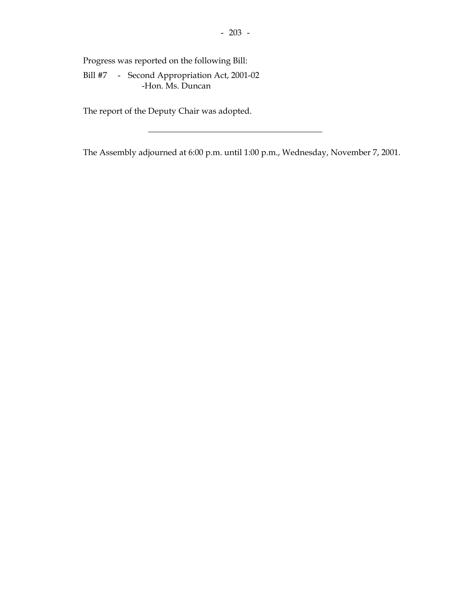Progress was reported on the following Bill:

 Bill #7 - Second Appropriation Act, 2001-02 -Hon. Ms. Duncan

The report of the Deputy Chair was adopted.

The Assembly adjourned at 6:00 p.m. until 1:00 p.m., Wednesday, November 7, 2001.

\_\_\_\_\_\_\_\_\_\_\_\_\_\_\_\_\_\_\_\_\_\_\_\_\_\_\_\_\_\_\_\_\_\_\_\_\_\_\_\_\_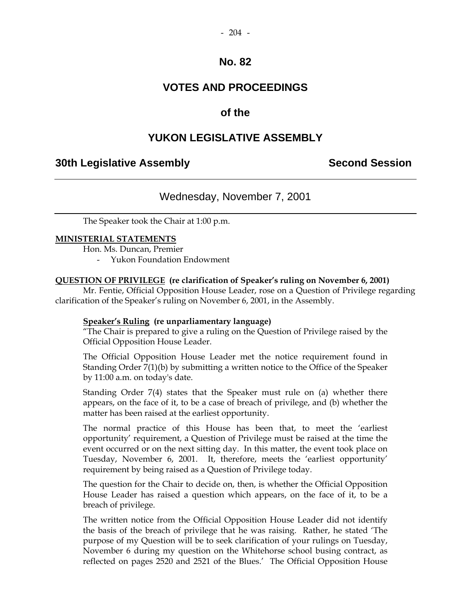## **VOTES AND PROCEEDINGS**

## **of the**

## **YUKON LEGISLATIVE ASSEMBLY**

## **30th Legislative Assembly Second Session**

## Wednesday, November 7, 2001

The Speaker took the Chair at 1:00 p.m.

### **MINISTERIAL STATEMENTS**

Hon. Ms. Duncan, Premier

- Yukon Foundation Endowment

### **QUESTION OF PRIVILEGE (re clarification of Speaker's ruling on November 6, 2001)**

 Mr. Fentie, Official Opposition House Leader, rose on a Question of Privilege regarding clarification of the Speaker's ruling on November 6, 2001, in the Assembly.

### **Speaker's Ruling (re unparliamentary language)**

 "The Chair is prepared to give a ruling on the Question of Privilege raised by the Official Opposition House Leader.

 The Official Opposition House Leader met the notice requirement found in Standing Order 7(1)(b) by submitting a written notice to the Office of the Speaker by 11:00 a.m. on today's date.

 Standing Order 7(4) states that the Speaker must rule on (a) whether there appears, on the face of it, to be a case of breach of privilege, and (b) whether the matter has been raised at the earliest opportunity.

 The normal practice of this House has been that, to meet the 'earliest opportunity' requirement, a Question of Privilege must be raised at the time the event occurred or on the next sitting day. In this matter, the event took place on Tuesday, November 6, 2001. It, therefore, meets the 'earliest opportunity' requirement by being raised as a Question of Privilege today.

 The question for the Chair to decide on, then, is whether the Official Opposition House Leader has raised a question which appears, on the face of it, to be a breach of privilege.

 The written notice from the Official Opposition House Leader did not identify the basis of the breach of privilege that he was raising. Rather, he stated 'The purpose of my Question will be to seek clarification of your rulings on Tuesday, November 6 during my question on the Whitehorse school busing contract, as reflected on pages 2520 and 2521 of the Blues.' The Official Opposition House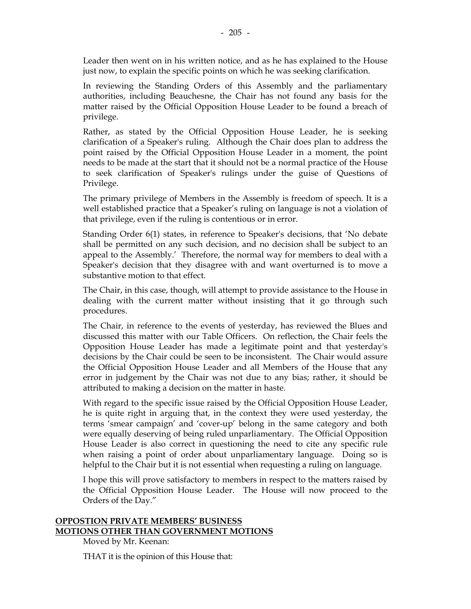Leader then went on in his written notice, and as he has explained to the House just now, to explain the specific points on which he was seeking clarification.

 In reviewing the Standing Orders of this Assembly and the parliamentary authorities, including Beauchesne, the Chair has not found any basis for the matter raised by the Official Opposition House Leader to be found a breach of privilege.

 Rather, as stated by the Official Opposition House Leader, he is seeking clarification of a Speaker's ruling. Although the Chair does plan to address the point raised by the Official Opposition House Leader in a moment, the point needs to be made at the start that it should not be a normal practice of the House to seek clarification of Speaker's rulings under the guise of Questions of Privilege.

 The primary privilege of Members in the Assembly is freedom of speech. It is a well established practice that a Speaker's ruling on language is not a violation of that privilege, even if the ruling is contentious or in error.

 Standing Order 6(1) states, in reference to Speaker's decisions, that 'No debate shall be permitted on any such decision, and no decision shall be subject to an appeal to the Assembly.' Therefore, the normal way for members to deal with a Speaker's decision that they disagree with and want overturned is to move a substantive motion to that effect.

 The Chair, in this case, though, will attempt to provide assistance to the House in dealing with the current matter without insisting that it go through such procedures.

 The Chair, in reference to the events of yesterday, has reviewed the Blues and discussed this matter with our Table Officers. On reflection, the Chair feels the Opposition House Leader has made a legitimate point and that yesterday's decisions by the Chair could be seen to be inconsistent. The Chair would assure the Official Opposition House Leader and all Members of the House that any error in judgement by the Chair was not due to any bias; rather, it should be attributed to making a decision on the matter in haste.

 With regard to the specific issue raised by the Official Opposition House Leader, he is quite right in arguing that, in the context they were used yesterday, the terms 'smear campaign' and 'cover-up' belong in the same category and both were equally deserving of being ruled unparliamentary. The Official Opposition House Leader is also correct in questioning the need to cite any specific rule when raising a point of order about unparliamentary language. Doing so is helpful to the Chair but it is not essential when requesting a ruling on language.

 I hope this will prove satisfactory to members in respect to the matters raised by the Official Opposition House Leader. The House will now proceed to the Orders of the Day."

## **OPPOSTION PRIVATE MEMBERS' BUSINESS MOTIONS OTHER THAN GOVERNMENT MOTIONS**

Moved by Mr. Keenan:

THAT it is the opinion of this House that: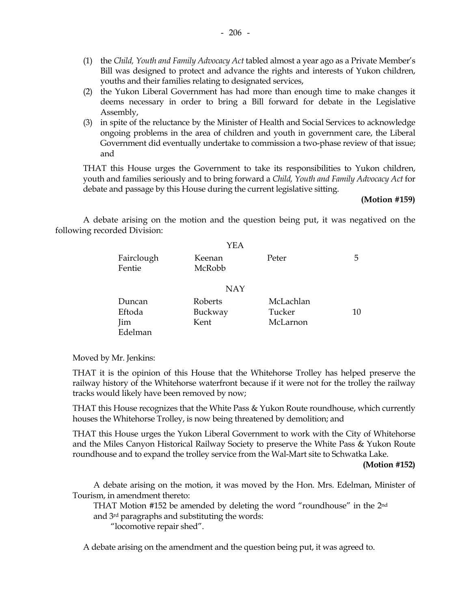- (1) the *Child, Youth and Family Advocacy Act* tabled almost a year ago as a Private Member's Bill was designed to protect and advance the rights and interests of Yukon children, youths and their families relating to designated services,
- (2) the Yukon Liberal Government has had more than enough time to make changes it deems necessary in order to bring a Bill forward for debate in the Legislative Assembly,
- (3) in spite of the reluctance by the Minister of Health and Social Services to acknowledge ongoing problems in the area of children and youth in government care, the Liberal Government did eventually undertake to commission a two-phase review of that issue; and

 THAT this House urges the Government to take its responsibilities to Yukon children, youth and families seriously and to bring forward a *Child, Youth and Family Advocacy Act* for debate and passage by this House during the current legislative sitting.

#### **(Motion #159)**

 A debate arising on the motion and the question being put, it was negatived on the following recorded Division:

|                      | YEA              |           |    |
|----------------------|------------------|-----------|----|
| Fairclough<br>Fentie | Keenan<br>McRobb | Peter     | 5  |
|                      | <b>NAY</b>       |           |    |
| Duncan               | Roberts          | McLachlan |    |
| Eftoda               | Buckway          | Tucker    | 10 |
| Jim                  | Kent             | McLarnon  |    |
| Edelman              |                  |           |    |

Moved by Mr. Jenkins:

 THAT it is the opinion of this House that the Whitehorse Trolley has helped preserve the railway history of the Whitehorse waterfront because if it were not for the trolley the railway tracks would likely have been removed by now;

 THAT this House recognizes that the White Pass & Yukon Route roundhouse, which currently houses the Whitehorse Trolley, is now being threatened by demolition; and

 THAT this House urges the Yukon Liberal Government to work with the City of Whitehorse and the Miles Canyon Historical Railway Society to preserve the White Pass & Yukon Route roundhouse and to expand the trolley service from the Wal-Mart site to Schwatka Lake.

**(Motion #152)**

 A debate arising on the motion, it was moved by the Hon. Mrs. Edelman, Minister of Tourism, in amendment thereto:

THAT Motion #152 be amended by deleting the word "roundhouse" in the 2nd

and 3rd paragraphs and substituting the words:

"locomotive repair shed".

A debate arising on the amendment and the question being put, it was agreed to.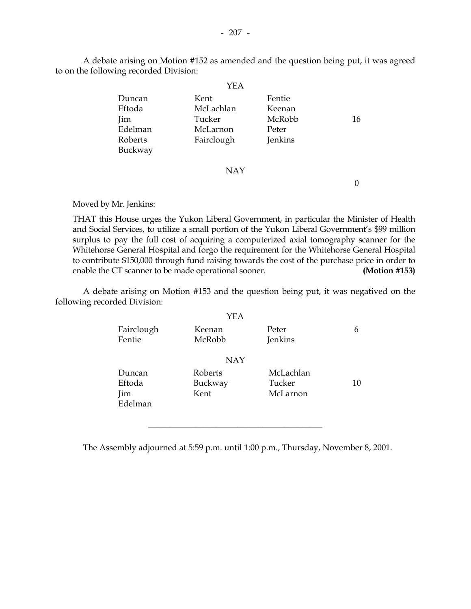A debate arising on Motion #152 as amended and the question being put, it was agreed to on the following recorded Division:

|                                                          | YEA                                                   |                                                |    |
|----------------------------------------------------------|-------------------------------------------------------|------------------------------------------------|----|
| Duncan<br>Eftoda<br>Jim<br>Edelman<br>Roberts<br>Buckway | Kent<br>McLachlan<br>Tucker<br>McLarnon<br>Fairclough | Fentie<br>Keenan<br>McRobb<br>Peter<br>Jenkins | 16 |
|                                                          | <b>NAY</b>                                            |                                                |    |

Moved by Mr. Jenkins:

 THAT this House urges the Yukon Liberal Government, in particular the Minister of Health and Social Services, to utilize a small portion of the Yukon Liberal Government's \$99 million surplus to pay the full cost of acquiring a computerized axial tomography scanner for the Whitehorse General Hospital and forgo the requirement for the Whitehorse General Hospital to contribute \$150,000 through fund raising towards the cost of the purchase price in order to enable the CT scanner to be made operational sooner. **(Motion #153)**

 A debate arising on Motion #153 and the question being put, it was negatived on the following recorded Division:

|            | YEA           |           |    |  |
|------------|---------------|-----------|----|--|
| Fairclough | <b>Keenan</b> | Peter     | 6  |  |
| Fentie     | McRobb        | Jenkins   |    |  |
| <b>NAY</b> |               |           |    |  |
| Duncan     | Roberts       | McLachlan |    |  |
| Eftoda     | Buckway       | Tucker    | 10 |  |
| Jim        | Kent          | McLarnon  |    |  |
| Edelman    |               |           |    |  |
|            |               |           |    |  |
|            |               |           |    |  |

The Assembly adjourned at 5:59 p.m. until 1:00 p.m., Thursday, November 8, 2001.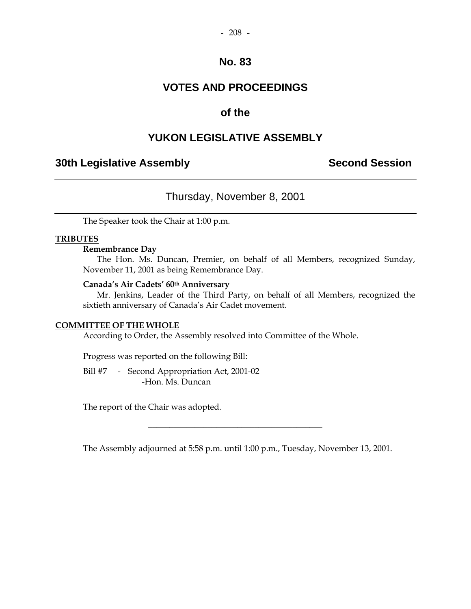## **VOTES AND PROCEEDINGS**

## **of the**

## **YUKON LEGISLATIVE ASSEMBLY**

## **30th Legislative Assembly Second Session**

## Thursday, November 8, 2001

The Speaker took the Chair at 1:00 p.m.

#### **TRIBUTES**

#### **Remembrance Day**

The Hon. Ms. Duncan, Premier, on behalf of all Members, recognized Sunday, November 11, 2001 as being Remembrance Day.

#### **Canada's Air Cadets' 60th Anniversary**

 Mr. Jenkins, Leader of the Third Party, on behalf of all Members, recognized the sixtieth anniversary of Canada's Air Cadet movement.

#### **COMMITTEE OF THE WHOLE**

According to Order, the Assembly resolved into Committee of the Whole.

Progress was reported on the following Bill:

Bill #7 - Second Appropriation Act, 2001-02 -Hon. Ms. Duncan

The report of the Chair was adopted.

The Assembly adjourned at 5:58 p.m. until 1:00 p.m., Tuesday, November 13, 2001.

\_\_\_\_\_\_\_\_\_\_\_\_\_\_\_\_\_\_\_\_\_\_\_\_\_\_\_\_\_\_\_\_\_\_\_\_\_\_\_\_\_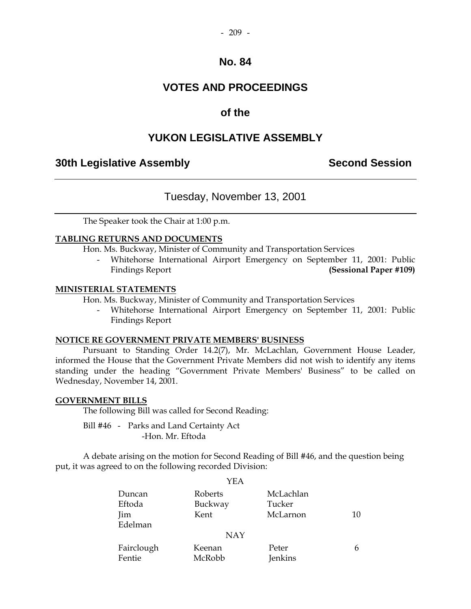#### $-209 -$

## **No. 84**

## **VOTES AND PROCEEDINGS**

## **of the**

## **YUKON LEGISLATIVE ASSEMBLY**

## **30th Legislative Assembly Second Session**

## Tuesday, November 13, 2001

The Speaker took the Chair at 1:00 p.m.

#### **TABLING RETURNS AND DOCUMENTS**

Hon. Ms. Buckway, Minister of Community and Transportation Services

Whitehorse International Airport Emergency on September 11, 2001: Public Findings Report **(Sessional Paper #109)** 

#### **MINISTERIAL STATEMENTS**

Hon. Ms. Buckway, Minister of Community and Transportation Services

 - Whitehorse International Airport Emergency on September 11, 2001: Public Findings Report

#### **NOTICE RE GOVERNMENT PRIVATE MEMBERS' BUSINESS**

 Pursuant to Standing Order 14.2(7), Mr. McLachlan, Government House Leader, informed the House that the Government Private Members did not wish to identify any items standing under the heading "Government Private Members' Business" to be called on Wednesday, November 14, 2001.

#### **GOVERNMENT BILLS**

The following Bill was called for Second Reading:

 Bill #46 - Parks and Land Certainty Act -Hon. Mr. Eftoda

 A debate arising on the motion for Second Reading of Bill #46, and the question being put, it was agreed to on the following recorded Division:

|            | YEA        |           |    |
|------------|------------|-----------|----|
| Duncan     | Roberts    | McLachlan |    |
| Eftoda     | Buckway    | Tucker    |    |
| Jim        | Kent       | McLarnon  | 10 |
| Edelman    |            |           |    |
|            | <b>NAY</b> |           |    |
| Fairclough | Keenan     | Peter     | h  |
| Fentie     | McRobb     | Jenkins   |    |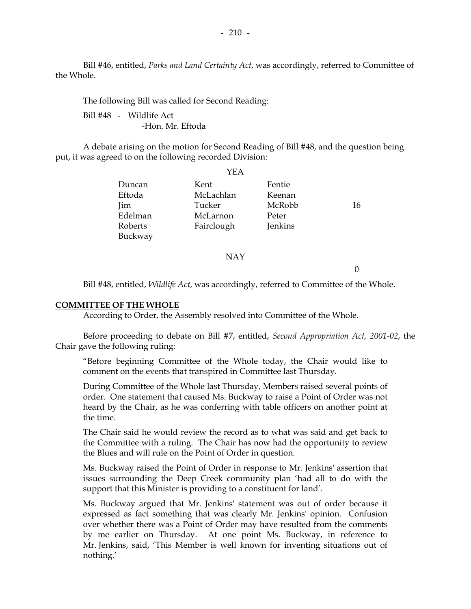Bill #46, entitled, *Parks and Land Certainty Act*, was accordingly, referred to Committee of the Whole.

The following Bill was called for Second Reading:

 Bill #48 - Wildlife Act -Hon. Mr. Eftoda

 A debate arising on the motion for Second Reading of Bill #48, and the question being put, it was agreed to on the following recorded Division:

|         | YEA        |         |    |
|---------|------------|---------|----|
| Duncan  | Kent       | Fentie  |    |
| Eftoda  | McLachlan  | Keenan  |    |
| Jim     | Tucker     | McRobb  | 16 |
| Edelman | McLarnon   | Peter   |    |
| Roberts | Fairclough | Jenkins |    |
| Buckway |            |         |    |
|         | NAY        |         |    |

 $\Omega$ 

Bill #48, entitled, *Wildlife Act*, was accordingly, referred to Committee of the Whole.

#### **COMMITTEE OF THE WHOLE**

According to Order, the Assembly resolved into Committee of the Whole.

 Before proceeding to debate on Bill #7, entitled, *Second Appropriation Act, 2001-02*, the Chair gave the following ruling:

"Before beginning Committee of the Whole today, the Chair would like to comment on the events that transpired in Committee last Thursday.

During Committee of the Whole last Thursday, Members raised several points of order. One statement that caused Ms. Buckway to raise a Point of Order was not heard by the Chair, as he was conferring with table officers on another point at the time.

The Chair said he would review the record as to what was said and get back to the Committee with a ruling. The Chair has now had the opportunity to review the Blues and will rule on the Point of Order in question.

Ms. Buckway raised the Point of Order in response to Mr. Jenkins' assertion that issues surrounding the Deep Creek community plan 'had all to do with the support that this Minister is providing to a constituent for land'.

Ms. Buckway argued that Mr. Jenkins' statement was out of order because it expressed as fact something that was clearly Mr. Jenkins' opinion. Confusion over whether there was a Point of Order may have resulted from the comments by me earlier on Thursday. At one point Ms. Buckway, in reference to Mr. Jenkins, said, 'This Member is well known for inventing situations out of nothing.'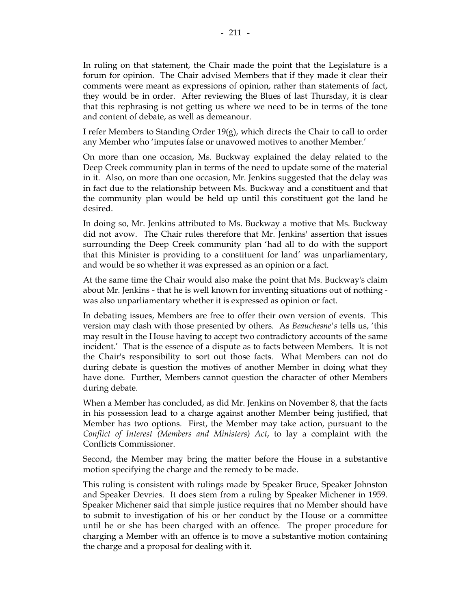they would be in order. After reviewing the Blues of last Thursday, it is clear that this rephrasing is not getting us where we need to be in terms of the tone and content of debate, as well as demeanour.

I refer Members to Standing Order 19(g), which directs the Chair to call to order any Member who 'imputes false or unavowed motives to another Member.'

On more than one occasion, Ms. Buckway explained the delay related to the Deep Creek community plan in terms of the need to update some of the material in it. Also, on more than one occasion, Mr. Jenkins suggested that the delay was in fact due to the relationship between Ms. Buckway and a constituent and that the community plan would be held up until this constituent got the land he desired.

In doing so, Mr. Jenkins attributed to Ms. Buckway a motive that Ms. Buckway did not avow. The Chair rules therefore that Mr. Jenkins' assertion that issues surrounding the Deep Creek community plan 'had all to do with the support that this Minister is providing to a constituent for land' was unparliamentary, and would be so whether it was expressed as an opinion or a fact.

At the same time the Chair would also make the point that Ms. Buckway's claim about Mr. Jenkins - that he is well known for inventing situations out of nothing was also unparliamentary whether it is expressed as opinion or fact.

In debating issues, Members are free to offer their own version of events. This version may clash with those presented by others. As *Beauchesne's* tells us, 'this may result in the House having to accept two contradictory accounts of the same incident.' That is the essence of a dispute as to facts between Members. It is not the Chair's responsibility to sort out those facts. What Members can not do during debate is question the motives of another Member in doing what they have done. Further, Members cannot question the character of other Members during debate.

When a Member has concluded, as did Mr. Jenkins on November 8, that the facts in his possession lead to a charge against another Member being justified, that Member has two options. First, the Member may take action, pursuant to the *Conflict of Interest (Members and Ministers) Act*, to lay a complaint with the Conflicts Commissioner.

Second, the Member may bring the matter before the House in a substantive motion specifying the charge and the remedy to be made.

This ruling is consistent with rulings made by Speaker Bruce, Speaker Johnston and Speaker Devries. It does stem from a ruling by Speaker Michener in 1959. Speaker Michener said that simple justice requires that no Member should have to submit to investigation of his or her conduct by the House or a committee until he or she has been charged with an offence. The proper procedure for charging a Member with an offence is to move a substantive motion containing the charge and a proposal for dealing with it.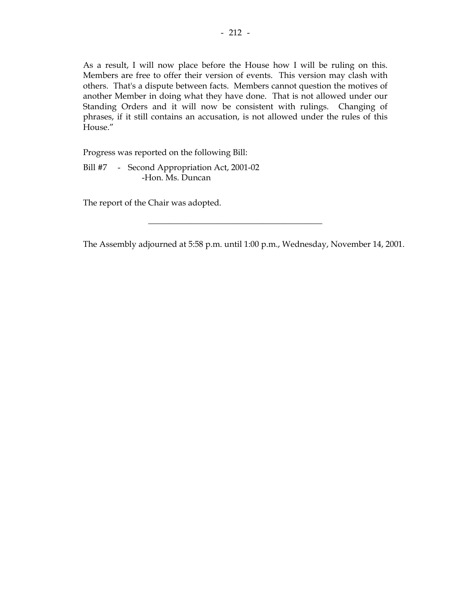As a result, I will now place before the House how I will be ruling on this. Members are free to offer their version of events. This version may clash with others. That's a dispute between facts. Members cannot question the motives of another Member in doing what they have done. That is not allowed under our Standing Orders and it will now be consistent with rulings. Changing of phrases, if it still contains an accusation, is not allowed under the rules of this House."

Progress was reported on the following Bill:

Bill #7 - Second Appropriation Act, 2001-02 -Hon. Ms. Duncan

The report of the Chair was adopted.

The Assembly adjourned at 5:58 p.m. until 1:00 p.m., Wednesday, November 14, 2001.

\_\_\_\_\_\_\_\_\_\_\_\_\_\_\_\_\_\_\_\_\_\_\_\_\_\_\_\_\_\_\_\_\_\_\_\_\_\_\_\_\_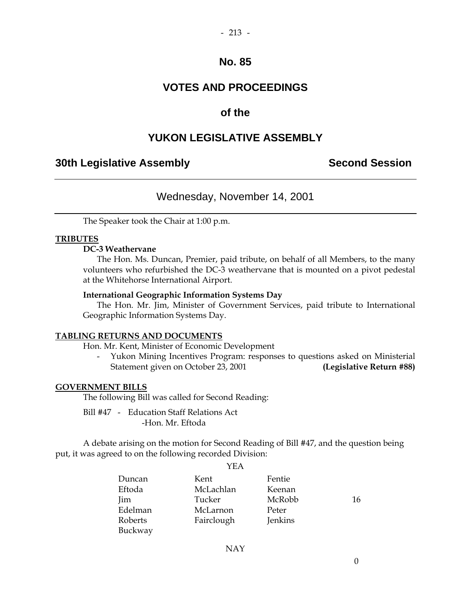# **VOTES AND PROCEEDINGS**

## **of the**

## **YUKON LEGISLATIVE ASSEMBLY**

## **30th Legislative Assembly Second Session**

## Wednesday, November 14, 2001

The Speaker took the Chair at 1:00 p.m.

#### **TRIBUTES**

#### **DC-3 Weathervane**

 The Hon. Ms. Duncan, Premier, paid tribute, on behalf of all Members, to the many volunteers who refurbished the DC-3 weathervane that is mounted on a pivot pedestal at the Whitehorse International Airport.

#### **International Geographic Information Systems Day**

 The Hon. Mr. Jim, Minister of Government Services, paid tribute to International Geographic Information Systems Day.

#### **TABLING RETURNS AND DOCUMENTS**

Hon. Mr. Kent, Minister of Economic Development

 - Yukon Mining Incentives Program: responses to questions asked on Ministerial Statement given on October 23, 2001 **(Legislative Return #88)** 

#### **GOVERNMENT BILLS**

The following Bill was called for Second Reading:

 Bill #47 - Education Staff Relations Act -Hon. Mr. Eftoda

 A debate arising on the motion for Second Reading of Bill #47, and the question being put, it was agreed to on the following recorded Division:

|         | YEA        |         |    |
|---------|------------|---------|----|
| Duncan  | Kent       | Fentie  |    |
| Eftoda  | McLachlan  | Keenan  |    |
| Jim     | Tucker     | McRobb  | 16 |
| Edelman | McLarnon   | Peter   |    |
| Roberts | Fairclough | Jenkins |    |
| Buckway |            |         |    |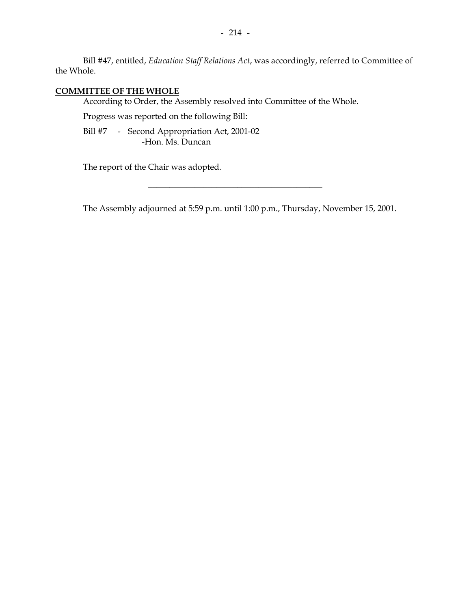Bill #47, entitled, *Education Staff Relations Act*, was accordingly, referred to Committee of the Whole.

## **COMMITTEE OF THE WHOLE**

According to Order, the Assembly resolved into Committee of the Whole.

Progress was reported on the following Bill:

Bill #7 - Second Appropriation Act, 2001-02 -Hon. Ms. Duncan

The report of the Chair was adopted.

The Assembly adjourned at 5:59 p.m. until 1:00 p.m., Thursday, November 15, 2001.

\_\_\_\_\_\_\_\_\_\_\_\_\_\_\_\_\_\_\_\_\_\_\_\_\_\_\_\_\_\_\_\_\_\_\_\_\_\_\_\_\_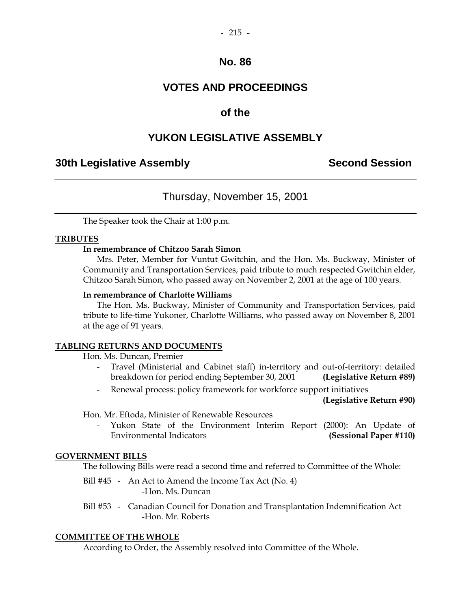# **VOTES AND PROCEEDINGS**

## **of the**

## **YUKON LEGISLATIVE ASSEMBLY**

## **30th Legislative Assembly Second Session**

## Thursday, November 15, 2001

The Speaker took the Chair at 1:00 p.m.

#### **TRIBUTES**

### **In remembrance of Chitzoo Sarah Simon**

 Mrs. Peter, Member for Vuntut Gwitchin, and the Hon. Ms. Buckway, Minister of Community and Transportation Services, paid tribute to much respected Gwitchin elder, Chitzoo Sarah Simon, who passed away on November 2, 2001 at the age of 100 years.

#### **In remembrance of Charlotte Williams**

 The Hon. Ms. Buckway, Minister of Community and Transportation Services, paid tribute to life-time Yukoner, Charlotte Williams, who passed away on November 8, 2001 at the age of 91 years.

#### **TABLING RETURNS AND DOCUMENTS**

Hon. Ms. Duncan, Premier

- Travel (Ministerial and Cabinet staff) in-territory and out-of-territory: detailed breakdown for period ending September 30, 2001 **(Legislative Return #89)**
- Renewal process: policy framework for workforce support initiatives

**(Legislative Return #90)** 

Hon. Mr. Eftoda, Minister of Renewable Resources

 - Yukon State of the Environment Interim Report (2000): An Update of Environmental Indicators **(Sessional Paper #110)** 

#### **GOVERNMENT BILLS**

The following Bills were read a second time and referred to Committee of the Whole:

- Bill #45 An Act to Amend the Income Tax Act (No. 4) -Hon. Ms. Duncan
- Bill #53 Canadian Council for Donation and Transplantation Indemnification Act -Hon. Mr. Roberts

#### **COMMITTEE OF THE WHOLE**

According to Order, the Assembly resolved into Committee of the Whole.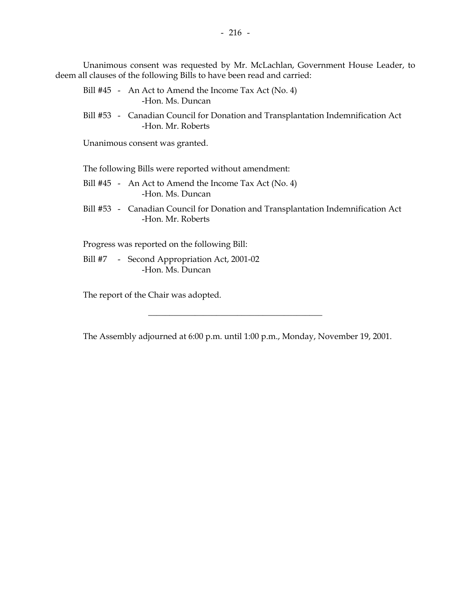Unanimous consent was requested by Mr. McLachlan, Government House Leader, to deem all clauses of the following Bills to have been read and carried:

- Bill #45 An Act to Amend the Income Tax Act (No. 4) -Hon. Ms. Duncan
- Bill #53 Canadian Council for Donation and Transplantation Indemnification Act -Hon. Mr. Roberts

Unanimous consent was granted.

The following Bills were reported without amendment:

- Bill #45 An Act to Amend the Income Tax Act (No. 4) -Hon. Ms. Duncan
- Bill #53 Canadian Council for Donation and Transplantation Indemnification Act -Hon. Mr. Roberts

Progress was reported on the following Bill:

Bill #7 - Second Appropriation Act, 2001-02 -Hon. Ms. Duncan

The report of the Chair was adopted.

The Assembly adjourned at 6:00 p.m. until 1:00 p.m., Monday, November 19, 2001.

\_\_\_\_\_\_\_\_\_\_\_\_\_\_\_\_\_\_\_\_\_\_\_\_\_\_\_\_\_\_\_\_\_\_\_\_\_\_\_\_\_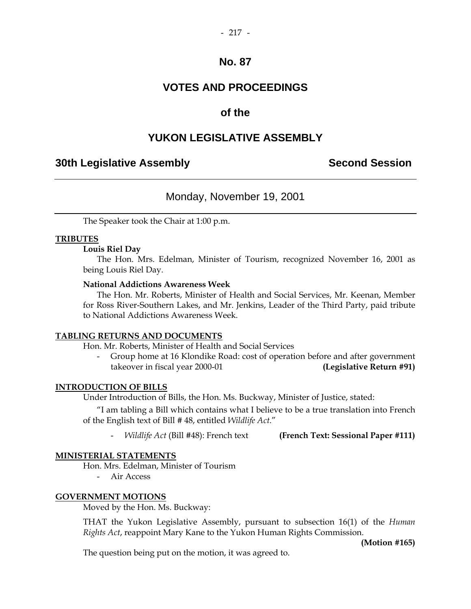# **VOTES AND PROCEEDINGS**

## **of the**

## **YUKON LEGISLATIVE ASSEMBLY**

## **30th Legislative Assembly Second Session**

## Monday, November 19, 2001

The Speaker took the Chair at 1:00 p.m.

#### **TRIBUTES**

#### **Louis Riel Day**

 The Hon. Mrs. Edelman, Minister of Tourism, recognized November 16, 2001 as being Louis Riel Day.

#### **National Addictions Awareness Week**

 The Hon. Mr. Roberts, Minister of Health and Social Services, Mr. Keenan, Member for Ross River-Southern Lakes, and Mr. Jenkins, Leader of the Third Party, paid tribute to National Addictions Awareness Week.

#### **TABLING RETURNS AND DOCUMENTS**

Hon. Mr. Roberts, Minister of Health and Social Services

 - Group home at 16 Klondike Road: cost of operation before and after government takeover in fiscal year 2000-01 **(Legislative Return #91)** 

#### **INTRODUCTION OF BILLS**

Under Introduction of Bills, the Hon. Ms. Buckway, Minister of Justice, stated:

 "I am tabling a Bill which contains what I believe to be a true translation into French of the English text of Bill # 48, entitled *Wildlife Act*."

*Wildlife Act* (Bill #48): French text **(French Text: Sessional Paper #111)** 

#### **MINISTERIAL STATEMENTS**

Hon. Mrs. Edelman, Minister of Tourism

- Air Access

#### **GOVERNMENT MOTIONS**

Moved by the Hon. Ms. Buckway:

 THAT the Yukon Legislative Assembly, pursuant to subsection 16(1) of the *Human Rights Act*, reappoint Mary Kane to the Yukon Human Rights Commission.

 **(Motion #165)** 

The question being put on the motion, it was agreed to.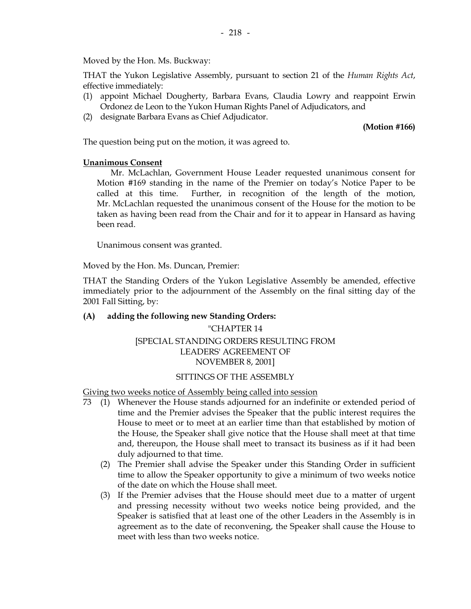Moved by the Hon. Ms. Buckway:

 THAT the Yukon Legislative Assembly, pursuant to section 21 of the *Human Rights Act*, effective immediately:

- (1) appoint Michael Dougherty, Barbara Evans, Claudia Lowry and reappoint Erwin Ordonez de Leon to the Yukon Human Rights Panel of Adjudicators, and
- (2) designate Barbara Evans as Chief Adjudicator.

**(Motion #166)** 

The question being put on the motion, it was agreed to.

#### **Unanimous Consent**

 Mr. McLachlan, Government House Leader requested unanimous consent for Motion #169 standing in the name of the Premier on today's Notice Paper to be called at this time. Further, in recognition of the length of the motion, Mr. McLachlan requested the unanimous consent of the House for the motion to be taken as having been read from the Chair and for it to appear in Hansard as having been read.

Unanimous consent was granted.

Moved by the Hon. Ms. Duncan, Premier:

 THAT the Standing Orders of the Yukon Legislative Assembly be amended, effective immediately prior to the adjournment of the Assembly on the final sitting day of the 2001 Fall Sitting, by:

#### **(A) adding the following new Standing Orders:**

## "CHAPTER 14 [SPECIAL STANDING ORDERS RESULTING FROM LEADERS' AGREEMENT OF NOVEMBER 8, 2001]

#### SITTINGS OF THE ASSEMBLY

Giving two weeks notice of Assembly being called into session

- 73 (1) Whenever the House stands adjourned for an indefinite or extended period of time and the Premier advises the Speaker that the public interest requires the House to meet or to meet at an earlier time than that established by motion of the House, the Speaker shall give notice that the House shall meet at that time and, thereupon, the House shall meet to transact its business as if it had been duly adjourned to that time.
	- (2) The Premier shall advise the Speaker under this Standing Order in sufficient time to allow the Speaker opportunity to give a minimum of two weeks notice of the date on which the House shall meet.
	- (3) If the Premier advises that the House should meet due to a matter of urgent and pressing necessity without two weeks notice being provided, and the Speaker is satisfied that at least one of the other Leaders in the Assembly is in agreement as to the date of reconvening, the Speaker shall cause the House to meet with less than two weeks notice.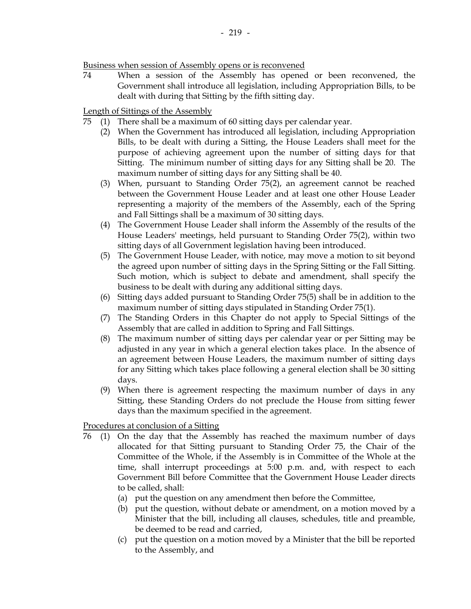74 When a session of the Assembly has opened or been reconvened, the Government shall introduce all legislation, including Appropriation Bills, to be dealt with during that Sitting by the fifth sitting day.

Length of Sittings of the Assembly

- 75 (1) There shall be a maximum of 60 sitting days per calendar year.
	- (2) When the Government has introduced all legislation, including Appropriation Bills, to be dealt with during a Sitting, the House Leaders shall meet for the purpose of achieving agreement upon the number of sitting days for that Sitting. The minimum number of sitting days for any Sitting shall be 20. The maximum number of sitting days for any Sitting shall be 40.
	- (3) When, pursuant to Standing Order 75(2), an agreement cannot be reached between the Government House Leader and at least one other House Leader representing a majority of the members of the Assembly, each of the Spring and Fall Sittings shall be a maximum of 30 sitting days.
	- (4) The Government House Leader shall inform the Assembly of the results of the House Leaders' meetings, held pursuant to Standing Order 75(2), within two sitting days of all Government legislation having been introduced.
	- (5) The Government House Leader, with notice, may move a motion to sit beyond the agreed upon number of sitting days in the Spring Sitting or the Fall Sitting. Such motion, which is subject to debate and amendment, shall specify the business to be dealt with during any additional sitting days.
	- (6) Sitting days added pursuant to Standing Order 75(5) shall be in addition to the maximum number of sitting days stipulated in Standing Order 75(1).
	- (7) The Standing Orders in this Chapter do not apply to Special Sittings of the Assembly that are called in addition to Spring and Fall Sittings.
	- (8) The maximum number of sitting days per calendar year or per Sitting may be adjusted in any year in which a general election takes place. In the absence of an agreement between House Leaders, the maximum number of sitting days for any Sitting which takes place following a general election shall be 30 sitting days.
	- (9) When there is agreement respecting the maximum number of days in any Sitting, these Standing Orders do not preclude the House from sitting fewer days than the maximum specified in the agreement.

Procedures at conclusion of a Sitting

- 76 (1) On the day that the Assembly has reached the maximum number of days allocated for that Sitting pursuant to Standing Order 75, the Chair of the Committee of the Whole, if the Assembly is in Committee of the Whole at the time, shall interrupt proceedings at 5:00 p.m. and, with respect to each Government Bill before Committee that the Government House Leader directs to be called, shall:
	- (a) put the question on any amendment then before the Committee,
	- (b) put the question, without debate or amendment, on a motion moved by a Minister that the bill, including all clauses, schedules, title and preamble, be deemed to be read and carried,
	- (c) put the question on a motion moved by a Minister that the bill be reported to the Assembly, and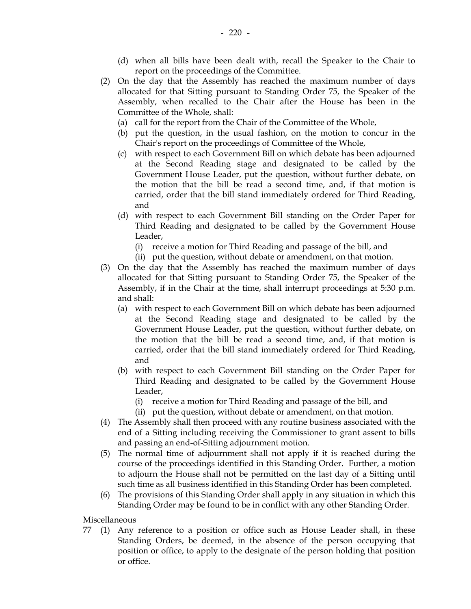- (d) when all bills have been dealt with, recall the Speaker to the Chair to report on the proceedings of the Committee.
- (2) On the day that the Assembly has reached the maximum number of days allocated for that Sitting pursuant to Standing Order 75, the Speaker of the Assembly, when recalled to the Chair after the House has been in the Committee of the Whole, shall:
	- (a) call for the report from the Chair of the Committee of the Whole,
	- (b) put the question, in the usual fashion, on the motion to concur in the Chair's report on the proceedings of Committee of the Whole,
	- (c) with respect to each Government Bill on which debate has been adjourned at the Second Reading stage and designated to be called by the Government House Leader, put the question, without further debate, on the motion that the bill be read a second time, and, if that motion is carried, order that the bill stand immediately ordered for Third Reading, and
	- (d) with respect to each Government Bill standing on the Order Paper for Third Reading and designated to be called by the Government House Leader,
		- (i) receive a motion for Third Reading and passage of the bill, and
		- (ii) put the question, without debate or amendment, on that motion.
- (3) On the day that the Assembly has reached the maximum number of days allocated for that Sitting pursuant to Standing Order 75, the Speaker of the Assembly, if in the Chair at the time, shall interrupt proceedings at 5:30 p.m. and shall:
	- (a) with respect to each Government Bill on which debate has been adjourned at the Second Reading stage and designated to be called by the Government House Leader, put the question, without further debate, on the motion that the bill be read a second time, and, if that motion is carried, order that the bill stand immediately ordered for Third Reading, and
	- (b) with respect to each Government Bill standing on the Order Paper for Third Reading and designated to be called by the Government House Leader,
		- (i) receive a motion for Third Reading and passage of the bill, and
		- (ii) put the question, without debate or amendment, on that motion.
- (4) The Assembly shall then proceed with any routine business associated with the end of a Sitting including receiving the Commissioner to grant assent to bills and passing an end-of-Sitting adjournment motion.
- (5) The normal time of adjournment shall not apply if it is reached during the course of the proceedings identified in this Standing Order. Further, a motion to adjourn the House shall not be permitted on the last day of a Sitting until such time as all business identified in this Standing Order has been completed.
- (6) The provisions of this Standing Order shall apply in any situation in which this Standing Order may be found to be in conflict with any other Standing Order.

Miscellaneous

 77 (1) Any reference to a position or office such as House Leader shall, in these Standing Orders, be deemed, in the absence of the person occupying that position or office, to apply to the designate of the person holding that position or office.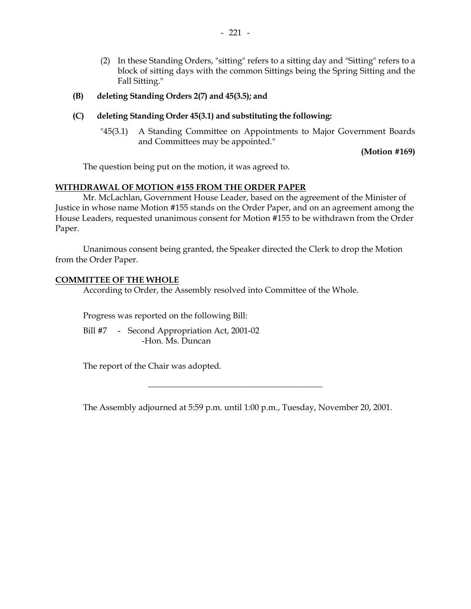- (2) In these Standing Orders, "sitting" refers to a sitting day and "Sitting" refers to a block of sitting days with the common Sittings being the Spring Sitting and the Fall Sitting."
- **(B) deleting Standing Orders 2(7) and 45(3.5); and**
- **(C) deleting Standing Order 45(3.1) and substituting the following:** 
	- "45(3.1) A Standing Committee on Appointments to Major Government Boards and Committees may be appointed."

**(Motion #169)** 

The question being put on the motion, it was agreed to.

### **WITHDRAWAL OF MOTION #155 FROM THE ORDER PAPER**

 Mr. McLachlan, Government House Leader, based on the agreement of the Minister of Justice in whose name Motion #155 stands on the Order Paper, and on an agreement among the House Leaders, requested unanimous consent for Motion #155 to be withdrawn from the Order Paper.

 Unanimous consent being granted, the Speaker directed the Clerk to drop the Motion from the Order Paper.

#### **COMMITTEE OF THE WHOLE**

According to Order, the Assembly resolved into Committee of the Whole.

Progress was reported on the following Bill:

Bill #7 - Second Appropriation Act, 2001-02 -Hon. Ms. Duncan

The report of the Chair was adopted.

The Assembly adjourned at 5:59 p.m. until 1:00 p.m., Tuesday, November 20, 2001.

 $\frac{1}{2}$  ,  $\frac{1}{2}$  ,  $\frac{1}{2}$  ,  $\frac{1}{2}$  ,  $\frac{1}{2}$  ,  $\frac{1}{2}$  ,  $\frac{1}{2}$  ,  $\frac{1}{2}$  ,  $\frac{1}{2}$  ,  $\frac{1}{2}$  ,  $\frac{1}{2}$  ,  $\frac{1}{2}$  ,  $\frac{1}{2}$  ,  $\frac{1}{2}$  ,  $\frac{1}{2}$  ,  $\frac{1}{2}$  ,  $\frac{1}{2}$  ,  $\frac{1}{2}$  ,  $\frac{1$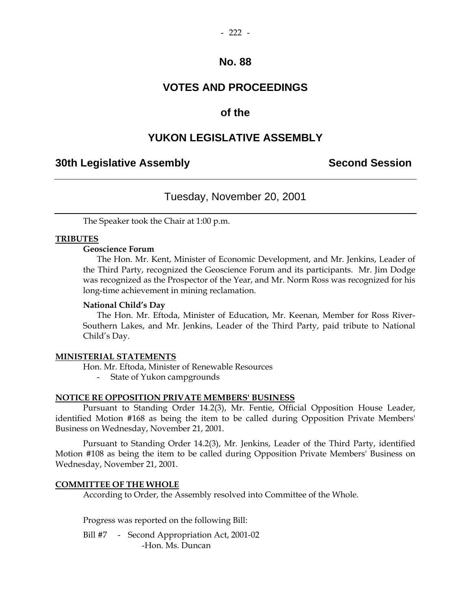# **VOTES AND PROCEEDINGS**

## **of the**

# **YUKON LEGISLATIVE ASSEMBLY**

## **30th Legislative Assembly Second Session**

# Tuesday, November 20, 2001

The Speaker took the Chair at 1:00 p.m.

#### **TRIBUTES**

#### **Geoscience Forum**

 The Hon. Mr. Kent, Minister of Economic Development, and Mr. Jenkins, Leader of the Third Party, recognized the Geoscience Forum and its participants. Mr. Jim Dodge was recognized as the Prospector of the Year, and Mr. Norm Ross was recognized for his long-time achievement in mining reclamation.

#### **National Child's Day**

 The Hon. Mr. Eftoda, Minister of Education, Mr. Keenan, Member for Ross River-Southern Lakes, and Mr. Jenkins, Leader of the Third Party, paid tribute to National Child's Day.

#### **MINISTERIAL STATEMENTS**

Hon. Mr. Eftoda, Minister of Renewable Resources

- State of Yukon campgrounds

#### **NOTICE RE OPPOSITION PRIVATE MEMBERS' BUSINESS**

 Pursuant to Standing Order 14.2(3), Mr. Fentie, Official Opposition House Leader, identified Motion #168 as being the item to be called during Opposition Private Members' Business on Wednesday, November 21, 2001.

 Pursuant to Standing Order 14.2(3), Mr. Jenkins, Leader of the Third Party, identified Motion #108 as being the item to be called during Opposition Private Members' Business on Wednesday, November 21, 2001.

#### **COMMITTEE OF THE WHOLE**

According to Order, the Assembly resolved into Committee of the Whole.

Progress was reported on the following Bill:

Bill #7 - Second Appropriation Act, 2001-02 -Hon. Ms. Duncan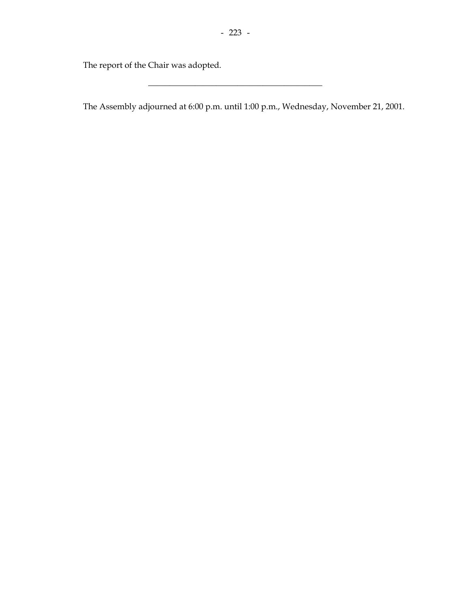\_\_\_\_\_\_\_\_\_\_\_\_\_\_\_\_\_\_\_\_\_\_\_\_\_\_\_\_\_\_\_\_\_\_\_\_\_\_\_\_\_

The report of the Chair was adopted.

The Assembly adjourned at 6:00 p.m. until 1:00 p.m., Wednesday, November 21, 2001.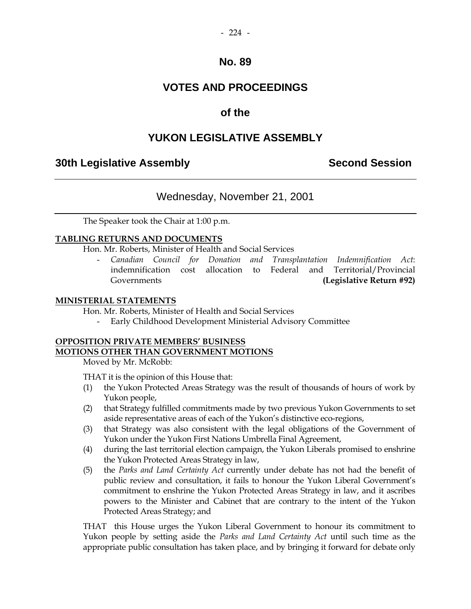# **VOTES AND PROCEEDINGS**

## **of the**

## **YUKON LEGISLATIVE ASSEMBLY**

## **30th Legislative Assembly Second Session**

## Wednesday, November 21, 2001

The Speaker took the Chair at 1:00 p.m.

#### **TABLING RETURNS AND DOCUMENTS**

Hon. Mr. Roberts, Minister of Health and Social Services

 - *Canadian Council for Donation and Transplantation Indemnification Act*: indemnification cost allocation to Federal and Territorial/Provincial Governments **(Legislative Return #92)** 

#### **MINISTERIAL STATEMENTS**

Hon. Mr. Roberts, Minister of Health and Social Services

- Early Childhood Development Ministerial Advisory Committee

## **OPPOSITION PRIVATE MEMBERS' BUSINESS MOTIONS OTHER THAN GOVERNMENT MOTIONS**

Moved by Mr. McRobb:

THAT it is the opinion of this House that:

- (1) the Yukon Protected Areas Strategy was the result of thousands of hours of work by Yukon people,
- (2) that Strategy fulfilled commitments made by two previous Yukon Governments to set aside representative areas of each of the Yukon's distinctive eco-regions,
- (3) that Strategy was also consistent with the legal obligations of the Government of Yukon under the Yukon First Nations Umbrella Final Agreement,
- (4) during the last territorial election campaign, the Yukon Liberals promised to enshrine the Yukon Protected Areas Strategy in law,
- (5) the *Parks and Land Certainty Act* currently under debate has not had the benefit of public review and consultation, it fails to honour the Yukon Liberal Government's commitment to enshrine the Yukon Protected Areas Strategy in law, and it ascribes powers to the Minister and Cabinet that are contrary to the intent of the Yukon Protected Areas Strategy; and

 THAT this House urges the Yukon Liberal Government to honour its commitment to Yukon people by setting aside the *Parks and Land Certainty Act* until such time as the appropriate public consultation has taken place, and by bringing it forward for debate only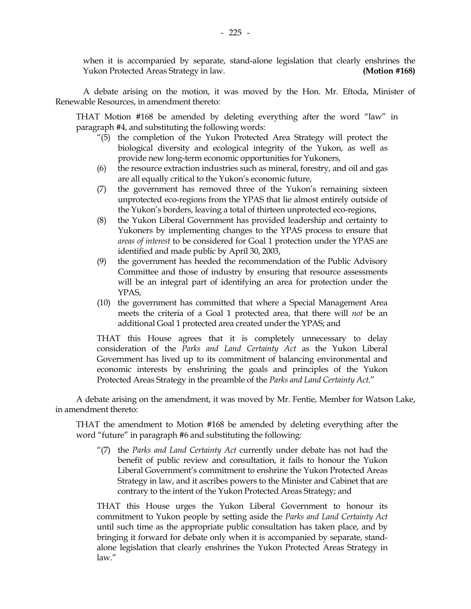when it is accompanied by separate, stand-alone legislation that clearly enshrines the Yukon Protected Areas Strategy in law. **(Motion #168)** 

 A debate arising on the motion, it was moved by the Hon. Mr. Eftoda, Minister of Renewable Resources, in amendment thereto:

 THAT Motion #168 be amended by deleting everything after the word "law" in paragraph #4, and substituting the following words:

- "(5) the completion of the Yukon Protected Area Strategy will protect the biological diversity and ecological integrity of the Yukon, as well as provide new long-term economic opportunities for Yukoners,
- (6) the resource extraction industries such as mineral, forestry, and oil and gas are all equally critical to the Yukon's economic future,
- (7) the government has removed three of the Yukon's remaining sixteen unprotected eco-regions from the YPAS that lie almost entirely outside of the Yukon's borders, leaving a total of thirteen unprotected eco-regions,
- (8) the Yukon Liberal Government has provided leadership and certainty to Yukoners by implementing changes to the YPAS process to ensure that *areas of interest* to be considered for Goal 1 protection under the YPAS are identified and made public by April 30, 2003,
- (9) the government has heeded the recommendation of the Public Advisory Committee and those of industry by ensuring that resource assessments will be an integral part of identifying an area for protection under the YPAS,
- (10) the government has committed that where a Special Management Area meets the criteria of a Goal 1 protected area, that there will *not* be an additional Goal 1 protected area created under the YPAS; and

 THAT this House agrees that it is completely unnecessary to delay consideration of the *Parks and Land Certainty Act* as the Yukon Liberal Government has lived up to its commitment of balancing environmental and economic interests by enshrining the goals and principles of the Yukon Protected Areas Strategy in the preamble of the *Parks and Land Certainty Act*."

 A debate arising on the amendment, it was moved by Mr. Fentie, Member for Watson Lake, in amendment thereto:

 THAT the amendment to Motion #168 be amended by deleting everything after the word "future" in paragraph #6 and substituting the following:

 "(7) the *Parks and Land Certainty Act* currently under debate has not had the benefit of public review and consultation, it fails to honour the Yukon Liberal Government's commitment to enshrine the Yukon Protected Areas Strategy in law, and it ascribes powers to the Minister and Cabinet that are contrary to the intent of the Yukon Protected Areas Strategy; and

 THAT this House urges the Yukon Liberal Government to honour its commitment to Yukon people by setting aside the *Parks and Land Certainty Act* until such time as the appropriate public consultation has taken place, and by bringing it forward for debate only when it is accompanied by separate, standalone legislation that clearly enshrines the Yukon Protected Areas Strategy in law."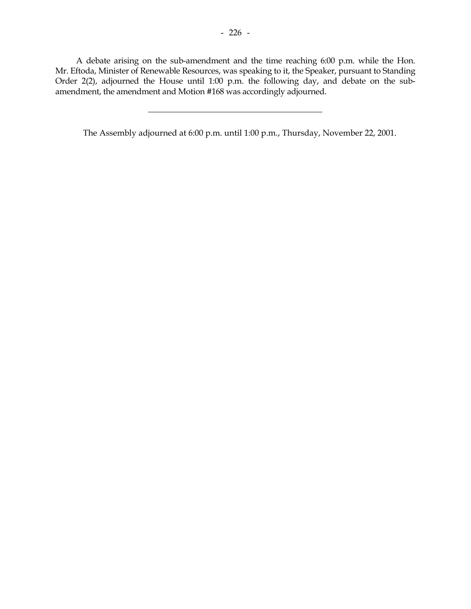A debate arising on the sub-amendment and the time reaching 6:00 p.m. while the Hon. Mr. Eftoda, Minister of Renewable Resources, was speaking to it, the Speaker, pursuant to Standing Order 2(2), adjourned the House until 1:00 p.m. the following day, and debate on the subamendment, the amendment and Motion #168 was accordingly adjourned.

\_\_\_\_\_\_\_\_\_\_\_\_\_\_\_\_\_\_\_\_\_\_\_\_\_\_\_\_\_\_\_\_\_\_\_\_\_\_\_\_\_

The Assembly adjourned at 6:00 p.m. until 1:00 p.m., Thursday, November 22, 2001.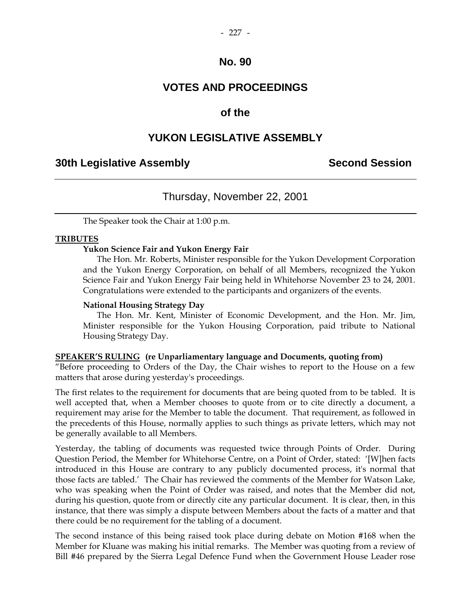## **VOTES AND PROCEEDINGS**

## **of the**

## **YUKON LEGISLATIVE ASSEMBLY**

## **30th Legislative Assembly Second Session**

## Thursday, November 22, 2001

The Speaker took the Chair at 1:00 p.m.

#### **TRIBUTES**

#### **Yukon Science Fair and Yukon Energy Fair**

 The Hon. Mr. Roberts, Minister responsible for the Yukon Development Corporation and the Yukon Energy Corporation, on behalf of all Members, recognized the Yukon Science Fair and Yukon Energy Fair being held in Whitehorse November 23 to 24, 2001. Congratulations were extended to the participants and organizers of the events.

#### **National Housing Strategy Day**

 The Hon. Mr. Kent, Minister of Economic Development, and the Hon. Mr. Jim, Minister responsible for the Yukon Housing Corporation, paid tribute to National Housing Strategy Day.

#### **SPEAKER'S RULING (re Unparliamentary language and Documents, quoting from)**

"Before proceeding to Orders of the Day, the Chair wishes to report to the House on a few matters that arose during yesterday's proceedings.

The first relates to the requirement for documents that are being quoted from to be tabled. It is well accepted that, when a Member chooses to quote from or to cite directly a document, a requirement may arise for the Member to table the document. That requirement, as followed in the precedents of this House, normally applies to such things as private letters, which may not be generally available to all Members.

Yesterday, the tabling of documents was requested twice through Points of Order. During Question Period, the Member for Whitehorse Centre, on a Point of Order, stated: '[W]hen facts introduced in this House are contrary to any publicly documented process, it's normal that those facts are tabled.' The Chair has reviewed the comments of the Member for Watson Lake, who was speaking when the Point of Order was raised, and notes that the Member did not, during his question, quote from or directly cite any particular document. It is clear, then, in this instance, that there was simply a dispute between Members about the facts of a matter and that there could be no requirement for the tabling of a document.

The second instance of this being raised took place during debate on Motion #168 when the Member for Kluane was making his initial remarks. The Member was quoting from a review of Bill #46 prepared by the Sierra Legal Defence Fund when the Government House Leader rose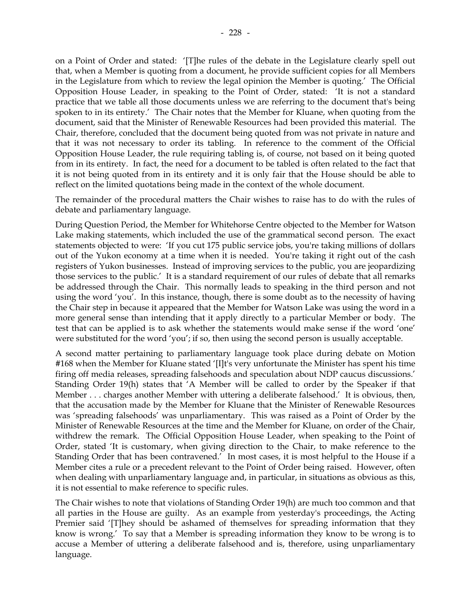on a Point of Order and stated: '[T]he rules of the debate in the Legislature clearly spell out that, when a Member is quoting from a document, he provide sufficient copies for all Members in the Legislature from which to review the legal opinion the Member is quoting.' The Official Opposition House Leader, in speaking to the Point of Order, stated: 'It is not a standard practice that we table all those documents unless we are referring to the document that's being spoken to in its entirety.' The Chair notes that the Member for Kluane, when quoting from the document, said that the Minister of Renewable Resources had been provided this material. The Chair, therefore, concluded that the document being quoted from was not private in nature and that it was not necessary to order its tabling. In reference to the comment of the Official Opposition House Leader, the rule requiring tabling is, of course, not based on it being quoted from in its entirety. In fact, the need for a document to be tabled is often related to the fact that it is not being quoted from in its entirety and it is only fair that the House should be able to reflect on the limited quotations being made in the context of the whole document.

The remainder of the procedural matters the Chair wishes to raise has to do with the rules of debate and parliamentary language.

During Question Period, the Member for Whitehorse Centre objected to the Member for Watson Lake making statements, which included the use of the grammatical second person. The exact statements objected to were: 'If you cut 175 public service jobs, you're taking millions of dollars out of the Yukon economy at a time when it is needed. You're taking it right out of the cash registers of Yukon businesses. Instead of improving services to the public, you are jeopardizing those services to the public.' It is a standard requirement of our rules of debate that all remarks be addressed through the Chair. This normally leads to speaking in the third person and not using the word 'you'. In this instance, though, there is some doubt as to the necessity of having the Chair step in because it appeared that the Member for Watson Lake was using the word in a more general sense than intending that it apply directly to a particular Member or body. The test that can be applied is to ask whether the statements would make sense if the word 'one' were substituted for the word 'you'; if so, then using the second person is usually acceptable.

A second matter pertaining to parliamentary language took place during debate on Motion #168 when the Member for Kluane stated '[I]t's very unfortunate the Minister has spent his time firing off media releases, spreading falsehoods and speculation about NDP caucus discussions.' Standing Order 19(h) states that 'A Member will be called to order by the Speaker if that Member . . . charges another Member with uttering a deliberate falsehood.' It is obvious, then, that the accusation made by the Member for Kluane that the Minister of Renewable Resources was 'spreading falsehoods' was unparliamentary. This was raised as a Point of Order by the Minister of Renewable Resources at the time and the Member for Kluane, on order of the Chair, withdrew the remark. The Official Opposition House Leader, when speaking to the Point of Order, stated 'It is customary, when giving direction to the Chair, to make reference to the Standing Order that has been contravened.' In most cases, it is most helpful to the House if a Member cites a rule or a precedent relevant to the Point of Order being raised. However, often when dealing with unparliamentary language and, in particular, in situations as obvious as this, it is not essential to make reference to specific rules.

The Chair wishes to note that violations of Standing Order 19(h) are much too common and that all parties in the House are guilty. As an example from yesterday's proceedings, the Acting Premier said '[T]hey should be ashamed of themselves for spreading information that they know is wrong.' To say that a Member is spreading information they know to be wrong is to accuse a Member of uttering a deliberate falsehood and is, therefore, using unparliamentary language.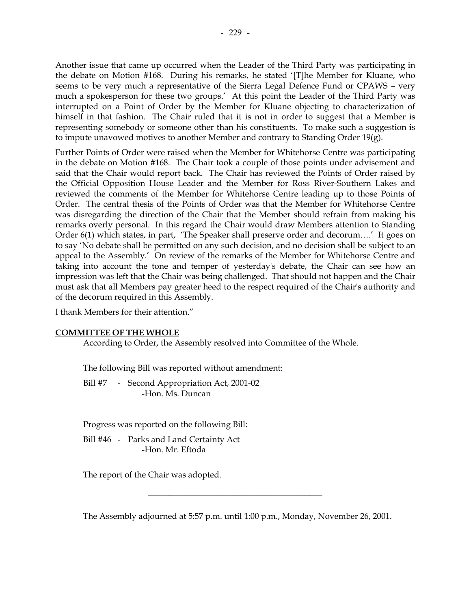Another issue that came up occurred when the Leader of the Third Party was participating in the debate on Motion #168. During his remarks, he stated '[T]he Member for Kluane, who seems to be very much a representative of the Sierra Legal Defence Fund or CPAWS – very much a spokesperson for these two groups.' At this point the Leader of the Third Party was interrupted on a Point of Order by the Member for Kluane objecting to characterization of himself in that fashion. The Chair ruled that it is not in order to suggest that a Member is representing somebody or someone other than his constituents. To make such a suggestion is to impute unavowed motives to another Member and contrary to Standing Order 19(g).

Further Points of Order were raised when the Member for Whitehorse Centre was participating in the debate on Motion #168. The Chair took a couple of those points under advisement and said that the Chair would report back. The Chair has reviewed the Points of Order raised by the Official Opposition House Leader and the Member for Ross River-Southern Lakes and reviewed the comments of the Member for Whitehorse Centre leading up to those Points of Order. The central thesis of the Points of Order was that the Member for Whitehorse Centre was disregarding the direction of the Chair that the Member should refrain from making his remarks overly personal. In this regard the Chair would draw Members attention to Standing Order 6(1) which states, in part, 'The Speaker shall preserve order and decorum….' It goes on to say 'No debate shall be permitted on any such decision, and no decision shall be subject to an appeal to the Assembly.' On review of the remarks of the Member for Whitehorse Centre and taking into account the tone and temper of yesterday's debate, the Chair can see how an impression was left that the Chair was being challenged. That should not happen and the Chair must ask that all Members pay greater heed to the respect required of the Chair's authority and of the decorum required in this Assembly.

I thank Members for their attention."

#### **COMMITTEE OF THE WHOLE**

According to Order, the Assembly resolved into Committee of the Whole.

The following Bill was reported without amendment:

Bill #7 - Second Appropriation Act, 2001-02 -Hon. Ms. Duncan

Progress was reported on the following Bill:

 Bill #46 - Parks and Land Certainty Act -Hon. Mr. Eftoda

The report of the Chair was adopted.

The Assembly adjourned at 5:57 p.m. until 1:00 p.m., Monday, November 26, 2001.

\_\_\_\_\_\_\_\_\_\_\_\_\_\_\_\_\_\_\_\_\_\_\_\_\_\_\_\_\_\_\_\_\_\_\_\_\_\_\_\_\_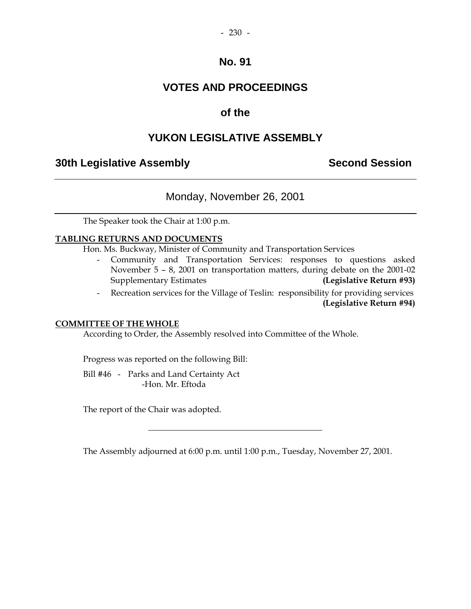#### $-230 -$

## **No. 91**

# **VOTES AND PROCEEDINGS**

## **of the**

## **YUKON LEGISLATIVE ASSEMBLY**

## **30th Legislative Assembly Second Session**

## Monday, November 26, 2001

The Speaker took the Chair at 1:00 p.m.

#### **TABLING RETURNS AND DOCUMENTS**

Hon. Ms. Buckway, Minister of Community and Transportation Services

- Community and Transportation Services: responses to questions asked November 5 – 8, 2001 on transportation matters, during debate on the 2001-02 Supplementary Estimates **(Legislative Return #93)**
- Recreation services for the Village of Teslin: responsibility for providing services **(Legislative Return #94)**

#### **COMMITTEE OF THE WHOLE**

According to Order, the Assembly resolved into Committee of the Whole.

Progress was reported on the following Bill:

 Bill #46 - Parks and Land Certainty Act -Hon. Mr. Eftoda

The report of the Chair was adopted.

The Assembly adjourned at 6:00 p.m. until 1:00 p.m., Tuesday, November 27, 2001.

 $\frac{1}{2}$  ,  $\frac{1}{2}$  ,  $\frac{1}{2}$  ,  $\frac{1}{2}$  ,  $\frac{1}{2}$  ,  $\frac{1}{2}$  ,  $\frac{1}{2}$  ,  $\frac{1}{2}$  ,  $\frac{1}{2}$  ,  $\frac{1}{2}$  ,  $\frac{1}{2}$  ,  $\frac{1}{2}$  ,  $\frac{1}{2}$  ,  $\frac{1}{2}$  ,  $\frac{1}{2}$  ,  $\frac{1}{2}$  ,  $\frac{1}{2}$  ,  $\frac{1}{2}$  ,  $\frac{1$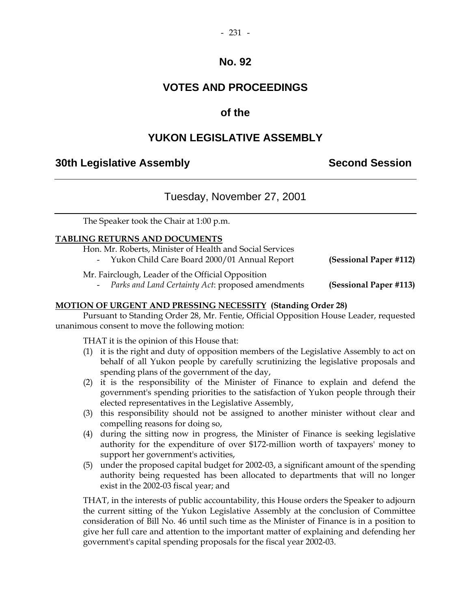#### $-231 -$

## **No. 92**

# **VOTES AND PROCEEDINGS**

# **of the**

# **YUKON LEGISLATIVE ASSEMBLY**

## **30th Legislative Assembly Second Session**

# Tuesday, November 27, 2001

The Speaker took the Chair at 1:00 p.m.

### **TABLING RETURNS AND DOCUMENTS**

- Hon. Mr. Roberts, Minister of Health and Social Services
	- Yukon Child Care Board 2000/01 Annual Report **(Sessional Paper #112)**

Mr. Fairclough, Leader of the Official Opposition

- *Parks and Land Certainty Act*: proposed amendments **(Sessional Paper #113)** 

### **MOTION OF URGENT AND PRESSING NECESSITY (Standing Order 28)**

 Pursuant to Standing Order 28, Mr. Fentie, Official Opposition House Leader, requested unanimous consent to move the following motion:

THAT it is the opinion of this House that:

- (1) it is the right and duty of opposition members of the Legislative Assembly to act on behalf of all Yukon people by carefully scrutinizing the legislative proposals and spending plans of the government of the day,
- (2) it is the responsibility of the Minister of Finance to explain and defend the government's spending priorities to the satisfaction of Yukon people through their elected representatives in the Legislative Assembly,
- (3) this responsibility should not be assigned to another minister without clear and compelling reasons for doing so,
- (4) during the sitting now in progress, the Minister of Finance is seeking legislative authority for the expenditure of over \$172-million worth of taxpayers' money to support her government's activities,
- (5) under the proposed capital budget for 2002-03, a significant amount of the spending authority being requested has been allocated to departments that will no longer exist in the 2002-03 fiscal year; and

 THAT, in the interests of public accountability, this House orders the Speaker to adjourn the current sitting of the Yukon Legislative Assembly at the conclusion of Committee consideration of Bill No. 46 until such time as the Minister of Finance is in a position to give her full care and attention to the important matter of explaining and defending her government's capital spending proposals for the fiscal year 2002-03.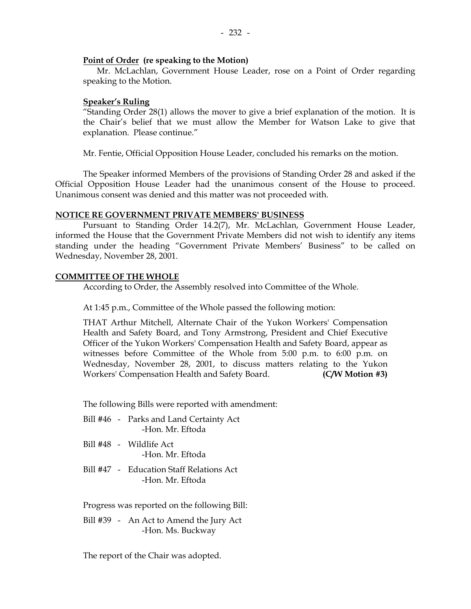#### **Point of Order (re speaking to the Motion)**

 Mr. McLachlan, Government House Leader, rose on a Point of Order regarding speaking to the Motion.

#### **Speaker's Ruling**

 "Standing Order 28(1) allows the mover to give a brief explanation of the motion. It is the Chair's belief that we must allow the Member for Watson Lake to give that explanation. Please continue."

Mr. Fentie, Official Opposition House Leader, concluded his remarks on the motion.

 The Speaker informed Members of the provisions of Standing Order 28 and asked if the Official Opposition House Leader had the unanimous consent of the House to proceed. Unanimous consent was denied and this matter was not proceeded with.

#### **NOTICE RE GOVERNMENT PRIVATE MEMBERS' BUSINESS**

 Pursuant to Standing Order 14.2(7), Mr. McLachlan, Government House Leader, informed the House that the Government Private Members did not wish to identify any items standing under the heading "Government Private Members' Business" to be called on Wednesday, November 28, 2001.

### **COMMITTEE OF THE WHOLE**

According to Order, the Assembly resolved into Committee of the Whole.

At 1:45 p.m., Committee of the Whole passed the following motion:

 THAT Arthur Mitchell, Alternate Chair of the Yukon Workers' Compensation Health and Safety Board, and Tony Armstrong, President and Chief Executive Officer of the Yukon Workers' Compensation Health and Safety Board, appear as witnesses before Committee of the Whole from 5:00 p.m. to 6:00 p.m. on Wednesday, November 28, 2001, to discuss matters relating to the Yukon Workers' Compensation Health and Safety Board. **(C/W Motion #3)** 

The following Bills were reported with amendment:

- Bill #46 Parks and Land Certainty Act -Hon. Mr. Eftoda
- Bill #48 Wildlife Act -Hon. Mr. Eftoda
- Bill #47 Education Staff Relations Act -Hon. Mr. Eftoda

Progress was reported on the following Bill:

 Bill #39 - An Act to Amend the Jury Act -Hon. Ms. Buckway

The report of the Chair was adopted.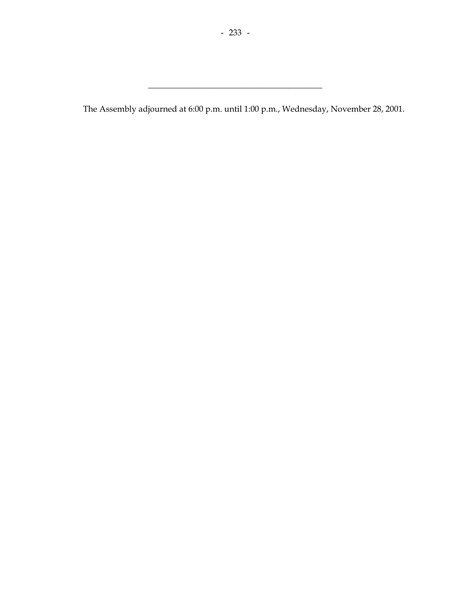\_\_\_\_\_\_\_\_\_\_\_\_\_\_\_\_\_\_\_\_\_\_\_\_\_\_\_\_\_\_\_\_\_\_\_\_\_\_\_\_\_

The Assembly adjourned at 6:00 p.m. until 1:00 p.m., Wednesday, November 28, 2001.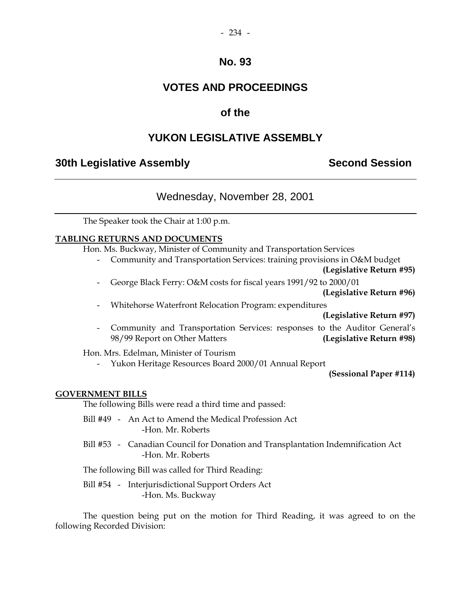#### $-234 -$

## **No. 93**

# **VOTES AND PROCEEDINGS**

## **of the**

## **YUKON LEGISLATIVE ASSEMBLY**

## **30th Legislative Assembly Second Session**

## Wednesday, November 28, 2001

The Speaker took the Chair at 1:00 p.m.

#### **TABLING RETURNS AND DOCUMENTS**

Hon. Ms. Buckway, Minister of Community and Transportation Services

- Community and Transportation Services: training provisions in O&M budget

**(Legislative Return #95)** 

- George Black Ferry: O&M costs for fiscal years 1991/92 to 2000/01

**(Legislative Return #96)** 

- Whitehorse Waterfront Relocation Program: expenditures

**(Legislative Return #97)** 

 - Community and Transportation Services: responses to the Auditor General's 98/99 Report on Other Matters **(Legislative Return #98)** 

Hon. Mrs. Edelman, Minister of Tourism

- Yukon Heritage Resources Board 2000/01 Annual Report

**(Sessional Paper #114)** 

#### **GOVERNMENT BILLS**

The following Bills were read a third time and passed:

- Bill #49 An Act to Amend the Medical Profession Act -Hon. Mr. Roberts
- Bill #53 Canadian Council for Donation and Transplantation Indemnification Act -Hon. Mr. Roberts

The following Bill was called for Third Reading:

 Bill #54 - Interjurisdictional Support Orders Act -Hon. Ms. Buckway

 The question being put on the motion for Third Reading, it was agreed to on the following Recorded Division: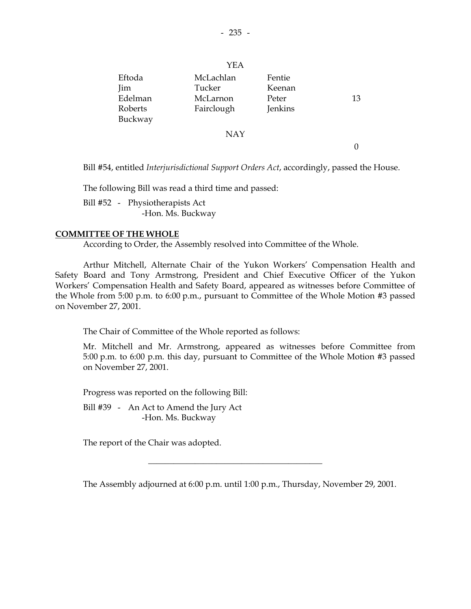$-235 -$ 

| Eftoda     | McLachlan  | Fentie  |    |
|------------|------------|---------|----|
| <b>Jim</b> | Tucker     | Keenan  |    |
| Edelman    | McLarnon   | Peter   | 13 |
| Roberts    | Fairclough | Jenkins |    |
| Buckway    |            |         |    |
|            | NAY        |         |    |

 $\Omega$ 

Bill #54, entitled *Interjurisdictional Support Orders Act*, accordingly, passed the House.

The following Bill was read a third time and passed:

 Bill #52 - Physiotherapists Act -Hon. Ms. Buckway

#### **COMMITTEE OF THE WHOLE**

According to Order, the Assembly resolved into Committee of the Whole.

Arthur Mitchell, Alternate Chair of the Yukon Workers' Compensation Health and Safety Board and Tony Armstrong, President and Chief Executive Officer of the Yukon Workers' Compensation Health and Safety Board, appeared as witnesses before Committee of the Whole from 5:00 p.m. to 6:00 p.m., pursuant to Committee of the Whole Motion #3 passed on November 27, 2001.

The Chair of Committee of the Whole reported as follows:

 Mr. Mitchell and Mr. Armstrong, appeared as witnesses before Committee from 5:00 p.m. to 6:00 p.m. this day, pursuant to Committee of the Whole Motion #3 passed on November 27, 2001.

Progress was reported on the following Bill:

 Bill #39 - An Act to Amend the Jury Act -Hon. Ms. Buckway

The report of the Chair was adopted.

The Assembly adjourned at 6:00 p.m. until 1:00 p.m., Thursday, November 29, 2001.

\_\_\_\_\_\_\_\_\_\_\_\_\_\_\_\_\_\_\_\_\_\_\_\_\_\_\_\_\_\_\_\_\_\_\_\_\_\_\_\_\_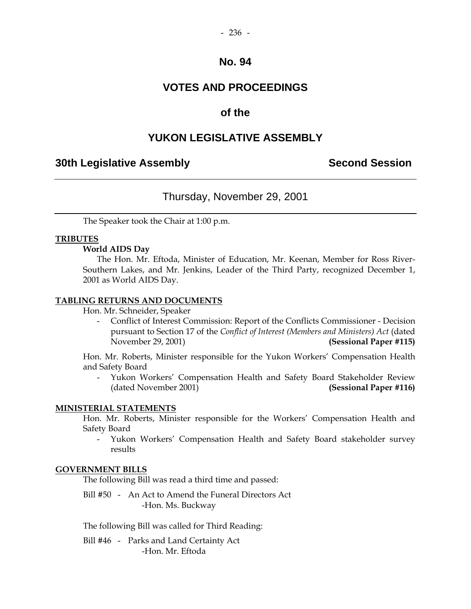# **VOTES AND PROCEEDINGS**

## **of the**

## **YUKON LEGISLATIVE ASSEMBLY**

## **30th Legislative Assembly Second Session**

## Thursday, November 29, 2001

The Speaker took the Chair at 1:00 p.m.

#### **TRIBUTES**

#### **World AIDS Day**

 The Hon. Mr. Eftoda, Minister of Education, Mr. Keenan, Member for Ross River-Southern Lakes, and Mr. Jenkins, Leader of the Third Party, recognized December 1, 2001 as World AIDS Day.

#### **TABLING RETURNS AND DOCUMENTS**

Hon. Mr. Schneider, Speaker

 - Conflict of Interest Commission: Report of the Conflicts Commissioner - Decision pursuant to Section 17 of the *Conflict of Interest (Members and Ministers) Act* (dated November 29, 2001) **(Sessional Paper #115)** 

Hon. Mr. Roberts, Minister responsible for the Yukon Workers' Compensation Health and Safety Board

 - Yukon Workers' Compensation Health and Safety Board Stakeholder Review (dated November 2001) **(Sessional Paper #116)** 

### **MINISTERIAL STATEMENTS**

 Hon. Mr. Roberts, Minister responsible for the Workers' Compensation Health and Safety Board

 - Yukon Workers' Compensation Health and Safety Board stakeholder survey results

#### **GOVERNMENT BILLS**

The following Bill was read a third time and passed:

 Bill #50 - An Act to Amend the Funeral Directors Act -Hon. Ms. Buckway

The following Bill was called for Third Reading:

 Bill #46 - Parks and Land Certainty Act -Hon. Mr. Eftoda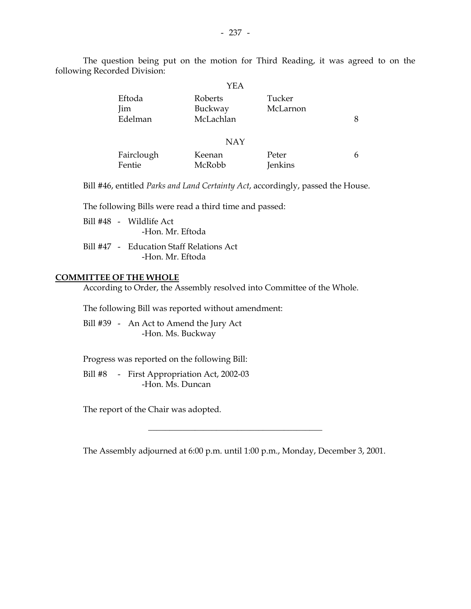The question being put on the motion for Third Reading, it was agreed to on the following Recorded Division:

|                      | YEA                |                         |   |
|----------------------|--------------------|-------------------------|---|
| Eftoda<br><i>lim</i> | Roberts<br>Buckway | Tucker<br>McLarnon      |   |
| Edelman              | McLachlan          |                         | 8 |
|                      | <b>NAY</b>         |                         |   |
| Fairclough<br>Fentie | Keenan<br>McRobb   | Peter<br><b>Jenkins</b> | 6 |

Bill #46, entitled *Parks and Land Certainty Act*, accordingly, passed the House.

The following Bills were read a third time and passed:

- Bill #48 Wildlife Act -Hon. Mr. Eftoda
- Bill #47 Education Staff Relations Act -Hon. Mr. Eftoda

#### **COMMITTEE OF THE WHOLE**

According to Order, the Assembly resolved into Committee of the Whole.

The following Bill was reported without amendment:

 Bill #39 - An Act to Amend the Jury Act -Hon. Ms. Buckway

Progress was reported on the following Bill:

 Bill #8 - First Appropriation Act, 2002-03 -Hon. Ms. Duncan

The report of the Chair was adopted.

The Assembly adjourned at 6:00 p.m. until 1:00 p.m., Monday, December 3, 2001.

\_\_\_\_\_\_\_\_\_\_\_\_\_\_\_\_\_\_\_\_\_\_\_\_\_\_\_\_\_\_\_\_\_\_\_\_\_\_\_\_\_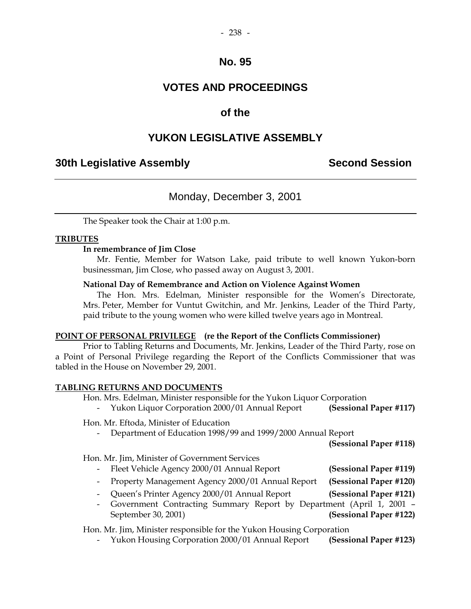# **VOTES AND PROCEEDINGS**

# **of the**

# **YUKON LEGISLATIVE ASSEMBLY**

## **30th Legislative Assembly Second Session**

# Monday, December 3, 2001

The Speaker took the Chair at 1:00 p.m.

### **TRIBUTES**

#### **In remembrance of Jim Close**

 Mr. Fentie, Member for Watson Lake, paid tribute to well known Yukon-born businessman, Jim Close, who passed away on August 3, 2001.

#### **National Day of Remembrance and Action on Violence Against Women**

 The Hon. Mrs. Edelman, Minister responsible for the Women's Directorate, Mrs. Peter, Member for Vuntut Gwitchin, and Mr. Jenkins, Leader of the Third Party, paid tribute to the young women who were killed twelve years ago in Montreal.

### **POINT OF PERSONAL PRIVILEGE (re the Report of the Conflicts Commissioner)**

 Prior to Tabling Returns and Documents, Mr. Jenkins, Leader of the Third Party, rose on a Point of Personal Privilege regarding the Report of the Conflicts Commissioner that was tabled in the House on November 29, 2001.

#### **TABLING RETURNS AND DOCUMENTS**

Hon. Mrs. Edelman, Minister responsible for the Yukon Liquor Corporation

- Yukon Liquor Corporation 2000/01 Annual Report **(Sessional Paper #117)** 

Hon. Mr. Eftoda, Minister of Education

- Department of Education 1998/99 and 1999/2000 Annual Report

**(Sessional Paper #118)** 

Hon. Mr. Jim, Minister of Government Services

- Fleet Vehicle Agency 2000/01 Annual Report **(Sessional Paper #119)**
- Property Management Agency 2000/01 Annual Report **(Sessional Paper #120)**
- Queen's Printer Agency 2000/01 Annual Report **(Sessional Paper #121)**
- Government Contracting Summary Report by Department (April 1, 2001 September 30, 2001) **(Sessional Paper #122)**

Hon. Mr. Jim, Minister responsible for the Yukon Housing Corporation

- Yukon Housing Corporation 2000/01 Annual Report **(Sessional Paper #123)**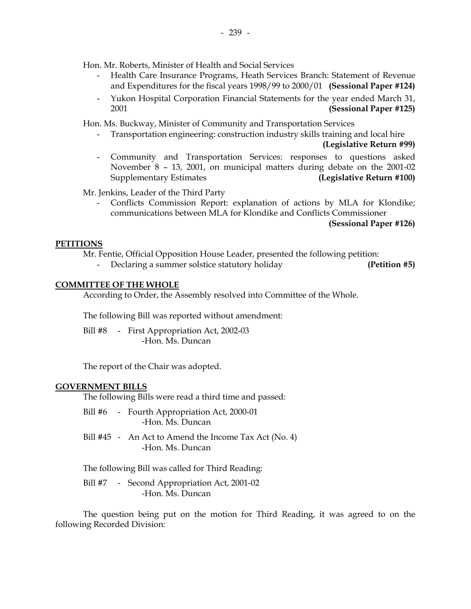Hon. Mr. Roberts, Minister of Health and Social Services

- Health Care Insurance Programs, Heath Services Branch: Statement of Revenue and Expenditures for the fiscal years 1998/99 to 2000/01 **(Sessional Paper #124)**
- Yukon Hospital Corporation Financial Statements for the year ended March 31, 2001 **(Sessional Paper #125)**

Hon. Ms. Buckway, Minister of Community and Transportation Services

- Transportation engineering: construction industry skills training and local hire

**(Legislative Return #99)** 

 - Community and Transportation Services: responses to questions asked November 8 – 13, 2001, on municipal matters during debate on the 2001-02 Supplementary Estimates **(Legislative Return #100)** 

Mr. Jenkins, Leader of the Third Party

Conflicts Commission Report: explanation of actions by MLA for Klondike; communications between MLA for Klondike and Conflicts Commissioner

**(Sessional Paper #126)** 

#### **PETITIONS**

Mr. Fentie, Official Opposition House Leader, presented the following petition:

- Declaring a summer solstice statutory holiday **(Petition #5)** 

#### **COMMITTEE OF THE WHOLE**

According to Order, the Assembly resolved into Committee of the Whole.

The following Bill was reported without amendment:

Bill #8 - First Appropriation Act, 2002-03 -Hon. Ms. Duncan

The report of the Chair was adopted.

#### **GOVERNMENT BILLS**

The following Bills were read a third time and passed:

- Bill #6 Fourth Appropriation Act, 2000-01 -Hon. Ms. Duncan
- Bill #45 An Act to Amend the Income Tax Act (No. 4) -Hon. Ms. Duncan

The following Bill was called for Third Reading:

Bill #7 - Second Appropriation Act, 2001-02 -Hon. Ms. Duncan

 The question being put on the motion for Third Reading, it was agreed to on the following Recorded Division: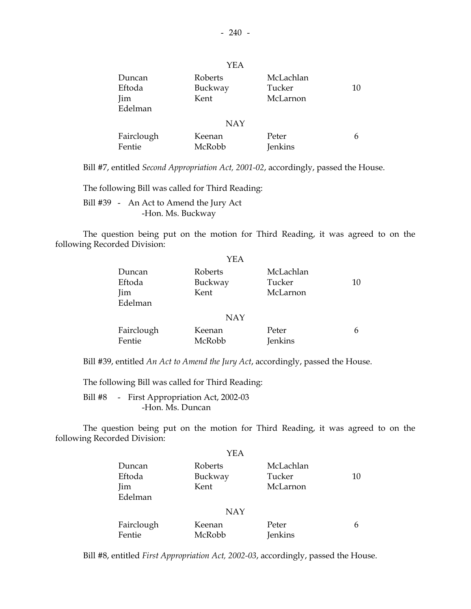|                      | YEA                |                         |    |
|----------------------|--------------------|-------------------------|----|
| Duncan<br>Eftoda     | Roberts<br>Buckway | McLachlan<br>Tucker     | 10 |
| Jim<br>Edelman       | Kent               | McLarnon                |    |
|                      | <b>NAY</b>         |                         |    |
| Fairclough<br>Fentie | Keenan<br>McRobb   | Peter<br><b>Jenkins</b> | 6  |

Bill #7, entitled *Second Appropriation Act, 2001-02*, accordingly, passed the House.

The following Bill was called for Third Reading:

 Bill #39 - An Act to Amend the Jury Act -Hon. Ms. Buckway

 The question being put on the motion for Third Reading, it was agreed to on the following Recorded Division:

|            | YEA        |                |    |
|------------|------------|----------------|----|
| Duncan     | Roberts    | McLachlan      |    |
| Eftoda     | Buckway    | Tucker         | 10 |
| Jim        | Kent       | McLarnon       |    |
| Edelman    |            |                |    |
|            | <b>NAY</b> |                |    |
| Fairclough | Keenan     | Peter          | 6  |
| Fentie     | McRobb     | <b>Jenkins</b> |    |

Bill #39, entitled *An Act to Amend the Jury Act*, accordingly, passed the House.

The following Bill was called for Third Reading:

 Bill #8 - First Appropriation Act, 2002-03 -Hon. Ms. Duncan

 The question being put on the motion for Third Reading, it was agreed to on the following Recorded Division:

|            | YEA        |                |    |
|------------|------------|----------------|----|
| Duncan     | Roberts    | McLachlan      |    |
| Eftoda     | Buckway    | Tucker         | 10 |
| Jim        | Kent       | McLarnon       |    |
| Edelman    |            |                |    |
|            | <b>NAY</b> |                |    |
| Fairclough | Keenan     | Peter          | 6  |
| Fentie     | McRobb     | <b>Jenkins</b> |    |

Bill #8, entitled *First Appropriation Act, 2002-03*, accordingly, passed the House.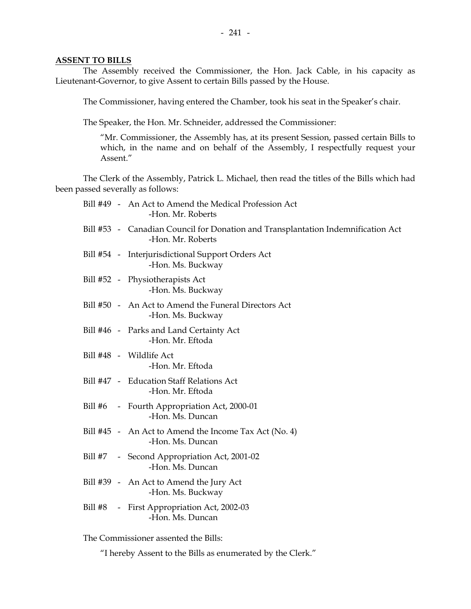#### **ASSENT TO BILLS**

 The Assembly received the Commissioner, the Hon. Jack Cable, in his capacity as Lieutenant-Governor, to give Assent to certain Bills passed by the House.

The Commissioner, having entered the Chamber, took his seat in the Speaker's chair.

The Speaker, the Hon. Mr. Schneider, addressed the Commissioner:

 "Mr. Commissioner, the Assembly has, at its present Session, passed certain Bills to which, in the name and on behalf of the Assembly, I respectfully request your Assent."

 The Clerk of the Assembly, Patrick L. Michael, then read the titles of the Bills which had been passed severally as follows:

|         | Bill #49 - An Act to Amend the Medical Profession Act<br>-Hon. Mr. Roberts                            |
|---------|-------------------------------------------------------------------------------------------------------|
|         | Bill #53 - Canadian Council for Donation and Transplantation Indemnification Act<br>-Hon. Mr. Roberts |
|         | Bill #54 - Interjurisdictional Support Orders Act<br>-Hon. Ms. Buckway                                |
|         | Bill #52 - Physiotherapists Act<br>-Hon. Ms. Buckway                                                  |
|         | Bill #50 - An Act to Amend the Funeral Directors Act<br>-Hon. Ms. Buckway                             |
|         | Bill #46 - Parks and Land Certainty Act<br>-Hon. Mr. Eftoda                                           |
|         | Bill #48 - Wildlife Act<br>-Hon. Mr. Eftoda                                                           |
|         | Bill #47 - Education Staff Relations Act<br>-Hon. Mr. Eftoda                                          |
|         | Bill #6 - Fourth Appropriation Act, 2000-01<br>-Hon. Ms. Duncan                                       |
|         | Bill #45 - An Act to Amend the Income Tax Act (No. 4)<br>-Hon. Ms. Duncan                             |
|         | Bill #7 - Second Appropriation Act, 2001-02<br>-Hon. Ms. Duncan                                       |
|         | Bill #39 - An Act to Amend the Jury Act<br>-Hon. Ms. Buckway                                          |
| Bill #8 | - First Appropriation Act, 2002-03<br>-Hon. Ms. Duncan                                                |
|         |                                                                                                       |

The Commissioner assented the Bills:

"I hereby Assent to the Bills as enumerated by the Clerk."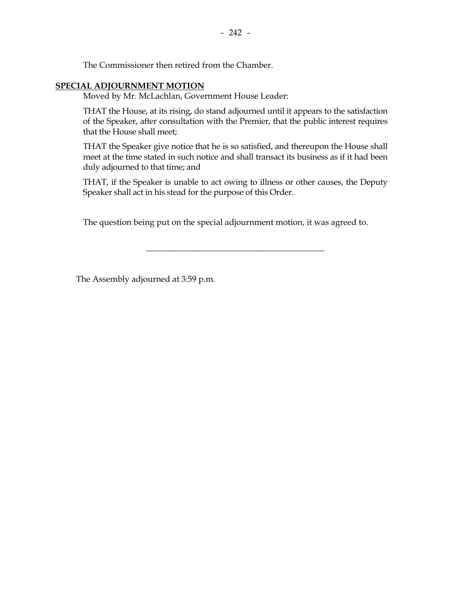The Commissioner then retired from the Chamber.

### **SPECIAL ADJOURNMENT MOTION**

Moved by Mr. McLachlan, Government House Leader:

THAT the House, at its rising, do stand adjourned until it appears to the satisfaction of the Speaker, after consultation with the Premier, that the public interest requires that the House shall meet;

THAT the Speaker give notice that he is so satisfied, and thereupon the House shall meet at the time stated in such notice and shall transact its business as if it had been duly adjourned to that time; and

THAT, if the Speaker is unable to act owing to illness or other causes, the Deputy Speaker shall act in his stead for the purpose of this Order.

\_\_\_\_\_\_\_\_\_\_\_\_\_\_\_\_\_\_\_\_\_\_\_\_\_\_\_\_\_\_\_\_\_\_\_\_\_\_\_\_\_\_

The question being put on the special adjournment motion, it was agreed to.

The Assembly adjourned at 3:59 p.m.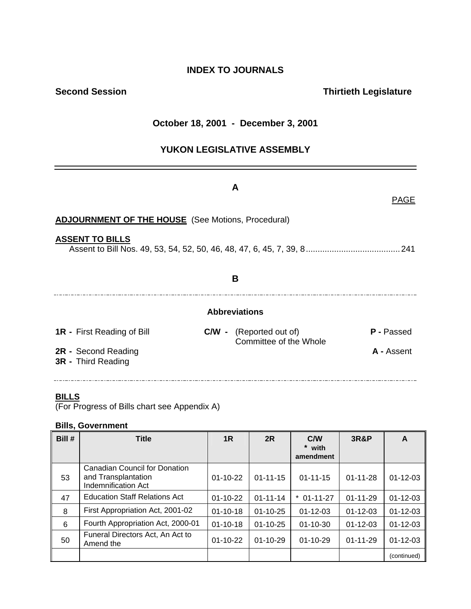# **INDEX TO JOURNALS**

# **Second Session Contract Contract Contract Contract Contract Contract Contract Contract Contract Contract Contract Contract Contract Contract Contract Contract Contract Contract Contract Contract Contract Contract Contract**

## **October 18, 2001 - December 3, 2001**

## **YUKON LEGISLATIVE ASSEMBLY**

|                                                           | A                                                        | <b>PAGE</b>       |  |  |
|-----------------------------------------------------------|----------------------------------------------------------|-------------------|--|--|
| <b>ADJOURNMENT OF THE HOUSE</b> (See Motions, Procedural) |                                                          |                   |  |  |
| <b>ASSENT TO BILLS</b>                                    | 241                                                      |                   |  |  |
|                                                           | B                                                        |                   |  |  |
|                                                           | <b>Abbreviations</b>                                     |                   |  |  |
| <b>1R</b> - First Reading of Bill                         | <b>C/W</b> - (Reported out of)<br>Committee of the Whole | <b>P</b> - Passed |  |  |
| 2R - Second Reading<br>3R - Third Reading                 |                                                          | A - Assent        |  |  |

### **BILLS**

(For Progress of Bills chart see Appendix A)

### **Bills, Government**

| Bill # | <b>Title</b>                                                                              | 1 <sub>R</sub> | 2R             | C/W<br>* with<br>amendment | <b>3R&amp;P</b> | A              |
|--------|-------------------------------------------------------------------------------------------|----------------|----------------|----------------------------|-----------------|----------------|
| 53     | <b>Canadian Council for Donation</b><br>and Transplantation<br><b>Indemnification Act</b> | $01 - 10 - 22$ | $01 - 11 - 15$ | $01 - 11 - 15$             | $01 - 11 - 28$  | $01 - 12 - 03$ |
| 47     | <b>Education Staff Relations Act</b>                                                      | $01-10-22$     | $01 - 11 - 14$ | $01 - 11 - 27$             | $01 - 11 - 29$  | $01 - 12 - 03$ |
| 8      | First Appropriation Act, 2001-02                                                          | $01 - 10 - 18$ | $01 - 10 - 25$ | $01 - 12 - 03$             | $01 - 12 - 03$  | $01 - 12 - 03$ |
| 6      | Fourth Appropriation Act, 2000-01                                                         | $01 - 10 - 18$ | $01 - 10 - 25$ | $01 - 10 - 30$             | $01 - 12 - 03$  | $01 - 12 - 03$ |
| 50     | Funeral Directors Act, An Act to<br>Amend the                                             | $01-10-22$     | $01 - 10 - 29$ | $01 - 10 - 29$             | $01 - 11 - 29$  | $01 - 12 - 03$ |
|        |                                                                                           |                |                |                            |                 | (continued)    |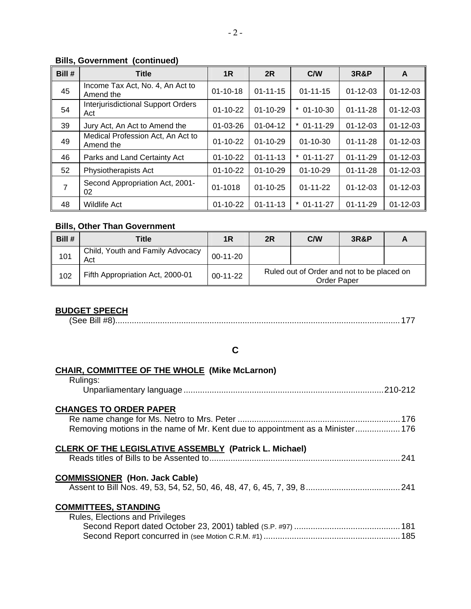## **Bills, Government (continued)**

| Bill #         | <b>Title</b>                                     | 1 <sub>R</sub> | 2R             | <b>C/W</b>          | <b>3R&amp;P</b> | A              |
|----------------|--------------------------------------------------|----------------|----------------|---------------------|-----------------|----------------|
| 45             | Income Tax Act, No. 4, An Act to<br>Amend the    | $01 - 10 - 18$ | $01 - 11 - 15$ | $01 - 11 - 15$      | $01 - 12 - 03$  | $01 - 12 - 03$ |
| 54             | <b>Interjurisdictional Support Orders</b><br>Act | $01 - 10 - 22$ | $01 - 10 - 29$ | $01 - 10 - 30$<br>* | $01 - 11 - 28$  | $01 - 12 - 03$ |
| 39             | Jury Act, An Act to Amend the                    | 01-03-26       | $01 - 04 - 12$ | $*$ 01-11-29        | $01 - 12 - 03$  | $01 - 12 - 03$ |
| 49             | Medical Profession Act, An Act to<br>Amend the   | $01 - 10 - 22$ | $01 - 10 - 29$ | $01 - 10 - 30$      | $01 - 11 - 28$  | $01 - 12 - 03$ |
| 46             | Parks and Land Certainty Act                     | $01 - 10 - 22$ | $01 - 11 - 13$ | $*$ 01-11-27        | $01 - 11 - 29$  | $01 - 12 - 03$ |
| 52             | Physiotherapists Act                             | $01 - 10 - 22$ | $01 - 10 - 29$ | $01 - 10 - 29$      | $01 - 11 - 28$  | $01 - 12 - 03$ |
| $\overline{7}$ | Second Appropriation Act, 2001-<br>02            | 01-1018        | $01 - 10 - 25$ | $01 - 11 - 22$      | $01 - 12 - 03$  | $01 - 12 - 03$ |
| 48             | <b>Wildlife Act</b>                              | $01 - 10 - 22$ | $01 - 11 - 13$ | $01 - 11 - 27$      | $01 - 11 - 29$  | $01 - 12 - 03$ |

## **Bills, Other Than Government**

| Bill # | Title                                   | 1 <sub>R</sub> | 2R                                                               | <b>C/W</b> | <b>3R&amp;P</b> |  |
|--------|-----------------------------------------|----------------|------------------------------------------------------------------|------------|-----------------|--|
| 101    | Child, Youth and Family Advocacy<br>Act | $00-11-20$     |                                                                  |            |                 |  |
| 102    | Fifth Appropriation Act, 2000-01        | $00-11-22$     | Ruled out of Order and not to be placed on<br><b>Order Paper</b> |            |                 |  |

## **BUDGET SPEECH**

(See Bill #8).........................................................................................................................177

## **C**

#### **CHAIR, COMMITTEE OF THE WHOLE (Mike McLarnon)**  Rulings:

| .                                                                             |  |
|-------------------------------------------------------------------------------|--|
| <b>CHANGES TO ORDER PAPER</b>                                                 |  |
|                                                                               |  |
| Removing motions in the name of Mr. Kent due to appointment as a Minister 176 |  |
| <b>CLERK OF THE LEGISLATIVE ASSEMBLY (Patrick L. Michael)</b>                 |  |
|                                                                               |  |
| <b>COMMISSIONER (Hon. Jack Cable)</b>                                         |  |
|                                                                               |  |
| <b>COMMITTEES, STANDING</b>                                                   |  |
| <b>Rules, Elections and Privileges</b>                                        |  |
|                                                                               |  |
|                                                                               |  |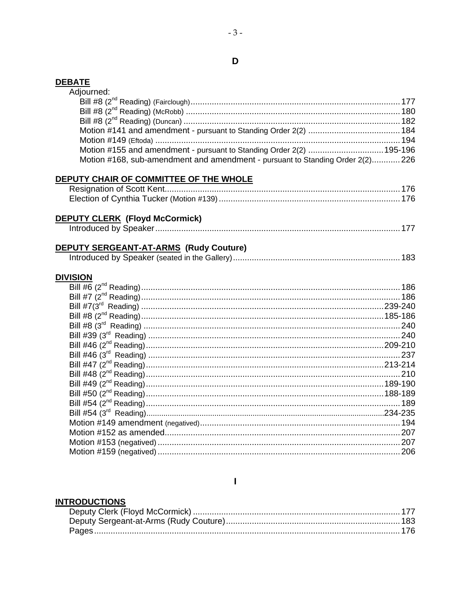## **DEBATE**

| Adjourned:                                                                     |  |
|--------------------------------------------------------------------------------|--|
|                                                                                |  |
|                                                                                |  |
|                                                                                |  |
|                                                                                |  |
|                                                                                |  |
| Motion #155 and amendment - pursuant to Standing Order 2(2) 195-196            |  |
| Motion #168, sub-amendment and amendment - pursuant to Standing Order 2(2) 226 |  |
|                                                                                |  |
| DEPUTY CHAIR OF COMMITTEE OF THE WHOLE                                         |  |
|                                                                                |  |
|                                                                                |  |
|                                                                                |  |
| <b>DEPUTY CLERK (Floyd McCormick)</b>                                          |  |
|                                                                                |  |
|                                                                                |  |
| DEPUTY SERGEANT-AT-ARMS (Rudy Couture)                                         |  |
|                                                                                |  |
|                                                                                |  |
| <b>DIVISION</b>                                                                |  |
|                                                                                |  |
|                                                                                |  |
|                                                                                |  |
|                                                                                |  |
|                                                                                |  |
|                                                                                |  |
|                                                                                |  |
|                                                                                |  |
|                                                                                |  |
|                                                                                |  |
|                                                                                |  |
|                                                                                |  |
|                                                                                |  |
|                                                                                |  |
|                                                                                |  |
|                                                                                |  |
|                                                                                |  |
|                                                                                |  |
|                                                                                |  |

## $\mathbf I$

# **INTRODUCTIONS**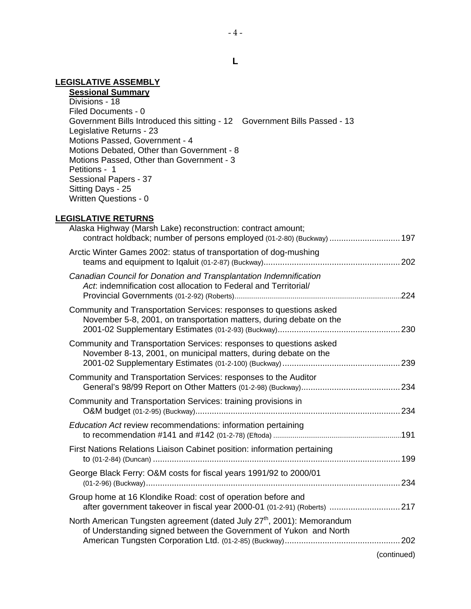## **LEGISLATIVE ASSEMBLY**

**Sessional Summary** Divisions - 18 Filed Documents - 0 Government Bills Introduced this sitting - 12 Government Bills Passed - 13 Legislative Returns - 23 Motions Passed, Government - 4 Motions Debated, Other than Government - 8 Motions Passed, Other than Government - 3 Petitions - 1 Sessional Papers - 37 Sitting Days - 25 Written Questions - 0

#### **LEGISLATIVE RETURNS**

|             | Alaska Highway (Marsh Lake) reconstruction: contract amount;<br>contract holdback; number of persons employed (01-2-80) (Buckway)  197                  |
|-------------|---------------------------------------------------------------------------------------------------------------------------------------------------------|
|             | Arctic Winter Games 2002: status of transportation of dog-mushing                                                                                       |
|             | Canadian Council for Donation and Transplantation Indemnification<br>Act: indemnification cost allocation to Federal and Territorial/                   |
|             | Community and Transportation Services: responses to questions asked<br>November 5-8, 2001, on transportation matters, during debate on the              |
|             | Community and Transportation Services: responses to questions asked<br>November 8-13, 2001, on municipal matters, during debate on the                  |
|             | Community and Transportation Services: responses to the Auditor                                                                                         |
|             | Community and Transportation Services: training provisions in                                                                                           |
|             | Education Act review recommendations: information pertaining                                                                                            |
|             | First Nations Relations Liaison Cabinet position: information pertaining                                                                                |
|             | George Black Ferry: O&M costs for fiscal years 1991/92 to 2000/01                                                                                       |
|             | Group home at 16 Klondike Road: cost of operation before and<br>after government takeover in fiscal year 2000-01 (01-2-91) (Roberts)  217               |
|             | North American Tungsten agreement (dated July 27 <sup>th</sup> , 2001): Memorandum<br>of Understanding signed between the Government of Yukon and North |
| (continued) |                                                                                                                                                         |

**L**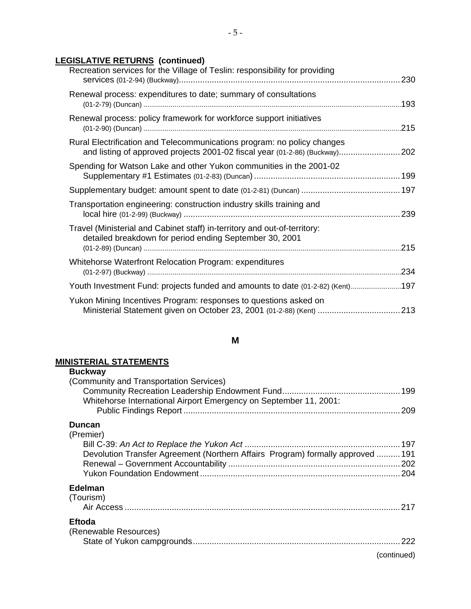## **LEGISLATIVE RETURNS (continued)**

| Recreation services for the Village of Teslin: responsibility for providing                                                                             |  |
|---------------------------------------------------------------------------------------------------------------------------------------------------------|--|
| Renewal process: expenditures to date; summary of consultations                                                                                         |  |
| Renewal process: policy framework for workforce support initiatives                                                                                     |  |
| Rural Electrification and Telecommunications program: no policy changes<br>and listing of approved projects 2001-02 fiscal year (01-2-86) (Buckway) 202 |  |
| Spending for Watson Lake and other Yukon communities in the 2001-02                                                                                     |  |
|                                                                                                                                                         |  |
| Transportation engineering: construction industry skills training and                                                                                   |  |
| Travel (Ministerial and Cabinet staff) in-territory and out-of-territory:<br>detailed breakdown for period ending September 30, 2001                    |  |
| Whitehorse Waterfront Relocation Program: expenditures                                                                                                  |  |
| Youth Investment Fund: projects funded and amounts to date (01-2-82) (Kent)197                                                                          |  |
| Yukon Mining Incentives Program: responses to questions asked on<br>Ministerial Statement given on October 23, 2001 (01-2-88) (Kent)  213               |  |

## **M**

## **MINISTERIAL STATEMENTS**

| <b>Buckway</b>                                                                 |             |
|--------------------------------------------------------------------------------|-------------|
| (Community and Transportation Services)                                        |             |
|                                                                                |             |
| Whitehorse International Airport Emergency on September 11, 2001:              |             |
|                                                                                | 209         |
| Duncan                                                                         |             |
| (Premier)                                                                      |             |
|                                                                                |             |
| Devolution Transfer Agreement (Northern Affairs Program) formally approved 191 |             |
|                                                                                |             |
|                                                                                |             |
| <b>Edelman</b>                                                                 |             |
| (Tourism)                                                                      |             |
|                                                                                | .217        |
| Eftoda                                                                         |             |
| (Renewable Resources)                                                          |             |
|                                                                                | 222         |
|                                                                                |             |
|                                                                                | (continued) |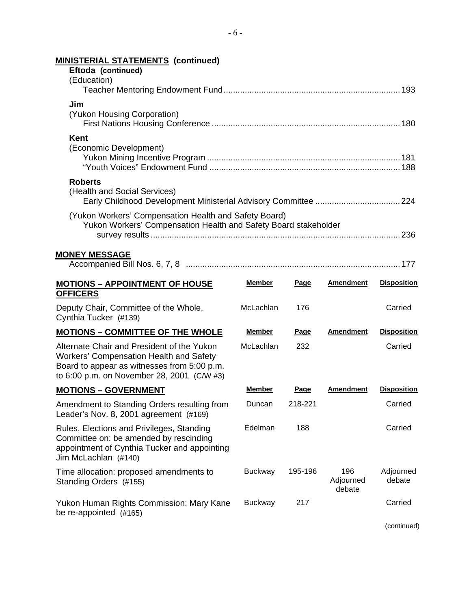| <b>MINISTERIAL STATEMENTS (continued)</b>                                                                                                                                          |                |             |                            |                     |
|------------------------------------------------------------------------------------------------------------------------------------------------------------------------------------|----------------|-------------|----------------------------|---------------------|
| Eftoda (continued)                                                                                                                                                                 |                |             |                            |                     |
| (Education)                                                                                                                                                                        |                |             |                            |                     |
| Jim<br>(Yukon Housing Corporation)                                                                                                                                                 |                |             |                            |                     |
| Kent                                                                                                                                                                               |                |             |                            |                     |
| (Economic Development)                                                                                                                                                             |                |             |                            |                     |
| <b>Roberts</b><br>(Health and Social Services)                                                                                                                                     |                |             |                            |                     |
| (Yukon Workers' Compensation Health and Safety Board)<br>Yukon Workers' Compensation Health and Safety Board stakeholder                                                           |                |             |                            |                     |
| <b>MONEY MESSAGE</b>                                                                                                                                                               |                |             |                            |                     |
|                                                                                                                                                                                    |                |             |                            |                     |
| <b>MOTIONS - APPOINTMENT OF HOUSE</b><br><b>OFFICERS</b>                                                                                                                           | <b>Member</b>  | Page        | <b>Amendment</b>           | <b>Disposition</b>  |
| Deputy Chair, Committee of the Whole,<br>Cynthia Tucker (#139)                                                                                                                     | McLachlan      | 176         |                            | Carried             |
| <b>MOTIONS - COMMITTEE OF THE WHOLE</b>                                                                                                                                            | <b>Member</b>  | <b>Page</b> | <b>Amendment</b>           | <b>Disposition</b>  |
| Alternate Chair and President of the Yukon<br>Workers' Compensation Health and Safety<br>Board to appear as witnesses from 5:00 p.m.<br>to 6:00 p.m. on November 28, 2001 (C/W #3) | McLachlan      | 232         |                            | Carried             |
| <b>MOTIONS - GOVERNMENT</b>                                                                                                                                                        | <b>Member</b>  | Page        | <b>Amendment</b>           | <b>Disposition</b>  |
| Amendment to Standing Orders resulting from<br>Leader's Nov. 8, 2001 agreement (#169)                                                                                              | Duncan         | 218-221     |                            | Carried             |
| Rules, Elections and Privileges, Standing<br>Committee on: be amended by rescinding<br>appointment of Cynthia Tucker and appointing<br>Jim McLachlan (#140)                        | Edelman        | 188         |                            | Carried             |
| Time allocation: proposed amendments to<br>Standing Orders (#155)                                                                                                                  | <b>Buckway</b> | 195-196     | 196<br>Adjourned<br>debate | Adjourned<br>debate |
| Yukon Human Rights Commission: Mary Kane<br>be re-appointed (#165)                                                                                                                 | <b>Buckway</b> | 217         |                            | Carried             |

(continued)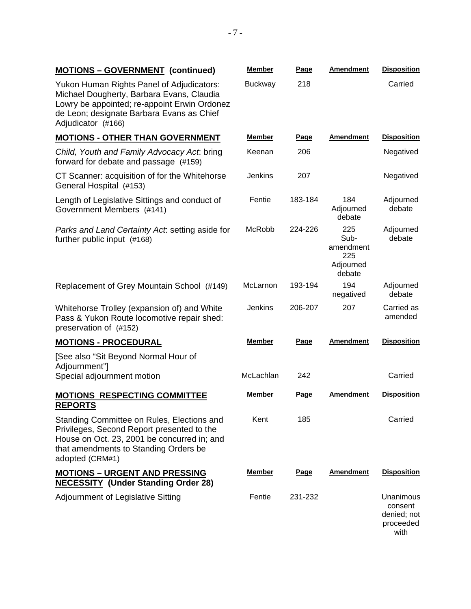|  | <b>MOTIONS - GOVERNMENT (continued)</b> |  | Member | Page | Amendment | <b>Disposition</b> |
|--|-----------------------------------------|--|--------|------|-----------|--------------------|
|--|-----------------------------------------|--|--------|------|-----------|--------------------|

Yukon Human Rights Panel of Adjudicators: Michael Dougherty, Barbara Evans, Claudia Lowry be appointed; re-appoint Erwin Ordonez de Leon; designate Barbara Evans as Chief Adjudicator (#166)

#### **MOTIONS - OTHER THAN GOVERNMENT**

*Child, Youth and Family Advocacy Act*: bring forward for debate and passage (#159)

CT Scanner: acquisition of for the Whitehorse General Hospital (#153)

Length of Legislative Sittings and conduct of Government Members (#141)

*Parks and Land Certainty Act*: setting aside for further public input (#168)

Replacement of Grey Mountain School (#149)

Whitehorse Trolley (expansion of) and White Pass & Yukon Route locomotive repair shed: preservation of (#152)

#### **MOTIONS - PROCEDURAL Member Page Amendment Disposition**

[See also "Sit Beyond Normal Hour of Adjournment"] Special adjournment motion

### **MOTIONS RESPECTING COMMITTEE REPORTS**

Standing Committee on Rules, Elections and Privileges, Second Report presented to the House on Oct. 23, 2001 be concurred in; and that amendments to Standing Orders be adopted (CRM#1)

### **MOTIONS – URGENT AND PRESSING NECESSITY (Under Standing Order 28)**

Adjournment of Legislative Sitting

| Buckway       | 218     |                                                        | Carried               |
|---------------|---------|--------------------------------------------------------|-----------------------|
|               |         |                                                        |                       |
|               |         |                                                        |                       |
| <b>Member</b> | Page    | <b>Amendment</b>                                       | <b>Disposition</b>    |
| Keenan        | 206     |                                                        | Negatived             |
| Jenkins       | 207     |                                                        | Negatived             |
| Fentie        | 183-184 | 184<br>Adjourned<br>debate                             | Adjourned<br>debate   |
| McRobb        | 224-226 | 225<br>Sub-<br>amendment<br>225<br>Adjourned<br>debate | Adjourned<br>debate   |
| McLarnon      | 193-194 | 194<br>negatived                                       | Adjourned<br>debate   |
| Jenkins       | 206-207 | 207                                                    | Carried as<br>amended |
| Member        | Page    | Amendment                                              | <b>Disposition</b>    |

| McLachlan     | 242  |                  | Carried            |
|---------------|------|------------------|--------------------|
| <b>Member</b> | Page | <b>Amendment</b> | <b>Disposition</b> |
| Kent          | 185  |                  | Carried            |

| <b>Member</b> | Page    | <b>Amendment</b> | <b>Disposition</b>                                       |
|---------------|---------|------------------|----------------------------------------------------------|
| Fentie        | 231-232 |                  | Unanimous<br>consent<br>denied; not<br>proceeded<br>with |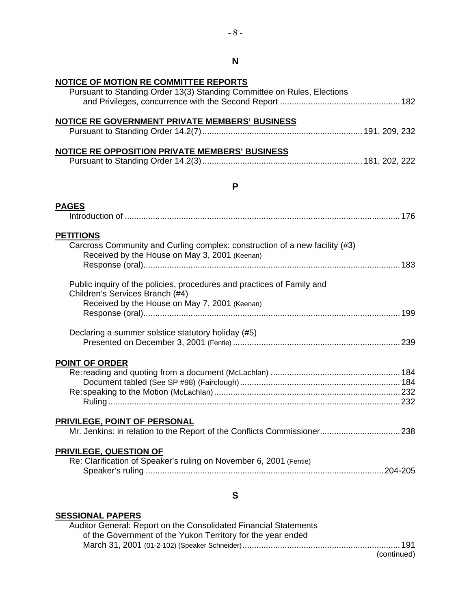| <b>NOTICE OF MOTION RE COMMITTEE REPORTS</b><br>Pursuant to Standing Order 13(3) Standing Committee on Rules, Elections                                    |  |
|------------------------------------------------------------------------------------------------------------------------------------------------------------|--|
| NOTICE RE GOVERNMENT PRIVATE MEMBERS' BUSINESS                                                                                                             |  |
| NOTICE RE OPPOSITION PRIVATE MEMBERS' BUSINESS                                                                                                             |  |
| P                                                                                                                                                          |  |
| <b>PAGES</b>                                                                                                                                               |  |
| <b>PETITIONS</b><br>Carcross Community and Curling complex: construction of a new facility (#3)<br>Received by the House on May 3, 2001 (Keenan)           |  |
| Public inquiry of the policies, procedures and practices of Family and<br>Children's Services Branch (#4)<br>Received by the House on May 7, 2001 (Keenan) |  |
| Declaring a summer solstice statutory holiday (#5)                                                                                                         |  |
| <b>POINT OF ORDER</b>                                                                                                                                      |  |
| <b>PRIVILEGE, POINT OF PERSONAL</b>                                                                                                                        |  |
| <b>PRIVILEGE, QUESTION OF</b><br>Re: Clarification of Speaker's ruling on November 6, 2001 (Fentie)                                                        |  |
| S                                                                                                                                                          |  |
| <b>SESSIONAL PAPERS</b>                                                                                                                                    |  |

|             | Auditor General: Report on the Consolidated Financial Statements |
|-------------|------------------------------------------------------------------|
|             | of the Government of the Yukon Territory for the year ended      |
|             |                                                                  |
| (continued) |                                                                  |

**N**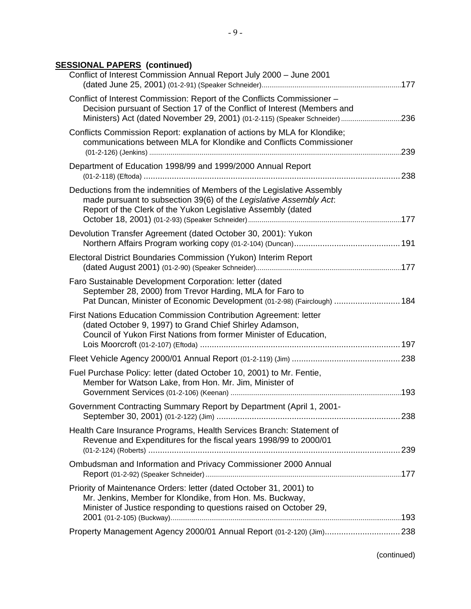## **SESSIONAL PAPERS (continued)**

| Conflict of Interest Commission Annual Report July 2000 - June 2001                                                                                                                                                                |     |
|------------------------------------------------------------------------------------------------------------------------------------------------------------------------------------------------------------------------------------|-----|
| Conflict of Interest Commission: Report of the Conflicts Commissioner -<br>Decision pursuant of Section 17 of the Conflict of Interest (Members and<br>Ministers) Act (dated November 29, 2001) (01-2-115) (Speaker Schneider) 236 |     |
| Conflicts Commission Report: explanation of actions by MLA for Klondike;<br>communications between MLA for Klondike and Conflicts Commissioner                                                                                     |     |
| Department of Education 1998/99 and 1999/2000 Annual Report                                                                                                                                                                        |     |
| Deductions from the indemnities of Members of the Legislative Assembly<br>made pursuant to subsection 39(6) of the Legislative Assembly Act.<br>Report of the Clerk of the Yukon Legislative Assembly (dated                       |     |
| Devolution Transfer Agreement (dated October 30, 2001): Yukon                                                                                                                                                                      |     |
| Electoral District Boundaries Commission (Yukon) Interim Report                                                                                                                                                                    |     |
| Faro Sustainable Development Corporation: letter (dated<br>September 28, 2000) from Trevor Harding, MLA for Faro to<br>Pat Duncan, Minister of Economic Development (01-2-98) (Fairclough)  184                                    |     |
| First Nations Education Commission Contribution Agreement: letter<br>(dated October 9, 1997) to Grand Chief Shirley Adamson,<br>Council of Yukon First Nations from former Minister of Education,                                  |     |
|                                                                                                                                                                                                                                    |     |
| Fuel Purchase Policy: letter (dated October 10, 2001) to Mr. Fentie,<br>Member for Watson Lake, from Hon. Mr. Jim, Minister of                                                                                                     |     |
| Government Contracting Summary Report by Department (April 1, 2001-                                                                                                                                                                | 238 |
| Health Care Insurance Programs, Health Services Branch: Statement of<br>Revenue and Expenditures for the fiscal years 1998/99 to 2000/01                                                                                           |     |
| Ombudsman and Information and Privacy Commissioner 2000 Annual                                                                                                                                                                     |     |
| Priority of Maintenance Orders: letter (dated October 31, 2001) to<br>Mr. Jenkins, Member for Klondike, from Hon. Ms. Buckway,<br>Minister of Justice responding to questions raised on October 29,                                |     |
| Property Management Agency 2000/01 Annual Report (01-2-120) (Jim) 238                                                                                                                                                              |     |
|                                                                                                                                                                                                                                    |     |

(continued)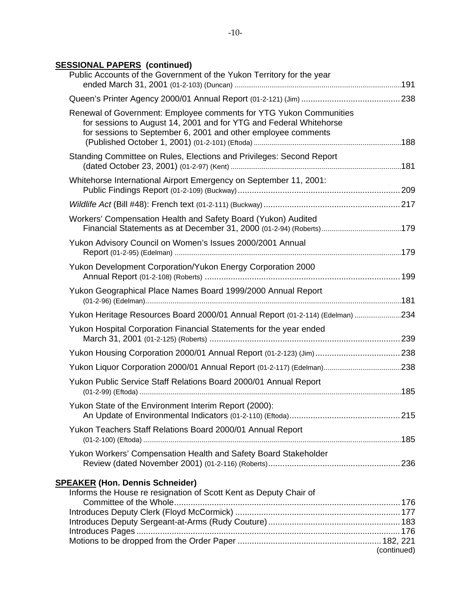## **SESSIONAL PAPERS (continued)**

| Public Accounts of the Government of the Yukon Territory for the year                                                                                                                                     |             |
|-----------------------------------------------------------------------------------------------------------------------------------------------------------------------------------------------------------|-------------|
|                                                                                                                                                                                                           |             |
| Renewal of Government: Employee comments for YTG Yukon Communities<br>for sessions to August 14, 2001 and for YTG and Federal Whitehorse<br>for sessions to September 6, 2001 and other employee comments |             |
| Standing Committee on Rules, Elections and Privileges: Second Report                                                                                                                                      |             |
| Whitehorse International Airport Emergency on September 11, 2001:                                                                                                                                         |             |
|                                                                                                                                                                                                           |             |
| Workers' Compensation Health and Safety Board (Yukon) Audited                                                                                                                                             |             |
| Yukon Advisory Council on Women's Issues 2000/2001 Annual                                                                                                                                                 |             |
| Yukon Development Corporation/Yukon Energy Corporation 2000                                                                                                                                               |             |
| Yukon Geographical Place Names Board 1999/2000 Annual Report                                                                                                                                              |             |
| Yukon Heritage Resources Board 2000/01 Annual Report (01-2-114) (Edelman) 234                                                                                                                             |             |
| Yukon Hospital Corporation Financial Statements for the year ended                                                                                                                                        |             |
| Yukon Housing Corporation 2000/01 Annual Report (01-2-123) (Jim)  238                                                                                                                                     |             |
|                                                                                                                                                                                                           |             |
| Yukon Public Service Staff Relations Board 2000/01 Annual Report                                                                                                                                          |             |
| Yukon State of the Environment Interim Report (2000):                                                                                                                                                     |             |
| Yukon Teachers Staff Relations Board 2000/01 Annual Report                                                                                                                                                |             |
| Yukon Workers' Compensation Health and Safety Board Stakeholder                                                                                                                                           |             |
| <b>SPEAKER (Hon. Dennis Schneider)</b>                                                                                                                                                                    |             |
| Informs the House re resignation of Scott Kent as Deputy Chair of                                                                                                                                         |             |
|                                                                                                                                                                                                           |             |
|                                                                                                                                                                                                           |             |
|                                                                                                                                                                                                           |             |
|                                                                                                                                                                                                           | (continued) |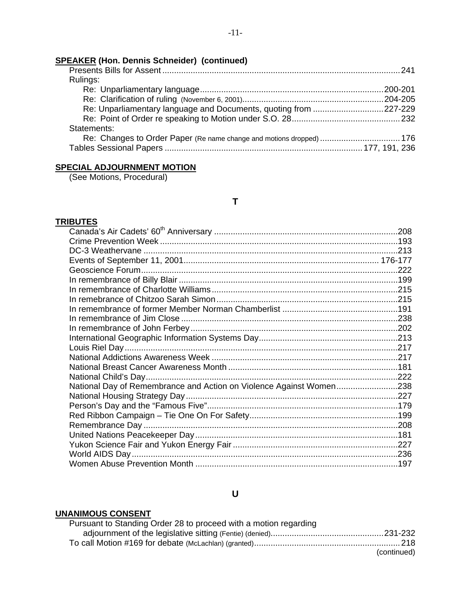## **SPEAKER (Hon. Dennis Schneider) (continued)**

| Rulings:                                                             |  |
|----------------------------------------------------------------------|--|
|                                                                      |  |
|                                                                      |  |
| Re: Unparliamentary language and Documents, quoting from 227-229     |  |
|                                                                      |  |
| Statements:                                                          |  |
| Re: Changes to Order Paper (Re name change and motions dropped)  176 |  |
|                                                                      |  |

## **SPECIAL ADJOURNMENT MOTION**

(See Motions, Procedural)

## **T**

### **TRIBUTES**

| National Day of Remembrance and Action on Violence Against Women238 |  |
|---------------------------------------------------------------------|--|
|                                                                     |  |
|                                                                     |  |
|                                                                     |  |
|                                                                     |  |
|                                                                     |  |
|                                                                     |  |
|                                                                     |  |
|                                                                     |  |

## **U**

## **UNANIMOUS CONSENT**

|             | Pursuant to Standing Order 28 to proceed with a motion regarding |
|-------------|------------------------------------------------------------------|
|             |                                                                  |
|             |                                                                  |
| (continued) |                                                                  |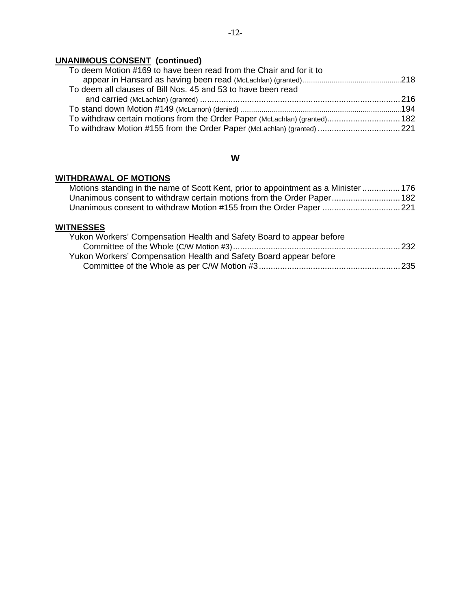## **UNANIMOUS CONSENT (continued)**

| To withdraw certain motions from the Order Paper (McLachlan) (granted) 182 |
|----------------------------------------------------------------------------|
| To withdraw Motion #155 from the Order Paper (McLachlan) (granted)  221    |
|                                                                            |

## **W**

## **WITHDRAWAL OF MOTIONS**

| Motions standing in the name of Scott Kent, prior to appointment as a Minister  176 |  |
|-------------------------------------------------------------------------------------|--|
| Unanimous consent to withdraw certain motions from the Order Paper 182              |  |
| Unanimous consent to withdraw Motion #155 from the Order Paper 221                  |  |

## **WITNESSES**

| Yukon Workers' Compensation Health and Safety Board to appear before |  |
|----------------------------------------------------------------------|--|
|                                                                      |  |
| Yukon Workers' Compensation Health and Safety Board appear before    |  |
|                                                                      |  |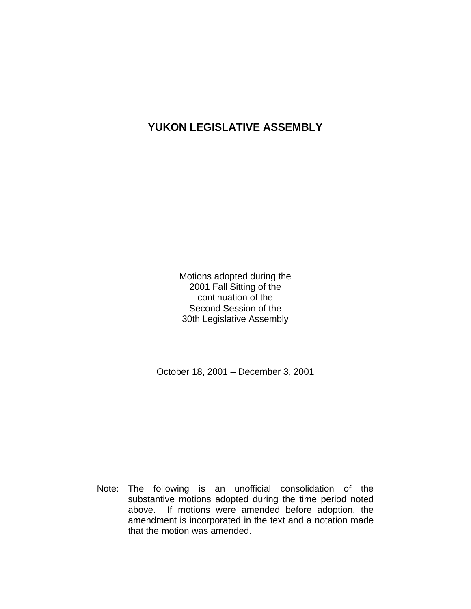## **YUKON LEGISLATIVE ASSEMBLY**

Motions adopted during the 2001 Fall Sitting of the continuation of the Second Session of the 30th Legislative Assembly

October 18, 2001 – December 3, 2001

 Note: The following is an unofficial consolidation of the substantive motions adopted during the time period noted above. If motions were amended before adoption, the amendment is incorporated in the text and a notation made that the motion was amended.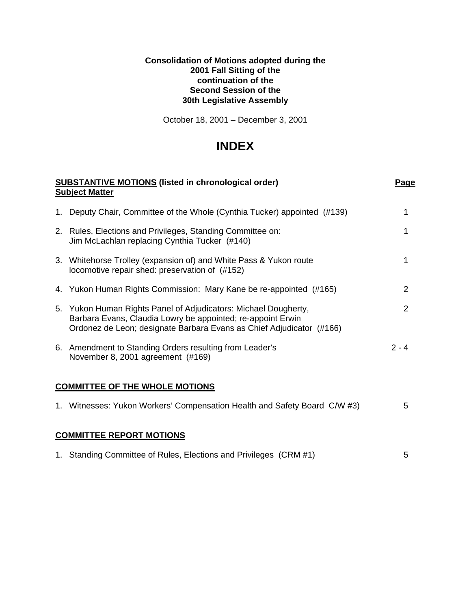### **Consolidation of Motions adopted during the 2001 Fall Sitting of the continuation of the Second Session of the 30th Legislative Assembly**

October 18, 2001 – December 3, 2001

# **INDEX**

| <b>SUBSTANTIVE MOTIONS</b> (listed in chronological order)<br><b>Subject Matter</b>                                                                                                                    | Page           |  |  |
|--------------------------------------------------------------------------------------------------------------------------------------------------------------------------------------------------------|----------------|--|--|
| 1. Deputy Chair, Committee of the Whole (Cynthia Tucker) appointed (#139)                                                                                                                              |                |  |  |
| 2. Rules, Elections and Privileges, Standing Committee on:<br>Jim McLachlan replacing Cynthia Tucker (#140)                                                                                            |                |  |  |
| 3. Whitehorse Trolley (expansion of) and White Pass & Yukon route<br>locomotive repair shed: preservation of (#152)                                                                                    | 1              |  |  |
| 4. Yukon Human Rights Commission: Mary Kane be re-appointed (#165)                                                                                                                                     | $\overline{2}$ |  |  |
| 5. Yukon Human Rights Panel of Adjudicators: Michael Dougherty,<br>Barbara Evans, Claudia Lowry be appointed; re-appoint Erwin<br>Ordonez de Leon; designate Barbara Evans as Chief Adjudicator (#166) | $\overline{2}$ |  |  |
| 6. Amendment to Standing Orders resulting from Leader's<br>November 8, 2001 agreement (#169)                                                                                                           | $2 - 4$        |  |  |
| <b>COMMITTEE OF THE WHOLE MOTIONS</b>                                                                                                                                                                  |                |  |  |
| 1. Witnesses: Yukon Workers' Compensation Health and Safety Board C/W #3)                                                                                                                              | 5.             |  |  |
| <b>COMMITTEE REPORT MOTIONS</b>                                                                                                                                                                        |                |  |  |

# 1. Standing Committee of Rules, Elections and Privileges (CRM #1) 5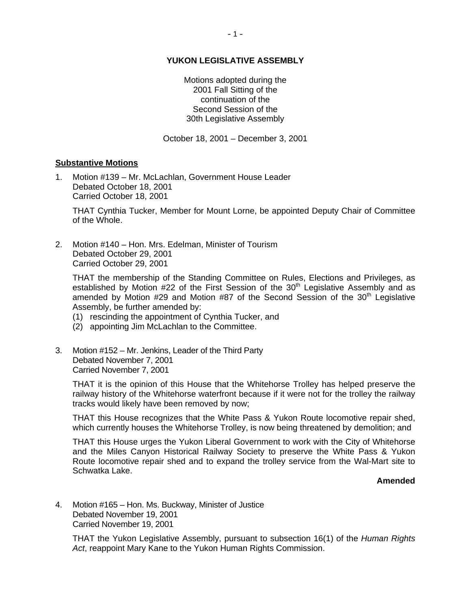### **YUKON LEGISLATIVE ASSEMBLY**

Motions adopted during the 2001 Fall Sitting of the continuation of the Second Session of the 30th Legislative Assembly

October 18, 2001 – December 3, 2001

### **Substantive Motions**

1. Motion #139 – Mr. McLachlan, Government House Leader Debated October 18, 2001 Carried October 18, 2001

 THAT Cynthia Tucker, Member for Mount Lorne, be appointed Deputy Chair of Committee of the Whole.

2. Motion #140 – Hon. Mrs. Edelman, Minister of Tourism Debated October 29, 2001 Carried October 29, 2001

 THAT the membership of the Standing Committee on Rules, Elections and Privileges, as established by Motion #22 of the First Session of the  $30<sup>th</sup>$  Legislative Assembly and as amended by Motion #29 and Motion #87 of the Second Session of the  $30<sup>th</sup>$  Legislative Assembly, be further amended by:

- (1) rescinding the appointment of Cynthia Tucker, and
- (2) appointing Jim McLachlan to the Committee.
- 3. Motion #152 Mr. Jenkins, Leader of the Third Party Debated November 7, 2001 Carried November 7, 2001

 THAT it is the opinion of this House that the Whitehorse Trolley has helped preserve the railway history of the Whitehorse waterfront because if it were not for the trolley the railway tracks would likely have been removed by now;

 THAT this House recognizes that the White Pass & Yukon Route locomotive repair shed, which currently houses the Whitehorse Trolley, is now being threatened by demolition; and

 THAT this House urges the Yukon Liberal Government to work with the City of Whitehorse and the Miles Canyon Historical Railway Society to preserve the White Pass & Yukon Route locomotive repair shed and to expand the trolley service from the Wal-Mart site to Schwatka Lake.

### **Amended**

4. Motion #165 – Hon. Ms. Buckway, Minister of Justice Debated November 19, 2001 Carried November 19, 2001

 THAT the Yukon Legislative Assembly, pursuant to subsection 16(1) of the *Human Rights Act*, reappoint Mary Kane to the Yukon Human Rights Commission.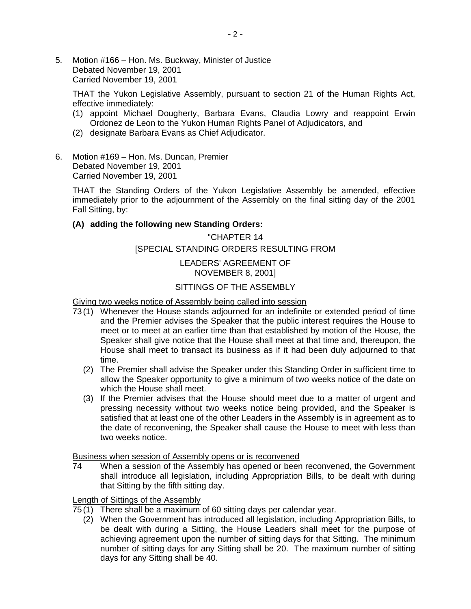5. Motion #166 – Hon. Ms. Buckway, Minister of Justice Debated November 19, 2001 Carried November 19, 2001

 THAT the Yukon Legislative Assembly, pursuant to section 21 of the Human Rights Act, effective immediately:

- (1) appoint Michael Dougherty, Barbara Evans, Claudia Lowry and reappoint Erwin Ordonez de Leon to the Yukon Human Rights Panel of Adjudicators, and
- (2) designate Barbara Evans as Chief Adjudicator.
- 6. Motion #169 Hon. Ms. Duncan, Premier Debated November 19, 2001 Carried November 19, 2001

 THAT the Standing Orders of the Yukon Legislative Assembly be amended, effective immediately prior to the adjournment of the Assembly on the final sitting day of the 2001 Fall Sitting, by:

### **(A) adding the following new Standing Orders:**

## "CHAPTER 14 [SPECIAL STANDING ORDERS RESULTING FROM

### LEADERS' AGREEMENT OF NOVEMBER 8, 2001]

### SITTINGS OF THE ASSEMBLY

Giving two weeks notice of Assembly being called into session

- 73 (1) Whenever the House stands adjourned for an indefinite or extended period of time and the Premier advises the Speaker that the public interest requires the House to meet or to meet at an earlier time than that established by motion of the House, the Speaker shall give notice that the House shall meet at that time and, thereupon, the House shall meet to transact its business as if it had been duly adjourned to that time.
	- (2) The Premier shall advise the Speaker under this Standing Order in sufficient time to allow the Speaker opportunity to give a minimum of two weeks notice of the date on which the House shall meet.
	- (3) If the Premier advises that the House should meet due to a matter of urgent and pressing necessity without two weeks notice being provided, and the Speaker is satisfied that at least one of the other Leaders in the Assembly is in agreement as to the date of reconvening, the Speaker shall cause the House to meet with less than two weeks notice.

Business when session of Assembly opens or is reconvened

 74 When a session of the Assembly has opened or been reconvened, the Government shall introduce all legislation, including Appropriation Bills, to be dealt with during that Sitting by the fifth sitting day.

Length of Sittings of the Assembly

- 75 (1) There shall be a maximum of 60 sitting days per calendar year.
	- (2) When the Government has introduced all legislation, including Appropriation Bills, to be dealt with during a Sitting, the House Leaders shall meet for the purpose of achieving agreement upon the number of sitting days for that Sitting. The minimum number of sitting days for any Sitting shall be 20. The maximum number of sitting days for any Sitting shall be 40.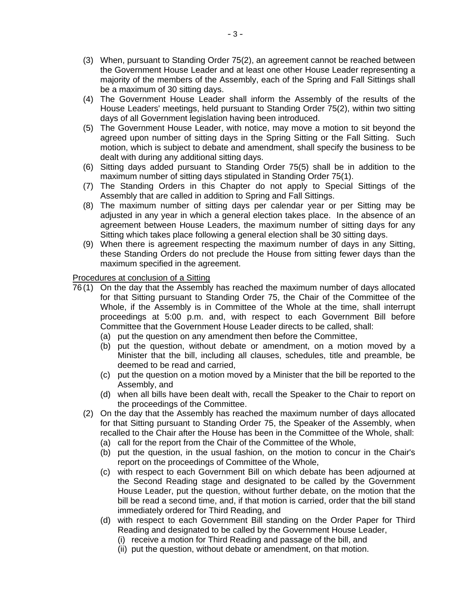- (3) When, pursuant to Standing Order 75(2), an agreement cannot be reached between the Government House Leader and at least one other House Leader representing a majority of the members of the Assembly, each of the Spring and Fall Sittings shall be a maximum of 30 sitting days.
- (4) The Government House Leader shall inform the Assembly of the results of the House Leaders' meetings, held pursuant to Standing Order 75(2), within two sitting days of all Government legislation having been introduced.
- (5) The Government House Leader, with notice, may move a motion to sit beyond the agreed upon number of sitting days in the Spring Sitting or the Fall Sitting. Such motion, which is subject to debate and amendment, shall specify the business to be dealt with during any additional sitting days.
- (6) Sitting days added pursuant to Standing Order 75(5) shall be in addition to the maximum number of sitting days stipulated in Standing Order 75(1).
- (7) The Standing Orders in this Chapter do not apply to Special Sittings of the Assembly that are called in addition to Spring and Fall Sittings.
- (8) The maximum number of sitting days per calendar year or per Sitting may be adjusted in any year in which a general election takes place. In the absence of an agreement between House Leaders, the maximum number of sitting days for any Sitting which takes place following a general election shall be 30 sitting days.
- (9) When there is agreement respecting the maximum number of days in any Sitting, these Standing Orders do not preclude the House from sitting fewer days than the maximum specified in the agreement.

### Procedures at conclusion of a Sitting

- 76 (1) On the day that the Assembly has reached the maximum number of days allocated for that Sitting pursuant to Standing Order 75, the Chair of the Committee of the Whole, if the Assembly is in Committee of the Whole at the time, shall interrupt proceedings at 5:00 p.m. and, with respect to each Government Bill before Committee that the Government House Leader directs to be called, shall:
	- (a) put the question on any amendment then before the Committee,
	- (b) put the question, without debate or amendment, on a motion moved by a Minister that the bill, including all clauses, schedules, title and preamble, be deemed to be read and carried,
	- (c) put the question on a motion moved by a Minister that the bill be reported to the Assembly, and
	- (d) when all bills have been dealt with, recall the Speaker to the Chair to report on the proceedings of the Committee.
	- (2) On the day that the Assembly has reached the maximum number of days allocated for that Sitting pursuant to Standing Order 75, the Speaker of the Assembly, when recalled to the Chair after the House has been in the Committee of the Whole, shall:
		- (a) call for the report from the Chair of the Committee of the Whole,
		- (b) put the question, in the usual fashion, on the motion to concur in the Chair's report on the proceedings of Committee of the Whole,
		- (c) with respect to each Government Bill on which debate has been adjourned at the Second Reading stage and designated to be called by the Government House Leader, put the question, without further debate, on the motion that the bill be read a second time, and, if that motion is carried, order that the bill stand immediately ordered for Third Reading, and
		- (d) with respect to each Government Bill standing on the Order Paper for Third Reading and designated to be called by the Government House Leader,
			- (i) receive a motion for Third Reading and passage of the bill, and
			- (ii) put the question, without debate or amendment, on that motion.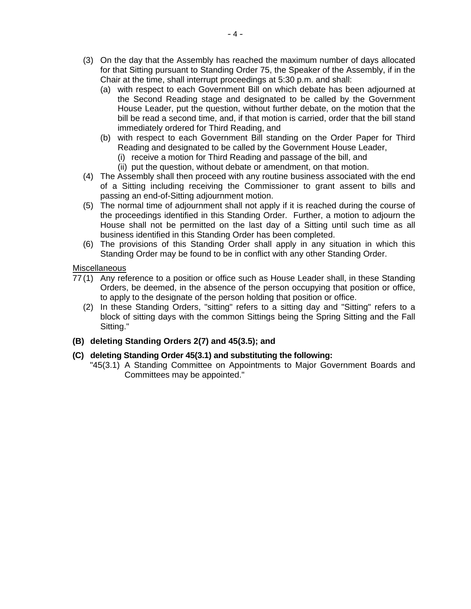- (3) On the day that the Assembly has reached the maximum number of days allocated for that Sitting pursuant to Standing Order 75, the Speaker of the Assembly, if in the Chair at the time, shall interrupt proceedings at 5:30 p.m. and shall:
	- (a) with respect to each Government Bill on which debate has been adjourned at the Second Reading stage and designated to be called by the Government House Leader, put the question, without further debate, on the motion that the bill be read a second time, and, if that motion is carried, order that the bill stand immediately ordered for Third Reading, and
	- (b) with respect to each Government Bill standing on the Order Paper for Third Reading and designated to be called by the Government House Leader,
		- (i) receive a motion for Third Reading and passage of the bill, and
		- (ii) put the question, without debate or amendment, on that motion.
- (4) The Assembly shall then proceed with any routine business associated with the end of a Sitting including receiving the Commissioner to grant assent to bills and passing an end-of-Sitting adjournment motion.
- (5) The normal time of adjournment shall not apply if it is reached during the course of the proceedings identified in this Standing Order. Further, a motion to adjourn the House shall not be permitted on the last day of a Sitting until such time as all business identified in this Standing Order has been completed.
- (6) The provisions of this Standing Order shall apply in any situation in which this Standing Order may be found to be in conflict with any other Standing Order.

### **Miscellaneous**

- 77 (1) Any reference to a position or office such as House Leader shall, in these Standing Orders, be deemed, in the absence of the person occupying that position or office, to apply to the designate of the person holding that position or office.
	- (2) In these Standing Orders, "sitting" refers to a sitting day and "Sitting" refers to a block of sitting days with the common Sittings being the Spring Sitting and the Fall Sitting."
- **(B) deleting Standing Orders 2(7) and 45(3.5); and**

### **(C) deleting Standing Order 45(3.1) and substituting the following:**

 "45(3.1) A Standing Committee on Appointments to Major Government Boards and Committees may be appointed."